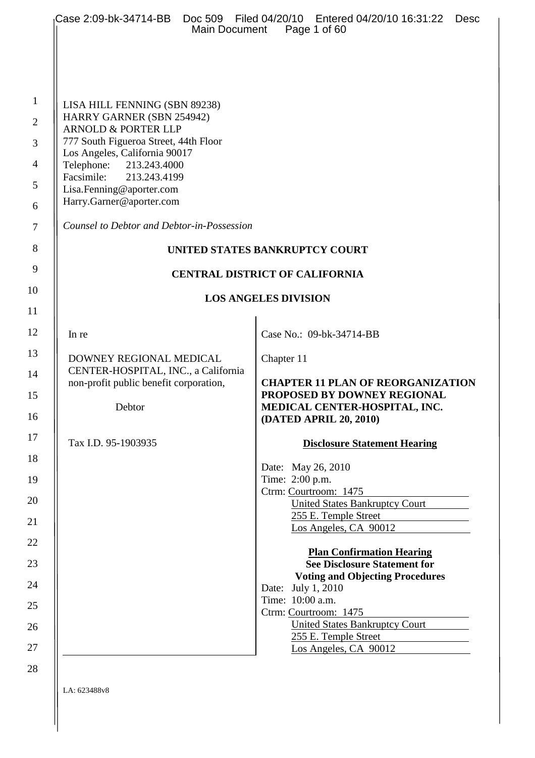| <b>Main Document</b>                                                                                                                                                                                                                                                                       | Case 2:09-bk-34714-BB  Doc 509  Filed 04/20/10  Entered 04/20/10  16:31:22<br>Desc<br>Page 1 of 60                                                                                                                                                                             |
|--------------------------------------------------------------------------------------------------------------------------------------------------------------------------------------------------------------------------------------------------------------------------------------------|--------------------------------------------------------------------------------------------------------------------------------------------------------------------------------------------------------------------------------------------------------------------------------|
| LISA HILL FENNING (SBN 89238)<br>HARRY GARNER (SBN 254942)<br><b>ARNOLD &amp; PORTER LLP</b><br>777 South Figueroa Street, 44th Floor<br>Los Angeles, California 90017<br>Telephone:<br>213.243.4000<br>Facsimile:<br>213.243.4199<br>Lisa.Fenning@aporter.com<br>Harry.Garner@aporter.com |                                                                                                                                                                                                                                                                                |
| Counsel to Debtor and Debtor-in-Possession                                                                                                                                                                                                                                                 |                                                                                                                                                                                                                                                                                |
|                                                                                                                                                                                                                                                                                            | UNITED STATES BANKRUPTCY COURT                                                                                                                                                                                                                                                 |
|                                                                                                                                                                                                                                                                                            | <b>CENTRAL DISTRICT OF CALIFORNIA</b>                                                                                                                                                                                                                                          |
|                                                                                                                                                                                                                                                                                            | <b>LOS ANGELES DIVISION</b>                                                                                                                                                                                                                                                    |
| In re                                                                                                                                                                                                                                                                                      | Case No.: 09-bk-34714-BB                                                                                                                                                                                                                                                       |
| DOWNEY REGIONAL MEDICAL<br>CENTER-HOSPITAL, INC., a California<br>non-profit public benefit corporation,<br>Debtor                                                                                                                                                                         | Chapter 11<br><b>CHAPTER 11 PLAN OF REORGANIZATION</b><br>PROPOSED BY DOWNEY REGIONAL<br>MEDICAL CENTER-HOSPITAL, INC.<br>(DATED APRIL 20, 2010)                                                                                                                               |
| Tax I.D. 95-1903935                                                                                                                                                                                                                                                                        | <b>Disclosure Statement Hearing</b>                                                                                                                                                                                                                                            |
|                                                                                                                                                                                                                                                                                            | Date: May 26, 2010<br>Time: 2:00 p.m.<br>Ctrm: Courtroom: 1475<br><b>United States Bankruptcy Court</b><br>255 E. Temple Street<br>$\frac{\text{Los Angeles, CA } 90012}{\text{Log.}}$                                                                                         |
|                                                                                                                                                                                                                                                                                            | <b>Plan Confirmation Hearing</b><br><b>See Disclosure Statement for</b><br><b>Voting and Objecting Procedures</b><br>Date: July 1, 2010<br>Time: 10:00 a.m.<br>Ctrm: Courtroom: 1475<br><b>United States Bankruptcy Court</b><br>255 E. Temple Street<br>Los Angeles, CA 90012 |

 $\vert$  LA: 623488v8

1

2

3

4

5

6

7

8

9

10

11

12

13

14

15

16

17

18

19

20

21

22

23

24

25

26

27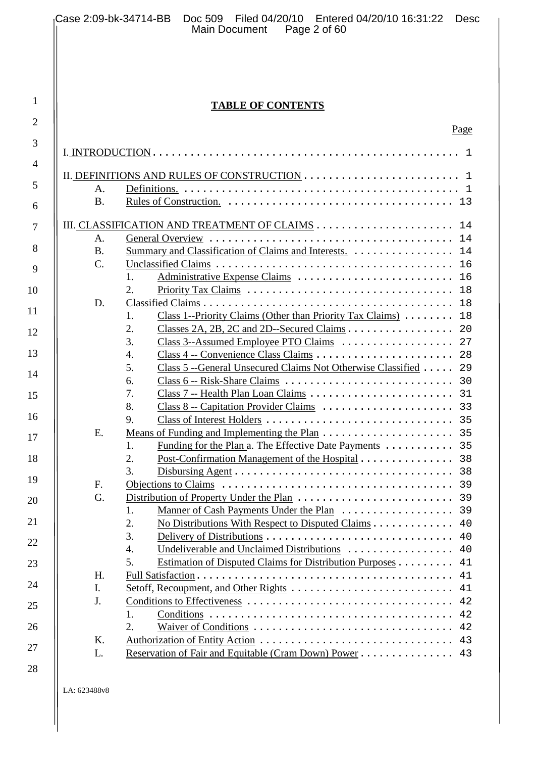2

3

4

5

6

7

8

9

10

11

12

13

14

15

16

17

18

19

20

21

22

23

24

25

26

27

28

# **TABLE OF CONTENTS**

| A.          |                                                                                |
|-------------|--------------------------------------------------------------------------------|
| <b>B.</b>   |                                                                                |
|             |                                                                                |
| A.          |                                                                                |
| <b>B.</b>   | Summary and Classification of Claims and Interests.  14                        |
| $C_{\cdot}$ |                                                                                |
|             | $\mathbf{1}$ .                                                                 |
|             | 2.                                                                             |
| D.          |                                                                                |
|             | Class 1--Priority Claims (Other than Priority Tax Claims) 18<br>$\mathbf{1}$ . |
|             | 2.                                                                             |
|             | 3.                                                                             |
|             | 4.                                                                             |
|             | 5.<br>Class 5 -- General Unsecured Claims Not Otherwise Classified 29          |
|             | 6.                                                                             |
|             | 7.                                                                             |
|             | 8.                                                                             |
|             | 9.                                                                             |
| Ε.          |                                                                                |
|             | 1.                                                                             |
|             | $\overline{2}$ .<br>Post-Confirmation Management of the Hospital 38            |
|             | 3.                                                                             |
| F.          |                                                                                |
| G.          |                                                                                |
|             | $\mathbf{1}$ .                                                                 |
|             | 2.<br>No Distributions With Respect to Disputed Claims 40                      |
|             | 3.<br>40                                                                       |
|             | 4.                                                                             |
|             | 5.<br>Estimation of Disputed Claims for Distribution Purposes<br>41            |
| H.          | 41                                                                             |
| I.          | 41                                                                             |
| J.          | 42                                                                             |
|             | 1.<br>42                                                                       |
|             | 2.<br>42                                                                       |
| Κ.          | 43                                                                             |
| L.          | Reservation of Fair and Equitable (Cram Down) Power 43                         |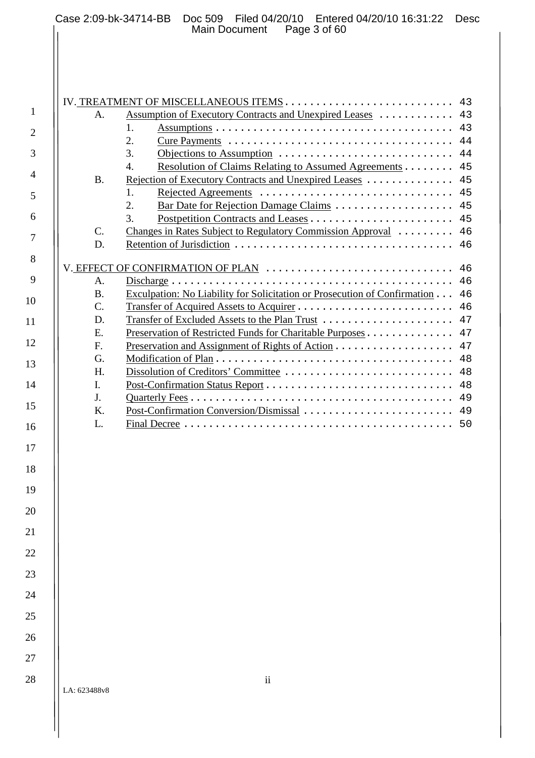2

3

4

5

6

7

8

9

10

11

12

13

14

15

16

17

18

19

20

21

22

23

24

25

26

| A.                                                                     | Assumption of Executory Contracts and Unexpired Leases                                                                                                                                    |
|------------------------------------------------------------------------|-------------------------------------------------------------------------------------------------------------------------------------------------------------------------------------------|
|                                                                        | 1.                                                                                                                                                                                        |
|                                                                        | 2.                                                                                                                                                                                        |
|                                                                        | 3.                                                                                                                                                                                        |
|                                                                        | Resolution of Claims Relating to Assumed Agreements 45<br>4.                                                                                                                              |
| <b>B.</b>                                                              | Rejection of Executory Contracts and Unexpired Leases                                                                                                                                     |
|                                                                        | Rejected Agreements<br>$\mathbf{1}$ .                                                                                                                                                     |
|                                                                        | 2.<br>Bar Date for Rejection Damage Claims 45                                                                                                                                             |
|                                                                        | 3.                                                                                                                                                                                        |
| $C_{\cdot}$                                                            | Changes in Rates Subject to Regulatory Commission Approval  46                                                                                                                            |
| D.                                                                     |                                                                                                                                                                                           |
| $\mathsf{A}$ .                                                         | V. EFFECT OF CONFIRMATION OF PLAN<br>$Discharge \ldots \ldots \ldots \ldots \ldots \ldots \ldots \ldots \ldots \ldots \ldots \ldots \ldots$                                               |
| <b>B.</b><br>$\mathcal{C}$ .<br>D.<br>E.<br>F.<br>G.<br>H.<br>I.<br>J. | Exculpation: No Liability for Solicitation or Prosecution of Confirmation<br>Transfer of Excluded Assets to the Plan Trust<br>Preservation of Restricted Funds for Charitable Purposes 47 |
| $K_{\cdot}$                                                            | Post-Confirmation Conversion/Dismissal                                                                                                                                                    |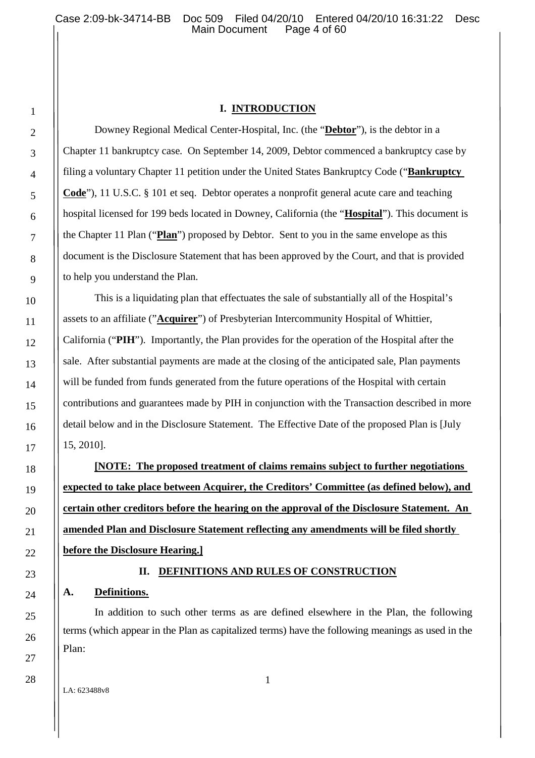# **I. INTRODUCTION**

Downey Regional Medical Center-Hospital, Inc. (the "**Debtor**"), is the debtor in a Chapter 11 bankruptcy case. On September 14, 2009, Debtor commenced a bankruptcy case by filing a voluntary Chapter 11 petition under the United States Bankruptcy Code ("**Bankruptcy Code**"), 11 U.S.C. § 101 et seq. Debtor operates a nonprofit general acute care and teaching hospital licensed for 199 beds located in Downey, California (the "**Hospital**"). This document is the Chapter 11 Plan ("**Plan**") proposed by Debtor. Sent to you in the same envelope as this document is the Disclosure Statement that has been approved by the Court, and that is provided to help you understand the Plan.

This is a liquidating plan that effectuates the sale of substantially all of the Hospital's assets to an affiliate ("**Acquirer**") of Presbyterian Intercommunity Hospital of Whittier, California ("**PIH**"). Importantly, the Plan provides for the operation of the Hospital after the sale. After substantial payments are made at the closing of the anticipated sale, Plan payments will be funded from funds generated from the future operations of the Hospital with certain contributions and guarantees made by PIH in conjunction with the Transaction described in more detail below and in the Disclosure Statement. The Effective Date of the proposed Plan is [July 15, 2010].

**[NOTE: The proposed treatment of claims remains subject to further negotiations expected to take place between Acquirer, the Creditors' Committee (as defined below), and certain other creditors before the hearing on the approval of the Disclosure Statement. An amended Plan and Disclosure Statement reflecting any amendments will be filed shortly before the Disclosure Hearing.]**

# **II. DEFINITIONS AND RULES OF CONSTRUCTION**

# **A. Definitions.**

In addition to such other terms as are defined elsewhere in the Plan, the following terms (which appear in the Plan as capitalized terms) have the following meanings as used in the Plan: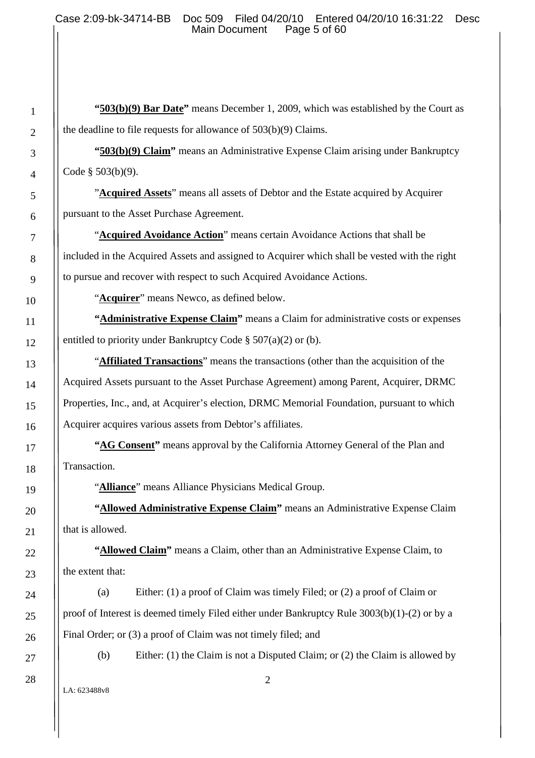**"503(b)(9) Bar Date"** means December 1, 2009, which was established by the Court as the deadline to file requests for allowance of 503(b)(9) Claims.

**"503(b)(9) Claim"** means an Administrative Expense Claim arising under Bankruptcy Code § 503(b)(9).

"**Acquired Assets**" means all assets of Debtor and the Estate acquired by Acquirer pursuant to the Asset Purchase Agreement.

"**Acquired Avoidance Action**" means certain Avoidance Actions that shall be included in the Acquired Assets and assigned to Acquirer which shall be vested with the right to pursue and recover with respect to such Acquired Avoidance Actions.

"**Acquirer**" means Newco, as defined below.

**"Administrative Expense Claim"** means a Claim for administrative costs or expenses entitled to priority under Bankruptcy Code § 507(a)(2) or (b).

"**Affiliated Transactions**" means the transactions (other than the acquisition of the Acquired Assets pursuant to the Asset Purchase Agreement) among Parent, Acquirer, DRMC Properties, Inc., and, at Acquirer's election, DRMC Memorial Foundation, pursuant to which Acquirer acquires various assets from Debtor's affiliates.

**"AG Consent"** means approval by the California Attorney General of the Plan and Transaction.

"**Alliance**" means Alliance Physicians Medical Group.

**"Allowed Administrative Expense Claim"** means an Administrative Expense Claim that is allowed.

**"Allowed Claim"** means a Claim, other than an Administrative Expense Claim, to the extent that:

(a) Either: (1) a proof of Claim was timely Filed; or (2) a proof of Claim or proof of Interest is deemed timely Filed either under Bankruptcy Rule 3003(b)(1)-(2) or by a Final Order; or (3) a proof of Claim was not timely filed; and

(b) Either: (1) the Claim is not a Disputed Claim; or (2) the Claim is allowed by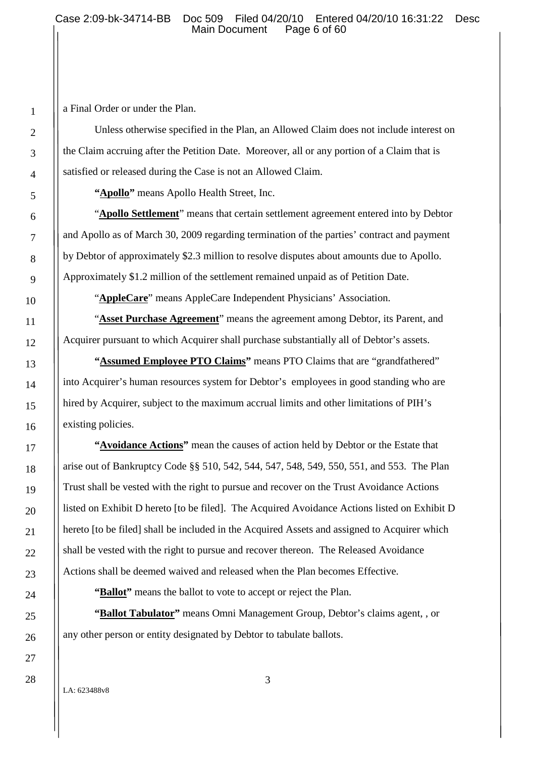a Final Order or under the Plan.

Unless otherwise specified in the Plan, an Allowed Claim does not include interest on the Claim accruing after the Petition Date. Moreover, all or any portion of a Claim that is satisfied or released during the Case is not an Allowed Claim.

**"Apollo"** means Apollo Health Street, Inc.

"**Apollo Settlement**" means that certain settlement agreement entered into by Debtor and Apollo as of March 30, 2009 regarding termination of the parties' contract and payment by Debtor of approximately \$2.3 million to resolve disputes about amounts due to Apollo. Approximately \$1.2 million of the settlement remained unpaid as of Petition Date.

"**AppleCare**" means AppleCare Independent Physicians' Association.

"**Asset Purchase Agreement**" means the agreement among Debtor, its Parent, and Acquirer pursuant to which Acquirer shall purchase substantially all of Debtor's assets.

**"Assumed Employee PTO Claims"** means PTO Claims that are "grandfathered" into Acquirer's human resources system for Debtor's employees in good standing who are hired by Acquirer, subject to the maximum accrual limits and other limitations of PIH's existing policies.

**"Avoidance Actions"** mean the causes of action held by Debtor or the Estate that arise out of Bankruptcy Code §§ 510, 542, 544, 547, 548, 549, 550, 551, and 553. The Plan Trust shall be vested with the right to pursue and recover on the Trust Avoidance Actions listed on Exhibit D hereto [to be filed]. The Acquired Avoidance Actions listed on Exhibit D hereto [to be filed] shall be included in the Acquired Assets and assigned to Acquirer which shall be vested with the right to pursue and recover thereon. The Released Avoidance Actions shall be deemed waived and released when the Plan becomes Effective.

**"Ballot"** means the ballot to vote to accept or reject the Plan.

**"Ballot Tabulator"** means Omni Management Group, Debtor's claims agent, , or any other person or entity designated by Debtor to tabulate ballots.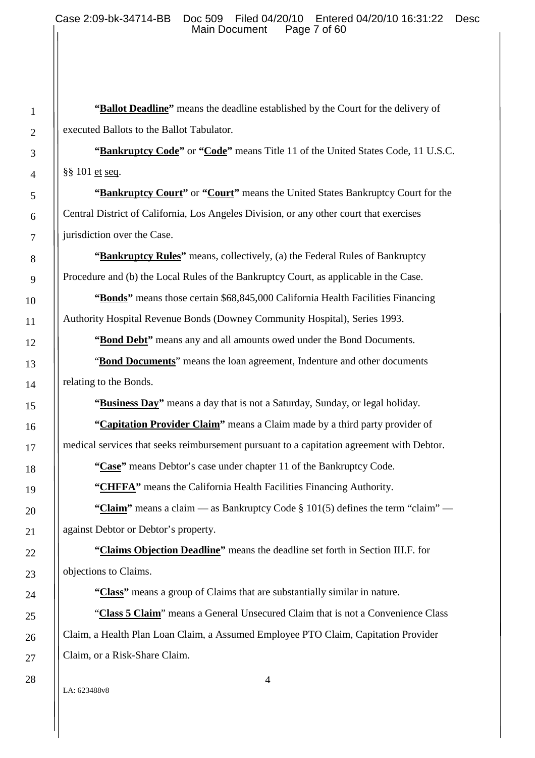**"Ballot Deadline"** means the deadline established by the Court for the delivery of executed Ballots to the Ballot Tabulator.

**"Bankruptcy Code"** or **"Code"** means Title 11 of the United States Code, 11 U.S.C. §§ 101 et seq.

**"Bankruptcy Court"** or **"Court"** means the United States Bankruptcy Court for the Central District of California, Los Angeles Division, or any other court that exercises jurisdiction over the Case.

**"Bankruptcy Rules"** means, collectively, (a) the Federal Rules of Bankruptcy Procedure and (b) the Local Rules of the Bankruptcy Court, as applicable in the Case.

**"Bonds"** means those certain \$68,845,000 California Health Facilities Financing Authority Hospital Revenue Bonds (Downey Community Hospital), Series 1993.

**"Bond Debt"** means any and all amounts owed under the Bond Documents.

"**Bond Documents**" means the loan agreement, Indenture and other documents relating to the Bonds.

**"Business Day"** means a day that is not a Saturday, Sunday, or legal holiday.

**"Capitation Provider Claim"** means a Claim made by a third party provider of medical services that seeks reimbursement pursuant to a capitation agreement with Debtor.

**"Case"** means Debtor's case under chapter 11 of the Bankruptcy Code.

**"CHFFA"** means the California Health Facilities Financing Authority.

"Claim" means a claim — as Bankruptcy Code § 101(5) defines the term "claim" against Debtor or Debtor's property.

**"Claims Objection Deadline"** means the deadline set forth in Section III.F. for objections to Claims.

**"Class"** means a group of Claims that are substantially similar in nature.

"**Class 5 Claim**" means a General Unsecured Claim that is not a Convenience Class Claim, a Health Plan Loan Claim, a Assumed Employee PTO Claim, Capitation Provider Claim, or a Risk-Share Claim.

4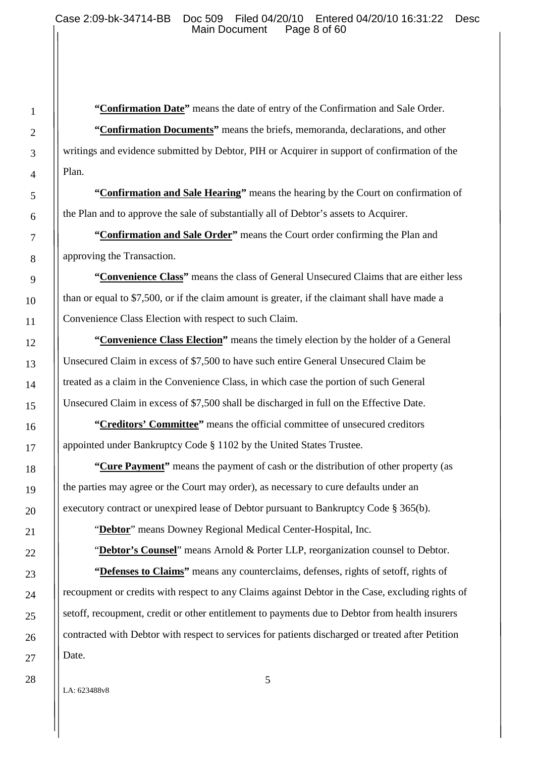**"Confirmation Date"** means the date of entry of the Confirmation and Sale Order. **"Confirmation Documents"** means the briefs, memoranda, declarations, and other writings and evidence submitted by Debtor, PIH or Acquirer in support of confirmation of the Plan.

**"Confirmation and Sale Hearing"** means the hearing by the Court on confirmation of the Plan and to approve the sale of substantially all of Debtor's assets to Acquirer.

**"Confirmation and Sale Order"** means the Court order confirming the Plan and approving the Transaction.

**"Convenience Class"** means the class of General Unsecured Claims that are either less than or equal to \$7,500, or if the claim amount is greater, if the claimant shall have made a Convenience Class Election with respect to such Claim.

**"Convenience Class Election"** means the timely election by the holder of a General Unsecured Claim in excess of \$7,500 to have such entire General Unsecured Claim be treated as a claim in the Convenience Class, in which case the portion of such General Unsecured Claim in excess of \$7,500 shall be discharged in full on the Effective Date.

**"Creditors' Committee"** means the official committee of unsecured creditors appointed under Bankruptcy Code § 1102 by the United States Trustee.

**"Cure Payment"** means the payment of cash or the distribution of other property (as the parties may agree or the Court may order), as necessary to cure defaults under an executory contract or unexpired lease of Debtor pursuant to Bankruptcy Code § 365(b).

"**Debtor**" means Downey Regional Medical Center-Hospital, Inc.

"**Debtor's Counsel**" means Arnold & Porter LLP, reorganization counsel to Debtor.

**"Defenses to Claims"** means any counterclaims, defenses, rights of setoff, rights of recoupment or credits with respect to any Claims against Debtor in the Case, excluding rights of setoff, recoupment, credit or other entitlement to payments due to Debtor from health insurers contracted with Debtor with respect to services for patients discharged or treated after Petition Date.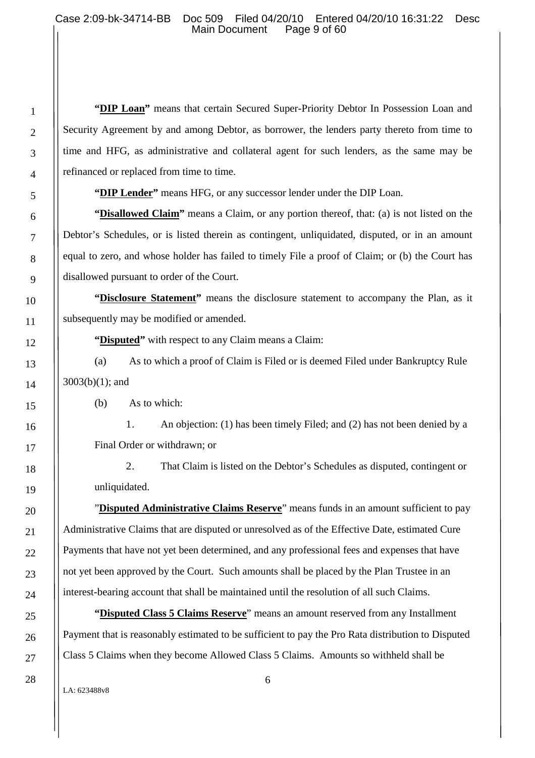**"DIP Loan"** means that certain Secured Super-Priority Debtor In Possession Loan and Security Agreement by and among Debtor, as borrower, the lenders party thereto from time to time and HFG, as administrative and collateral agent for such lenders, as the same may be refinanced or replaced from time to time.

**"DIP Lender"** means HFG, or any successor lender under the DIP Loan.

**"Disallowed Claim"** means a Claim, or any portion thereof, that: (a) is not listed on the Debtor's Schedules, or is listed therein as contingent, unliquidated, disputed, or in an amount equal to zero, and whose holder has failed to timely File a proof of Claim; or (b) the Court has disallowed pursuant to order of the Court.

**"Disclosure Statement"** means the disclosure statement to accompany the Plan, as it subsequently may be modified or amended.

**"Disputed"** with respect to any Claim means a Claim:

(a) As to which a proof of Claim is Filed or is deemed Filed under Bankruptcy Rule 3003(b)(1); and

(b) As to which:

1. An objection: (1) has been timely Filed; and (2) has not been denied by a Final Order or withdrawn; or

2. That Claim is listed on the Debtor's Schedules as disputed, contingent or unliquidated.

"**Disputed Administrative Claims Reserve**" means funds in an amount sufficient to pay Administrative Claims that are disputed or unresolved as of the Effective Date, estimated Cure Payments that have not yet been determined, and any professional fees and expenses that have not yet been approved by the Court. Such amounts shall be placed by the Plan Trustee in an interest-bearing account that shall be maintained until the resolution of all such Claims.

**"Disputed Class 5 Claims Reserve**" means an amount reserved from any Installment Payment that is reasonably estimated to be sufficient to pay the Pro Rata distribution to Disputed Class 5 Claims when they become Allowed Class 5 Claims. Amounts so withheld shall be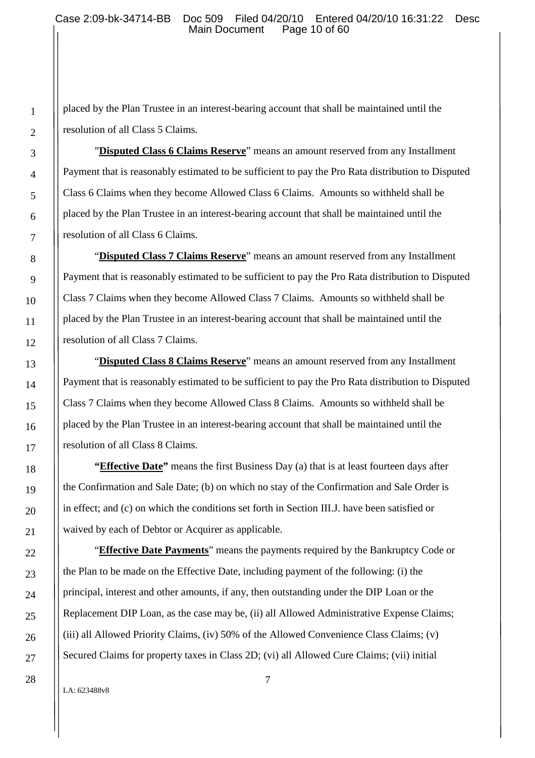placed by the Plan Trustee in an interest-bearing account that shall be maintained until the resolution of all Class 5 Claims.

"**Disputed Class 6 Claims Reserve**" means an amount reserved from any Installment Payment that is reasonably estimated to be sufficient to pay the Pro Rata distribution to Disputed Class 6 Claims when they become Allowed Class 6 Claims. Amounts so withheld shall be placed by the Plan Trustee in an interest-bearing account that shall be maintained until the resolution of all Class 6 Claims.

"**Disputed Class 7 Claims Reserve**" means an amount reserved from any Installment Payment that is reasonably estimated to be sufficient to pay the Pro Rata distribution to Disputed Class 7 Claims when they become Allowed Class 7 Claims. Amounts so withheld shall be placed by the Plan Trustee in an interest-bearing account that shall be maintained until the resolution of all Class 7 Claims.

"**Disputed Class 8 Claims Reserve**" means an amount reserved from any Installment Payment that is reasonably estimated to be sufficient to pay the Pro Rata distribution to Disputed Class 7 Claims when they become Allowed Class 8 Claims. Amounts so withheld shall be placed by the Plan Trustee in an interest-bearing account that shall be maintained until the resolution of all Class 8 Claims.

**"Effective Date"** means the first Business Day (a) that is at least fourteen days after the Confirmation and Sale Date; (b) on which no stay of the Confirmation and Sale Order is in effect; and (c) on which the conditions set forth in Section III.J. have been satisfied or waived by each of Debtor or Acquirer as applicable.

"**Effective Date Payments**" means the payments required by the Bankruptcy Code or the Plan to be made on the Effective Date, including payment of the following: (i) the principal, interest and other amounts, if any, then outstanding under the DIP Loan or the Replacement DIP Loan, as the case may be, (ii) all Allowed Administrative Expense Claims; (iii) all Allowed Priority Claims, (iv) 50% of the Allowed Convenience Class Claims; (v) Secured Claims for property taxes in Class 2D; (vi) all Allowed Cure Claims; (vii) initial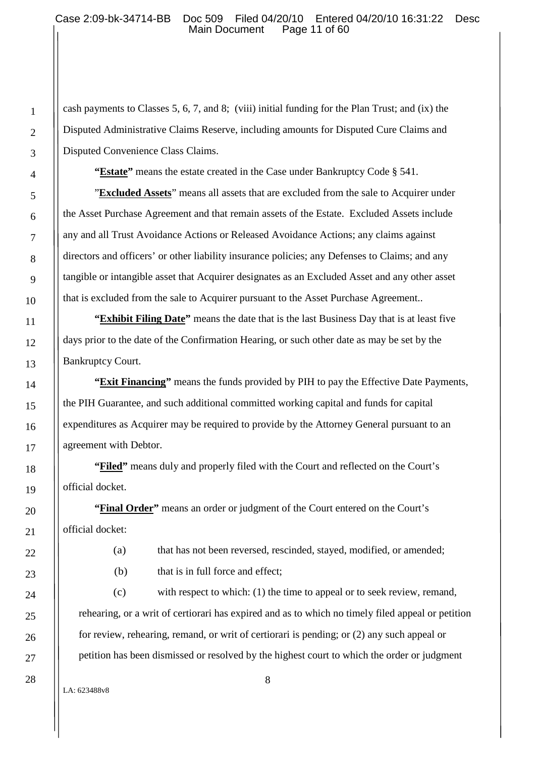cash payments to Classes 5, 6, 7, and 8; (viii) initial funding for the Plan Trust; and (ix) the Disputed Administrative Claims Reserve, including amounts for Disputed Cure Claims and Disputed Convenience Class Claims.

"**Estate**" means the estate created in the Case under Bankruptcy Code § 541.

"**Excluded Assets**" means all assets that are excluded from the sale to Acquirer under the Asset Purchase Agreement and that remain assets of the Estate. Excluded Assets include any and all Trust Avoidance Actions or Released Avoidance Actions; any claims against directors and officers' or other liability insurance policies; any Defenses to Claims; and any tangible or intangible asset that Acquirer designates as an Excluded Asset and any other asset that is excluded from the sale to Acquirer pursuant to the Asset Purchase Agreement..

**"Exhibit Filing Date"** means the date that is the last Business Day that is at least five days prior to the date of the Confirmation Hearing, or such other date as may be set by the Bankruptcy Court.

**"Exit Financing"** means the funds provided by PIH to pay the Effective Date Payments, the PIH Guarantee, and such additional committed working capital and funds for capital expenditures as Acquirer may be required to provide by the Attorney General pursuant to an agreement with Debtor.

**"Filed"** means duly and properly filed with the Court and reflected on the Court's official docket.

**"Final Order"** means an order or judgment of the Court entered on the Court's official docket:

(a) that has not been reversed, rescinded, stayed, modified, or amended;

(b) that is in full force and effect:

(c) with respect to which: (1) the time to appeal or to seek review, remand, rehearing, or a writ of certiorari has expired and as to which no timely filed appeal or petition for review, rehearing, remand, or writ of certiorari is pending; or (2) any such appeal or petition has been dismissed or resolved by the highest court to which the order or judgment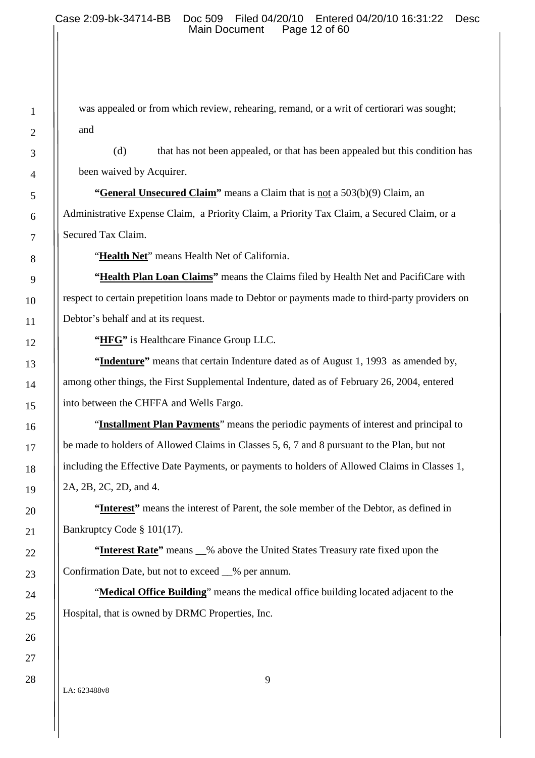was appealed or from which review, rehearing, remand, or a writ of certiorari was sought; and

(d) that has not been appealed, or that has been appealed but this condition has been waived by Acquirer.

**"General Unsecured Claim"** means a Claim that is not a 503(b)(9) Claim, an Administrative Expense Claim, a Priority Claim, a Priority Tax Claim, a Secured Claim, or a Secured Tax Claim.

"**Health Net**" means Health Net of California.

**"Health Plan Loan Claims"** means the Claims filed by Health Net and PacifiCare with respect to certain prepetition loans made to Debtor or payments made to third-party providers on Debtor's behalf and at its request.

**"HFG"** is Healthcare Finance Group LLC.

**"Indenture"** means that certain Indenture dated as of August 1, 1993 as amended by, among other things, the First Supplemental Indenture, dated as of February 26, 2004, entered into between the CHFFA and Wells Fargo.

"**Installment Plan Payments**" means the periodic payments of interest and principal to be made to holders of Allowed Claims in Classes 5, 6, 7 and 8 pursuant to the Plan, but not including the Effective Date Payments, or payments to holders of Allowed Claims in Classes 1, 2A, 2B, 2C, 2D, and 4.

**"Interest"** means the interest of Parent, the sole member of the Debtor, as defined in Bankruptcy Code § 101(17).

**"Interest Rate"** means **\_\_**% above the United States Treasury rate fixed upon the Confirmation Date, but not to exceed \_\_% per annum.

"**Medical Office Building**" means the medical office building located adjacent to the Hospital, that is owned by DRMC Properties, Inc.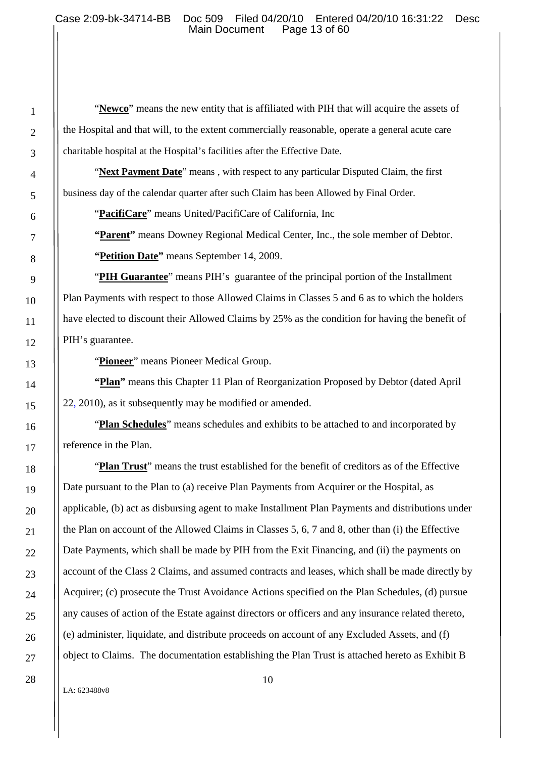"**Newco**" means the new entity that is affiliated with PIH that will acquire the assets of the Hospital and that will, to the extent commercially reasonable, operate a general acute care charitable hospital at the Hospital's facilities after the Effective Date.

"Next Payment Date" means, with respect to any particular Disputed Claim, the first business day of the calendar quarter after such Claim has been Allowed by Final Order.

"**PacifiCare**" means United/PacifiCare of California, Inc

**"Parent"** means Downey Regional Medical Center, Inc., the sole member of Debtor. **"Petition Date"** means September 14, 2009.

"**PIH Guarantee**" means PIH's guarantee of the principal portion of the Installment Plan Payments with respect to those Allowed Claims in Classes 5 and 6 as to which the holders have elected to discount their Allowed Claims by 25% as the condition for having the benefit of PIH's guarantee.

"**Pioneer**" means Pioneer Medical Group.

**"Plan"** means this Chapter 11 Plan of Reorganization Proposed by Debtor (dated April 22, 2010), as it subsequently may be modified or amended.

"**Plan Schedules**" means schedules and exhibits to be attached to and incorporated by reference in the Plan.

"**Plan Trust**" means the trust established for the benefit of creditors as of the Effective Date pursuant to the Plan to (a) receive Plan Payments from Acquirer or the Hospital, as applicable, (b) act as disbursing agent to make Installment Plan Payments and distributions under the Plan on account of the Allowed Claims in Classes 5, 6, 7 and 8, other than (i) the Effective Date Payments, which shall be made by PIH from the Exit Financing, and (ii) the payments on account of the Class 2 Claims, and assumed contracts and leases, which shall be made directly by Acquirer; (c) prosecute the Trust Avoidance Actions specified on the Plan Schedules, (d) pursue any causes of action of the Estate against directors or officers and any insurance related thereto, (e) administer, liquidate, and distribute proceeds on account of any Excluded Assets, and (f) object to Claims. The documentation establishing the Plan Trust is attached hereto as Exhibit B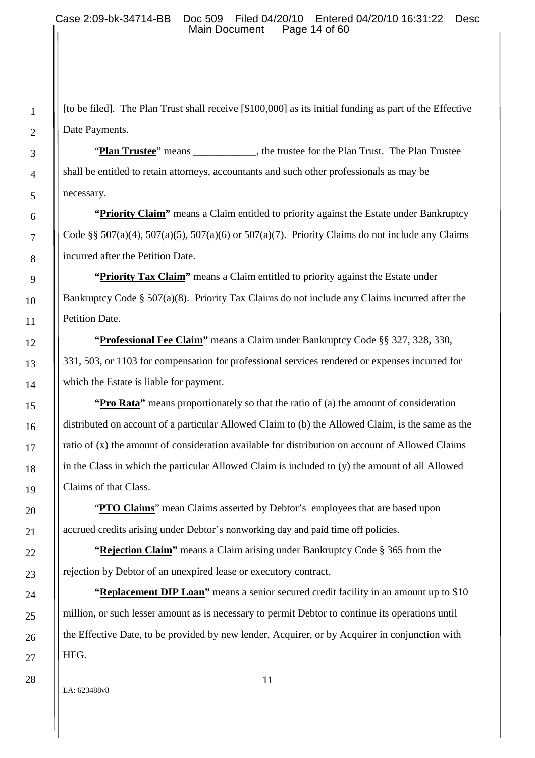[to be filed]. The Plan Trust shall receive [\$100,000] as its initial funding as part of the Effective Date Payments.

"**Plan Trustee**" means , the trustee for the Plan Trust. The Plan Trustee shall be entitled to retain attorneys, accountants and such other professionals as may be necessary.

**"Priority Claim"** means a Claim entitled to priority against the Estate under Bankruptcy Code §§ 507(a)(4), 507(a)(5), 507(a)(6) or 507(a)(7). Priority Claims do not include any Claims incurred after the Petition Date.

**"Priority Tax Claim"** means a Claim entitled to priority against the Estate under Bankruptcy Code § 507(a)(8). Priority Tax Claims do not include any Claims incurred after the Petition Date.

**"Professional Fee Claim"** means a Claim under Bankruptcy Code §§ 327, 328, 330, 331, 503, or 1103 for compensation for professional services rendered or expenses incurred for which the Estate is liable for payment.

**"Pro Rata"** means proportionately so that the ratio of (a) the amount of consideration distributed on account of a particular Allowed Claim to (b) the Allowed Claim, is the same as the ratio of (x) the amount of consideration available for distribution on account of Allowed Claims in the Class in which the particular Allowed Claim is included to (y) the amount of all Allowed Claims of that Class.

"**PTO Claims**" mean Claims asserted by Debtor's employees that are based upon accrued credits arising under Debtor's nonworking day and paid time off policies.

**"Rejection Claim"** means a Claim arising under Bankruptcy Code § 365 from the rejection by Debtor of an unexpired lease or executory contract.

**"Replacement DIP Loan"** means a senior secured credit facility in an amount up to \$10 million, or such lesser amount as is necessary to permit Debtor to continue its operations until the Effective Date, to be provided by new lender, Acquirer, or by Acquirer in conjunction with HFG.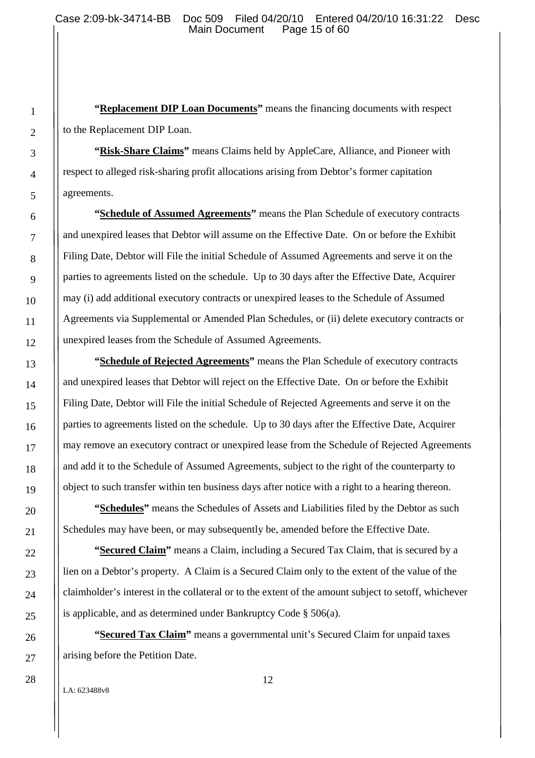**"Replacement DIP Loan Documents"** means the financing documents with respect to the Replacement DIP Loan.

**"Risk-Share Claims"** means Claims held by AppleCare, Alliance, and Pioneer with respect to alleged risk-sharing profit allocations arising from Debtor's former capitation agreements.

**"Schedule of Assumed Agreements"** means the Plan Schedule of executory contracts and unexpired leases that Debtor will assume on the Effective Date. On or before the Exhibit Filing Date, Debtor will File the initial Schedule of Assumed Agreements and serve it on the parties to agreements listed on the schedule. Up to 30 days after the Effective Date, Acquirer may (i) add additional executory contracts or unexpired leases to the Schedule of Assumed Agreements via Supplemental or Amended Plan Schedules, or (ii) delete executory contracts or unexpired leases from the Schedule of Assumed Agreements.

**"Schedule of Rejected Agreements"** means the Plan Schedule of executory contracts and unexpired leases that Debtor will reject on the Effective Date. On or before the Exhibit Filing Date, Debtor will File the initial Schedule of Rejected Agreements and serve it on the parties to agreements listed on the schedule. Up to 30 days after the Effective Date, Acquirer may remove an executory contract or unexpired lease from the Schedule of Rejected Agreements and add it to the Schedule of Assumed Agreements, subject to the right of the counterparty to object to such transfer within ten business days after notice with a right to a hearing thereon.

**"Schedules"** means the Schedules of Assets and Liabilities filed by the Debtor as such Schedules may have been, or may subsequently be, amended before the Effective Date.

**"Secured Claim"** means a Claim, including a Secured Tax Claim, that is secured by a lien on a Debtor's property. A Claim is a Secured Claim only to the extent of the value of the claimholder's interest in the collateral or to the extent of the amount subject to setoff, whichever is applicable, and as determined under Bankruptcy Code § 506(a).

**"Secured Tax Claim"** means a governmental unit's Secured Claim for unpaid taxes arising before the Petition Date.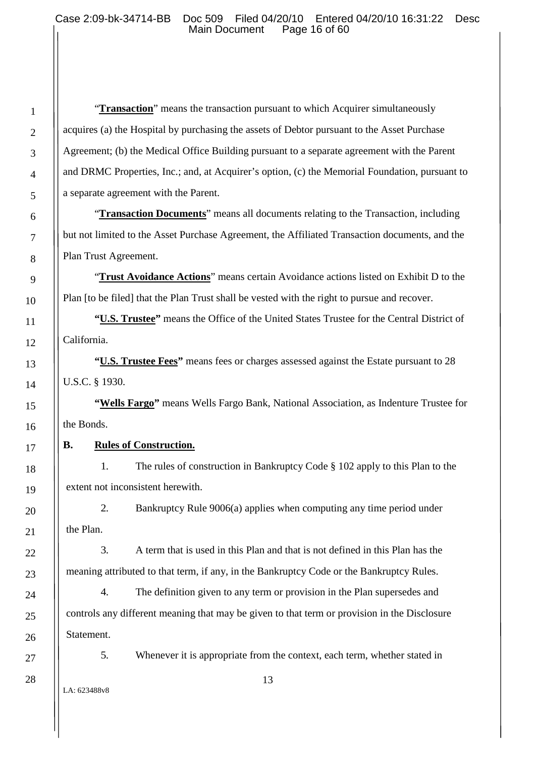"**Transaction**" means the transaction pursuant to which Acquirer simultaneously acquires (a) the Hospital by purchasing the assets of Debtor pursuant to the Asset Purchase Agreement; (b) the Medical Office Building pursuant to a separate agreement with the Parent and DRMC Properties, Inc.; and, at Acquirer's option, (c) the Memorial Foundation, pursuant to a separate agreement with the Parent.

"**Transaction Documents**" means all documents relating to the Transaction, including but not limited to the Asset Purchase Agreement, the Affiliated Transaction documents, and the Plan Trust Agreement.

"**Trust Avoidance Actions**" means certain Avoidance actions listed on Exhibit D to the Plan [to be filed] that the Plan Trust shall be vested with the right to pursue and recover.

**"U.S. Trustee"** means the Office of the United States Trustee for the Central District of California.

**"U.S. Trustee Fees"** means fees or charges assessed against the Estate pursuant to 28 U.S.C. § 1930.

**"Wells Fargo"** means Wells Fargo Bank, National Association, as Indenture Trustee for the Bonds.

### **B. Rules of Construction.**

1. The rules of construction in Bankruptcy Code § 102 apply to this Plan to the extent not inconsistent herewith.

2. Bankruptcy Rule 9006(a) applies when computing any time period under the Plan.

3. A term that is used in this Plan and that is not defined in this Plan has the meaning attributed to that term, if any, in the Bankruptcy Code or the Bankruptcy Rules.

4. The definition given to any term or provision in the Plan supersedes and controls any different meaning that may be given to that term or provision in the Disclosure Statement.

5. Whenever it is appropriate from the context, each term, whether stated in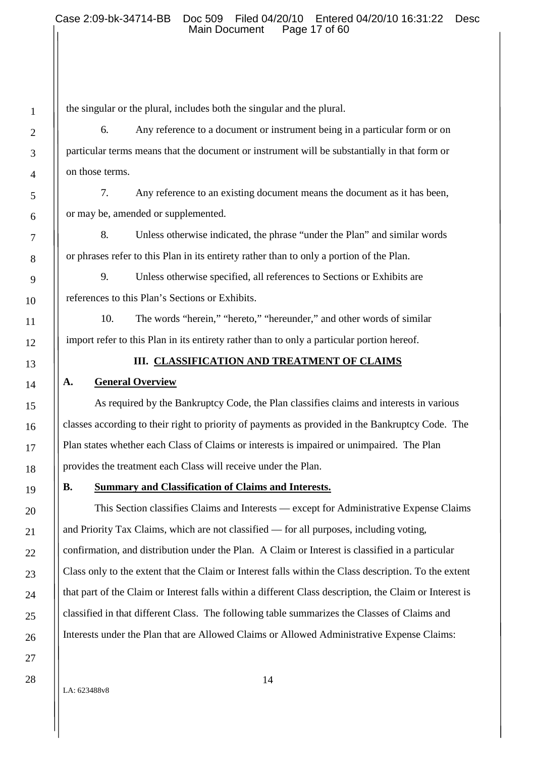the singular or the plural, includes both the singular and the plural.

6. Any reference to a document or instrument being in a particular form or on particular terms means that the document or instrument will be substantially in that form or on those terms.

7. Any reference to an existing document means the document as it has been, or may be, amended or supplemented.

8. Unless otherwise indicated, the phrase "under the Plan" and similar words or phrases refer to this Plan in its entirety rather than to only a portion of the Plan.

9. Unless otherwise specified, all references to Sections or Exhibits are references to this Plan's Sections or Exhibits.

10. The words "herein," "hereto," "hereunder," and other words of similar import refer to this Plan in its entirety rather than to only a particular portion hereof.

### **III. CLASSIFICATION AND TREATMENT OF CLAIMS**

# **A. General Overview**

As required by the Bankruptcy Code, the Plan classifies claims and interests in various classes according to their right to priority of payments as provided in the Bankruptcy Code. The Plan states whether each Class of Claims or interests is impaired or unimpaired. The Plan provides the treatment each Class will receive under the Plan.

### **B. Summary and Classification of Claims and Interests.**

This Section classifies Claims and Interests — except for Administrative Expense Claims and Priority Tax Claims, which are not classified — for all purposes, including voting, confirmation, and distribution under the Plan. A Claim or Interest is classified in a particular Class only to the extent that the Claim or Interest falls within the Class description. To the extent that part of the Claim or Interest falls within a different Class description, the Claim or Interest is classified in that different Class. The following table summarizes the Classes of Claims and Interests under the Plan that are Allowed Claims or Allowed Administrative Expense Claims: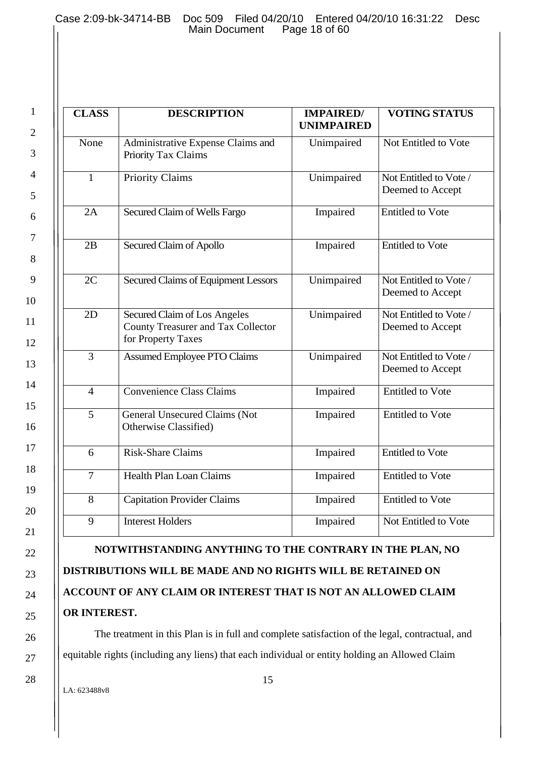2

3

4

5

6

7

8

9

10

11

12

13

14

15

16

17

18

19

20

21

22

23

24

25

26

27

28

| <b>CLASS</b>    | <b>DESCRIPTION</b>                                                                       | <b>IMPAIRED/</b><br><b>UNIMPAIRED</b> | <b>VOTING STATUS</b>                       |
|-----------------|------------------------------------------------------------------------------------------|---------------------------------------|--------------------------------------------|
| None            | Administrative Expense Claims and<br>Priority Tax Claims                                 | Unimpaired                            | Not Entitled to Vote                       |
| $\mathbf{1}$    | Priority Claims                                                                          | Unimpaired                            | Not Entitled to Vote /<br>Deemed to Accept |
| 2A              | Secured Claim of Wells Fargo                                                             | Impaired                              | <b>Entitled to Vote</b>                    |
| 2B              | Secured Claim of Apollo                                                                  | Impaired                              | <b>Entitled to Vote</b>                    |
| 2C              | <b>Secured Claims of Equipment Lessors</b>                                               | Unimpaired                            | Not Entitled to Vote /<br>Deemed to Accept |
| $\overline{2D}$ | Secured Claim of Los Angeles<br>County Treasurer and Tax Collector<br>for Property Taxes | Unimpaired                            | Not Entitled to Vote /<br>Deemed to Accept |
| 3               | <b>Assumed Employee PTO Claims</b>                                                       | Unimpaired                            | Not Entitled to Vote /<br>Deemed to Accept |
| $\overline{4}$  | <b>Convenience Class Claims</b>                                                          | Impaired                              | <b>Entitled to Vote</b>                    |
| 5               | General Unsecured Claims (Not<br>Otherwise Classified)                                   | Impaired                              | <b>Entitled to Vote</b>                    |
| 6               | <b>Risk-Share Claims</b>                                                                 | Impaired                              | <b>Entitled to Vote</b>                    |
| $\overline{7}$  | <b>Health Plan Loan Claims</b>                                                           | Impaired                              | <b>Entitled to Vote</b>                    |
| 8               | <b>Capitation Provider Claims</b>                                                        | Impaired                              | <b>Entitled to Vote</b>                    |
| 9               | <b>Interest Holders</b>                                                                  | Impaired                              | Not Entitled to Vote                       |

**DISTRIBUTIONS WILL BE MADE AND NO RIGHTS WILL BE RETAINED ON ACCOUNT OF ANY CLAIM OR INTEREST THAT IS NOT AN ALLOWED CLAIM OR INTEREST.**

The treatment in this Plan is in full and complete satisfaction of the legal, contractual, and equitable rights (including any liens) that each individual or entity holding an Allowed Claim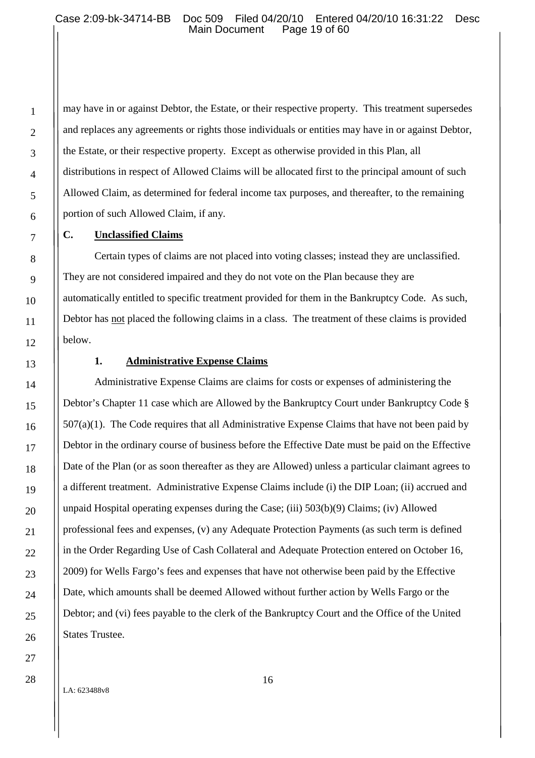may have in or against Debtor, the Estate, or their respective property. This treatment supersedes and replaces any agreements or rights those individuals or entities may have in or against Debtor, the Estate, or their respective property. Except as otherwise provided in this Plan, all distributions in respect of Allowed Claims will be allocated first to the principal amount of such Allowed Claim, as determined for federal income tax purposes, and thereafter, to the remaining portion of such Allowed Claim, if any.

#### **C. Unclassified Claims**

Certain types of claims are not placed into voting classes; instead they are unclassified. They are not considered impaired and they do not vote on the Plan because they are automatically entitled to specific treatment provided for them in the Bankruptcy Code. As such, Debtor has not placed the following claims in a class. The treatment of these claims is provided below.

# **1. Administrative Expense Claims**

Administrative Expense Claims are claims for costs or expenses of administering the Debtor's Chapter 11 case which are Allowed by the Bankruptcy Court under Bankruptcy Code § 507(a)(1). The Code requires that all Administrative Expense Claims that have not been paid by Debtor in the ordinary course of business before the Effective Date must be paid on the Effective Date of the Plan (or as soon thereafter as they are Allowed) unless a particular claimant agrees to a different treatment. Administrative Expense Claims include (i) the DIP Loan; (ii) accrued and unpaid Hospital operating expenses during the Case; (iii) 503(b)(9) Claims; (iv) Allowed professional fees and expenses, (v) any Adequate Protection Payments (as such term is defined in the Order Regarding Use of Cash Collateral and Adequate Protection entered on October 16, 2009) for Wells Fargo's fees and expenses that have not otherwise been paid by the Effective Date, which amounts shall be deemed Allowed without further action by Wells Fargo or the Debtor; and (vi) fees payable to the clerk of the Bankruptcy Court and the Office of the United States Trustee.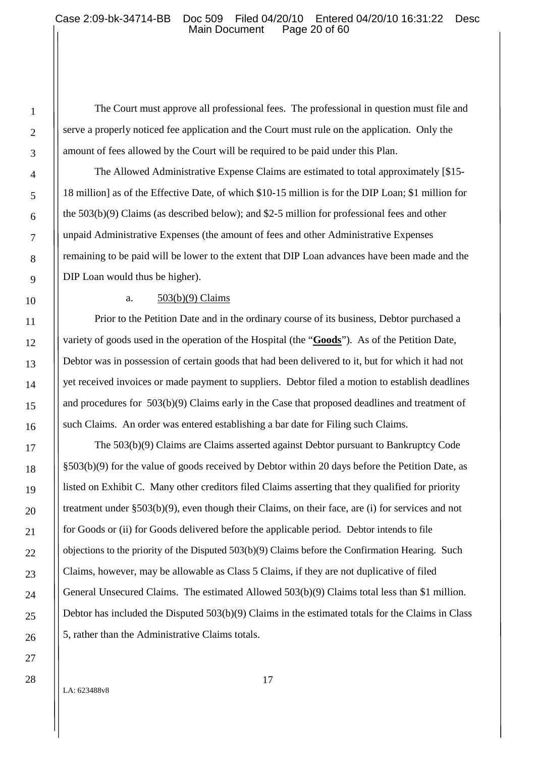The Court must approve all professional fees. The professional in question must file and serve a properly noticed fee application and the Court must rule on the application. Only the amount of fees allowed by the Court will be required to be paid under this Plan.

The Allowed Administrative Expense Claims are estimated to total approximately [\$15- 18 million] as of the Effective Date, of which \$10-15 million is for the DIP Loan; \$1 million for the 503(b)(9) Claims (as described below); and \$2-5 million for professional fees and other unpaid Administrative Expenses (the amount of fees and other Administrative Expenses remaining to be paid will be lower to the extent that DIP Loan advances have been made and the DIP Loan would thus be higher).

a.  $503(b)(9)$  Claims

Prior to the Petition Date and in the ordinary course of its business, Debtor purchased a variety of goods used in the operation of the Hospital (the "**Goods**"). As of the Petition Date, Debtor was in possession of certain goods that had been delivered to it, but for which it had not yet received invoices or made payment to suppliers. Debtor filed a motion to establish deadlines and procedures for 503(b)(9) Claims early in the Case that proposed deadlines and treatment of such Claims. An order was entered establishing a bar date for Filing such Claims.

The 503(b)(9) Claims are Claims asserted against Debtor pursuant to Bankruptcy Code §503(b)(9) for the value of goods received by Debtor within 20 days before the Petition Date, as listed on Exhibit C. Many other creditors filed Claims asserting that they qualified for priority treatment under §503(b)(9), even though their Claims, on their face, are (i) for services and not for Goods or (ii) for Goods delivered before the applicable period. Debtor intends to file objections to the priority of the Disputed 503(b)(9) Claims before the Confirmation Hearing. Such Claims, however, may be allowable as Class 5 Claims, if they are not duplicative of filed General Unsecured Claims. The estimated Allowed 503(b)(9) Claims total less than \$1 million. Debtor has included the Disputed 503(b)(9) Claims in the estimated totals for the Claims in Class 5, rather than the Administrative Claims totals.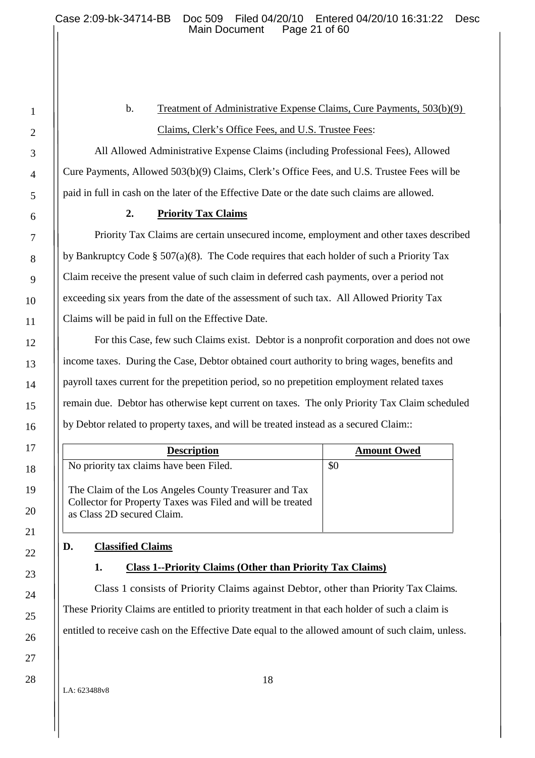# b. Treatment of Administrative Expense Claims, Cure Payments, 503(b)(9) Claims, Clerk's Office Fees, and U.S. Trustee Fees:

All Allowed Administrative Expense Claims (including Professional Fees), Allowed Cure Payments, Allowed 503(b)(9) Claims, Clerk's Office Fees, and U.S. Trustee Fees will be paid in full in cash on the later of the Effective Date or the date such claims are allowed.

# **2. Priority Tax Claims**

Priority Tax Claims are certain unsecured income, employment and other taxes described by Bankruptcy Code § 507(a)(8). The Code requires that each holder of such a Priority Tax Claim receive the present value of such claim in deferred cash payments, over a period not exceeding six years from the date of the assessment of such tax. All Allowed Priority Tax Claims will be paid in full on the Effective Date.

For this Case, few such Claims exist. Debtor is a nonprofit corporation and does not owe income taxes. During the Case, Debtor obtained court authority to bring wages, benefits and payroll taxes current for the prepetition period, so no prepetition employment related taxes remain due. Debtor has otherwise kept current on taxes. The only Priority Tax Claim scheduled by Debtor related to property taxes, and will be treated instead as a secured Claim::

| <b>Description</b>                                                                                                                                | <b>Amount Owed</b> |
|---------------------------------------------------------------------------------------------------------------------------------------------------|--------------------|
| No priority tax claims have been Filed.                                                                                                           | \$0                |
| The Claim of the Los Angeles County Treasurer and Tax<br>Collector for Property Taxes was Filed and will be treated<br>as Class 2D secured Claim. |                    |

# **D. Classified Claims**

# **1. Class 1--Priority Claims (Other than Priority Tax Claims)**

Class 1 consists of Priority Claims against Debtor, other than Priority Tax Claims. These Priority Claims are entitled to priority treatment in that each holder of such a claim is entitled to receive cash on the Effective Date equal to the allowed amount of such claim, unless.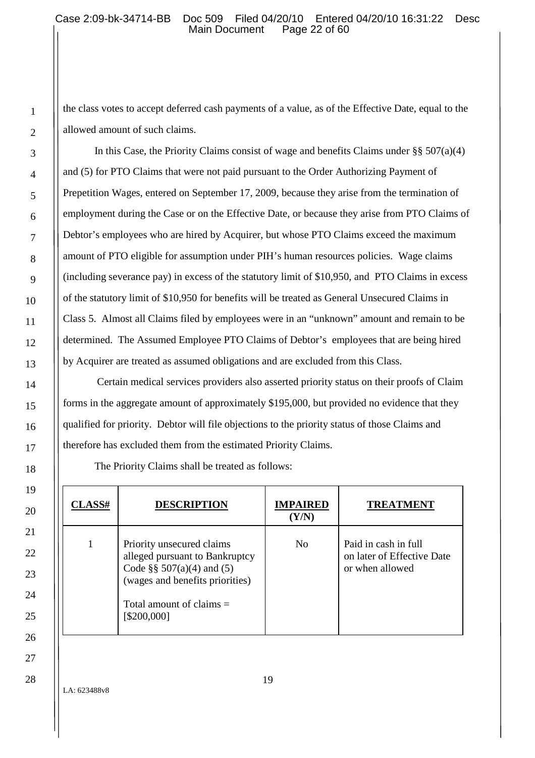the class votes to accept deferred cash payments of a value, as of the Effective Date, equal to the allowed amount of such claims.

In this Case, the Priority Claims consist of wage and benefits Claims under  $\S$ § 507(a)(4) and (5) for PTO Claims that were not paid pursuant to the Order Authorizing Payment of Prepetition Wages, entered on September 17, 2009, because they arise from the termination of employment during the Case or on the Effective Date, or because they arise from PTO Claims of Debtor's employees who are hired by Acquirer, but whose PTO Claims exceed the maximum amount of PTO eligible for assumption under PIH's human resources policies. Wage claims (including severance pay) in excess of the statutory limit of \$10,950, and PTO Claims in excess of the statutory limit of \$10,950 for benefits will be treated as General Unsecured Claims in Class 5. Almost all Claims filed by employees were in an "unknown" amount and remain to be determined. The Assumed Employee PTO Claims of Debtor's employees that are being hired by Acquirer are treated as assumed obligations and are excluded from this Class.

Certain medical services providers also asserted priority status on their proofs of Claim forms in the aggregate amount of approximately \$195,000, but provided no evidence that they qualified for priority. Debtor will file objections to the priority status of those Claims and therefore has excluded them from the estimated Priority Claims.

The Priority Claims shall be treated as follows:

| <b>CLASS#</b> | <b>DESCRIPTION</b>                                                                                                                                                         | <b>IMPAIRED</b><br>(Y/N) | <b>TREATMENT</b>                                                      |
|---------------|----------------------------------------------------------------------------------------------------------------------------------------------------------------------------|--------------------------|-----------------------------------------------------------------------|
|               | Priority unsecured claims<br>alleged pursuant to Bankruptcy<br>Code §§ $507(a)(4)$ and (5)<br>(wages and benefits priorities)<br>Total amount of claims $=$<br>[\$200,000] | $\overline{N}_{0}$       | Paid in cash in full<br>on later of Effective Date<br>or when allowed |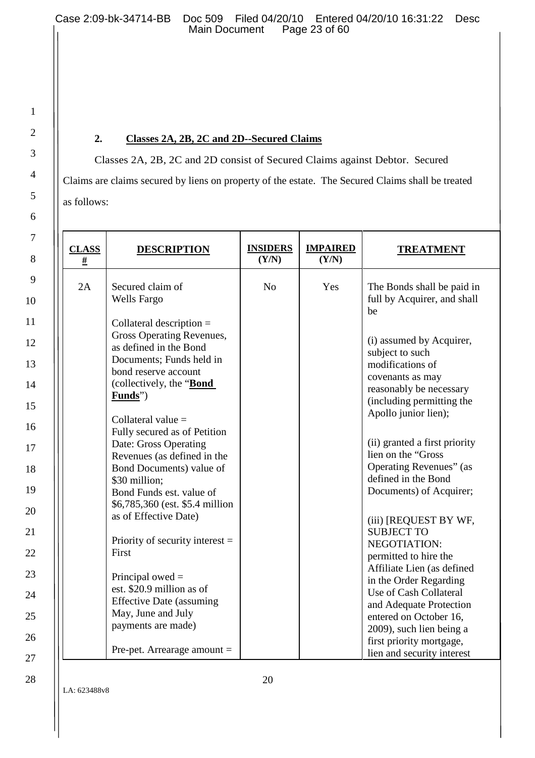2

3

4

5

6

7

8

9

10

11

12

13

14

15

16

17

18

19

20

21

22

23

24

25

26

27

28

# **2. Classes 2A, 2B, 2C and 2D--Secured Claims**

Classes 2A, 2B, 2C and 2D consist of Secured Claims against Debtor. Secured Claims are claims secured by liens on property of the estate. The Secured Claims shall be treated as follows:

| <b>CLASS</b><br>$\#$ | <b>DESCRIPTION</b>                                                                                                                                                                                                                                                                                                                                                                                                                                                                                                                  | <b>INSIDERS</b><br>(Y/N) | <b>IMPAIRED</b><br>(Y/N) | <b>TREATMENT</b>                                                                                                                                                                                                                                                                                                                                                                                                                         |
|----------------------|-------------------------------------------------------------------------------------------------------------------------------------------------------------------------------------------------------------------------------------------------------------------------------------------------------------------------------------------------------------------------------------------------------------------------------------------------------------------------------------------------------------------------------------|--------------------------|--------------------------|------------------------------------------------------------------------------------------------------------------------------------------------------------------------------------------------------------------------------------------------------------------------------------------------------------------------------------------------------------------------------------------------------------------------------------------|
| 2A                   | Secured claim of<br><b>Wells Fargo</b><br>Collateral description $=$<br>Gross Operating Revenues,<br>as defined in the Bond<br>Documents; Funds held in<br>bond reserve account<br>(collectively, the " <b>Bond</b> "<br>Funds")<br>Collateral value $=$<br>Fully secured as of Petition<br>Date: Gross Operating<br>Revenues (as defined in the<br>Bond Documents) value of<br>\$30 million;<br>Bond Funds est. value of<br>\$6,785,360 (est. \$5.4 million<br>as of Effective Date)<br>Priority of security interest $=$<br>First | N <sub>o</sub>           | Yes                      | The Bonds shall be paid in<br>full by Acquirer, and shall<br>be<br>(i) assumed by Acquirer,<br>subject to such<br>modifications of<br>covenants as may<br>reasonably be necessary<br>(including permitting the<br>Apollo junior lien);<br>(ii) granted a first priority<br>lien on the "Gross<br>Operating Revenues" (as<br>defined in the Bond<br>Documents) of Acquirer;<br>(iii) [REQUEST BY WF,<br><b>SUBJECT TO</b><br>NEGOTIATION: |
|                      | Principal owed $=$<br>est. \$20.9 million as of<br><b>Effective Date (assuming</b><br>May, June and July<br>payments are made)<br>Pre-pet. Arrearage amount $=$                                                                                                                                                                                                                                                                                                                                                                     |                          |                          | permitted to hire the<br>Affiliate Lien (as defined<br>in the Order Regarding<br>Use of Cash Collateral<br>and Adequate Protection<br>entered on October 16,<br>2009), such lien being a<br>first priority mortgage,<br>lien and security interest                                                                                                                                                                                       |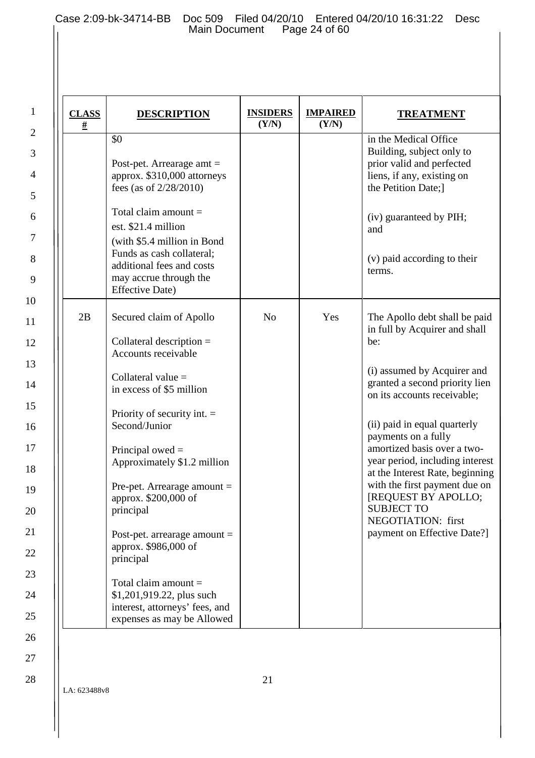| <b>CLASS</b><br><u>#</u> | <b>DESCRIPTION</b>                                                                                                                                                                                                                       | <b>INSIDERS</b><br>(Y/N) | <b>IMPAIRED</b><br>(Y/N) | <b>TREATMENT</b>                                                                                                                                                                                                |
|--------------------------|------------------------------------------------------------------------------------------------------------------------------------------------------------------------------------------------------------------------------------------|--------------------------|--------------------------|-----------------------------------------------------------------------------------------------------------------------------------------------------------------------------------------------------------------|
|                          | \$0<br>Post-pet. Arrearage amt $=$<br>approx. \$310,000 attorneys<br>fees (as of $2/28/2010$ )<br>Total claim amount $=$<br>est. \$21.4 million<br>(with \$5.4 million in Bond<br>Funds as cash collateral;<br>additional fees and costs |                          |                          | in the Medical Office<br>Building, subject only to<br>prior valid and perfected<br>liens, if any, existing on<br>the Petition Date;]<br>(iv) guaranteed by PIH;<br>and<br>(v) paid according to their<br>terms. |
|                          | may accrue through the<br><b>Effective Date)</b>                                                                                                                                                                                         |                          |                          |                                                                                                                                                                                                                 |
| 2B                       | Secured claim of Apollo<br>Collateral description $=$<br>Accounts receivable                                                                                                                                                             | N <sub>o</sub>           | Yes                      | The Apollo debt shall be paid<br>in full by Acquirer and shall<br>be:                                                                                                                                           |
|                          | Collateral value $=$<br>in excess of \$5 million                                                                                                                                                                                         |                          |                          | (i) assumed by Acquirer and<br>granted a second priority lien<br>on its accounts receivable;                                                                                                                    |
|                          | Priority of security int. $=$<br>Second/Junior                                                                                                                                                                                           |                          |                          | (ii) paid in equal quarterly<br>payments on a fully                                                                                                                                                             |
|                          | Principal owed $=$<br>Approximately \$1.2 million                                                                                                                                                                                        |                          |                          | amortized basis over a two-<br>year period, including interest<br>at the Interest Rate, beginning                                                                                                               |
|                          | Pre-pet. Arrearage amount $=$<br>approx. \$200,000 of<br>principal                                                                                                                                                                       |                          |                          | with the first payment due on<br>[REQUEST BY APOLLO;<br><b>SUBJECT TO</b><br>NEGOTIATION: first                                                                                                                 |
|                          | Post-pet. arrearage amount $=$<br>approx. \$986,000 of<br>principal                                                                                                                                                                      |                          |                          | payment on Effective Date?]                                                                                                                                                                                     |
|                          | Total claim amount $=$<br>\$1,201,919.22, plus such<br>interest, attorneys' fees, and<br>expenses as may be Allowed                                                                                                                      |                          |                          |                                                                                                                                                                                                                 |

28

1

2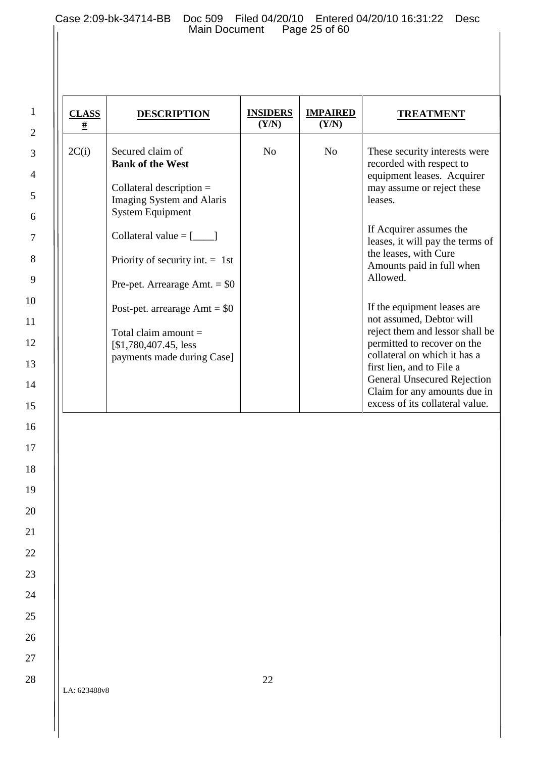| <b>CLASS</b><br># | <b>DESCRIPTION</b>                                                                                                                                                                                                                                                                                                                                          | <b>INSIDERS</b><br>(Y/N) | <b>IMPAIRED</b><br>(Y/N) | <b>TREATMENT</b>                                                                                                                                                                                                                                                                                                                                                                                                                                                                                                                                                     |
|-------------------|-------------------------------------------------------------------------------------------------------------------------------------------------------------------------------------------------------------------------------------------------------------------------------------------------------------------------------------------------------------|--------------------------|--------------------------|----------------------------------------------------------------------------------------------------------------------------------------------------------------------------------------------------------------------------------------------------------------------------------------------------------------------------------------------------------------------------------------------------------------------------------------------------------------------------------------------------------------------------------------------------------------------|
| 2C(i)             | Secured claim of<br><b>Bank of the West</b><br>Collateral description $=$<br>Imaging System and Alaris<br><b>System Equipment</b><br>Collateral value $=[$ $]$<br>Priority of security int. $= 1$ st<br>Pre-pet. Arrearage Amt. $=$ \$0<br>Post-pet. arrearage $Amt = $0$<br>Total claim amount $=$<br>[\$1,780,407.45, less]<br>payments made during Case] | N <sub>o</sub>           | N <sub>o</sub>           | These security interests were<br>recorded with respect to<br>equipment leases. Acquirer<br>may assume or reject these<br>leases.<br>If Acquirer assumes the<br>leases, it will pay the terms of<br>the leases, with Cure<br>Amounts paid in full when<br>Allowed.<br>If the equipment leases are<br>not assumed, Debtor will<br>reject them and lessor shall be<br>permitted to recover on the<br>collateral on which it has a<br>first lien, and to File a<br><b>General Unsecured Rejection</b><br>Claim for any amounts due in<br>excess of its collateral value. |
|                   |                                                                                                                                                                                                                                                                                                                                                             |                          |                          |                                                                                                                                                                                                                                                                                                                                                                                                                                                                                                                                                                      |
|                   |                                                                                                                                                                                                                                                                                                                                                             |                          |                          |                                                                                                                                                                                                                                                                                                                                                                                                                                                                                                                                                                      |

28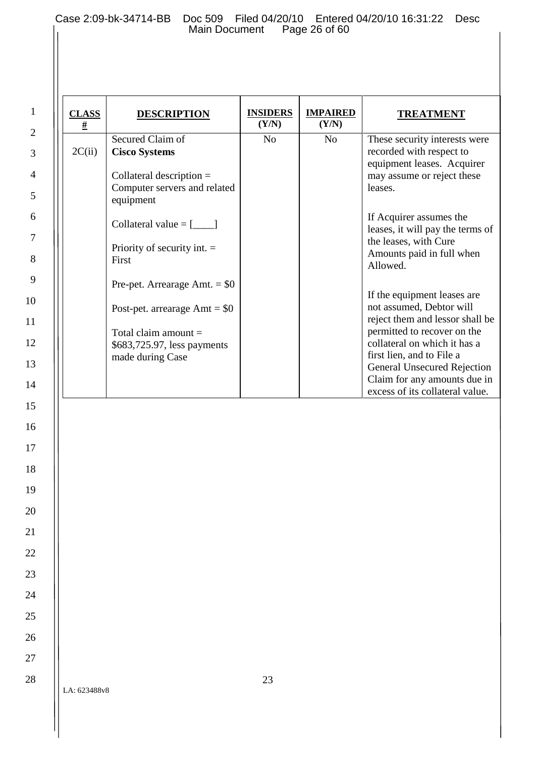| <b>CLASS</b><br><u>#</u> | <b>DESCRIPTION</b>                                                                                                                                                                                                             | <b>INSIDERS</b><br>(Y/N) | <b>IMPAIRED</b><br>(Y/N) | <b>TREATMENT</b>                                                                                                                                                                                                                                                                                                                                              |
|--------------------------|--------------------------------------------------------------------------------------------------------------------------------------------------------------------------------------------------------------------------------|--------------------------|--------------------------|---------------------------------------------------------------------------------------------------------------------------------------------------------------------------------------------------------------------------------------------------------------------------------------------------------------------------------------------------------------|
| 2C(ii)                   | Secured Claim of<br><b>Cisco Systems</b><br>Collateral description $=$<br>Computer servers and related                                                                                                                         | No                       | N <sub>o</sub>           | These security interests were<br>recorded with respect to<br>equipment leases. Acquirer<br>may assume or reject these<br>leases.                                                                                                                                                                                                                              |
|                          | equipment<br>Collateral value $=[$<br>Priority of security int. $=$<br>First<br>Pre-pet. Arrearage Amt. $=$ \$0<br>Post-pet. arrearage $Amt = $0$<br>Total claim amount $=$<br>\$683,725.97, less payments<br>made during Case |                          |                          | If Acquirer assumes the<br>leases, it will pay the terms of<br>the leases, with Cure<br>Amounts paid in full when<br>Allowed.<br>If the equipment leases are<br>not assumed, Debtor will<br>reject them and lessor shall be<br>permitted to recover on the<br>collateral on which it has a<br>first lien, and to File a<br><b>General Unsecured Rejection</b> |
|                          |                                                                                                                                                                                                                                |                          |                          | Claim for any amounts due in                                                                                                                                                                                                                                                                                                                                  |
|                          |                                                                                                                                                                                                                                |                          |                          | excess of its collateral value.                                                                                                                                                                                                                                                                                                                               |
|                          |                                                                                                                                                                                                                                |                          |                          |                                                                                                                                                                                                                                                                                                                                                               |
|                          |                                                                                                                                                                                                                                |                          |                          |                                                                                                                                                                                                                                                                                                                                                               |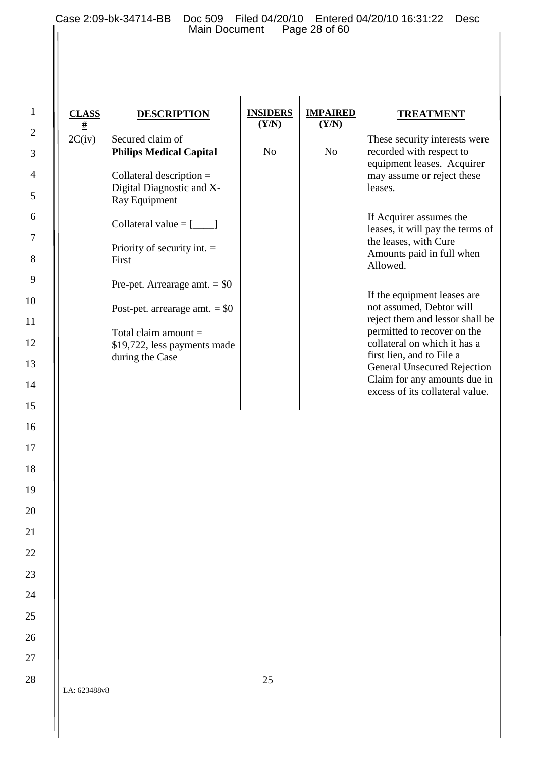| #      | <b>DESCRIPTION</b>                                                                                                                                                                                                                   | <b>INSIDERS</b><br>(Y/N) | <b>IMPAIRED</b><br>(Y/N) | <b>TREATMENT</b>                                                                                                                                                                                                                                                                                                                                              |
|--------|--------------------------------------------------------------------------------------------------------------------------------------------------------------------------------------------------------------------------------------|--------------------------|--------------------------|---------------------------------------------------------------------------------------------------------------------------------------------------------------------------------------------------------------------------------------------------------------------------------------------------------------------------------------------------------------|
| 2C(iv) | Secured claim of<br><b>Philips Medical Capital</b><br>Collateral description $=$<br>Digital Diagnostic and X-                                                                                                                        | N <sub>o</sub>           | N <sub>o</sub>           | These security interests were<br>recorded with respect to<br>equipment leases. Acquirer<br>may assume or reject these<br>leases.                                                                                                                                                                                                                              |
|        | Ray Equipment<br>Collateral value $=[$<br>Priority of security int. $=$<br>First<br>Pre-pet. Arrearage amt. $=$ \$0<br>Post-pet. arrearage amt. $=$ \$0<br>Total claim amount $=$<br>\$19,722, less payments made<br>during the Case |                          |                          | If Acquirer assumes the<br>leases, it will pay the terms of<br>the leases, with Cure<br>Amounts paid in full when<br>Allowed.<br>If the equipment leases are<br>not assumed, Debtor will<br>reject them and lessor shall be<br>permitted to recover on the<br>collateral on which it has a<br>first lien, and to File a<br><b>General Unsecured Rejection</b> |
|        |                                                                                                                                                                                                                                      |                          |                          | Claim for any amounts due in<br>excess of its collateral value.                                                                                                                                                                                                                                                                                               |
|        |                                                                                                                                                                                                                                      |                          |                          |                                                                                                                                                                                                                                                                                                                                                               |
|        |                                                                                                                                                                                                                                      |                          |                          |                                                                                                                                                                                                                                                                                                                                                               |
|        |                                                                                                                                                                                                                                      |                          |                          |                                                                                                                                                                                                                                                                                                                                                               |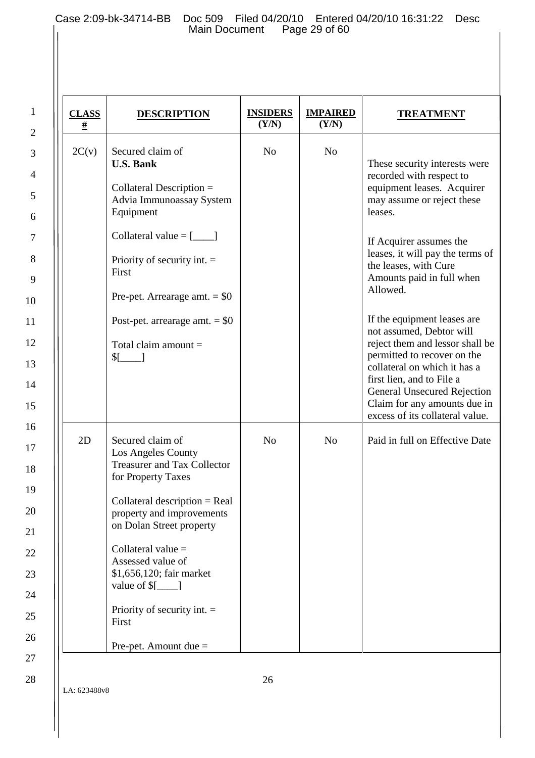2

3

4

5

6

7

8

9

10

11

12

13

14

15

16

17

18

19

20

21

22

23

24

25

26

27

28

| <b>CLASS</b><br># | <b>DESCRIPTION</b>                                                                                                                                                                                                                                                                                                                                         | <b>INSIDERS</b><br>(Y/N) | <b>IMPAIRED</b><br>(Y/N) | <b>TREATMENT</b>                                                                                                                                                                                                                                                                                                                                                                                                                                                                                                                                                     |
|-------------------|------------------------------------------------------------------------------------------------------------------------------------------------------------------------------------------------------------------------------------------------------------------------------------------------------------------------------------------------------------|--------------------------|--------------------------|----------------------------------------------------------------------------------------------------------------------------------------------------------------------------------------------------------------------------------------------------------------------------------------------------------------------------------------------------------------------------------------------------------------------------------------------------------------------------------------------------------------------------------------------------------------------|
| 2C(v)             | Secured claim of<br><b>U.S. Bank</b><br>Collateral Description $=$<br>Advia Immunoassay System<br>Equipment<br>Collateral value $=[$ ______]<br>Priority of security int. $=$<br>First<br>Pre-pet. Arrearage amt. $=$ \$0<br>Post-pet. arrearage amt. $=$ \$0<br>Total claim amount $=$<br>$\sqrt{\frac{2}{2}}$                                            | N <sub>o</sub>           | N <sub>o</sub>           | These security interests were<br>recorded with respect to<br>equipment leases. Acquirer<br>may assume or reject these<br>leases.<br>If Acquirer assumes the<br>leases, it will pay the terms of<br>the leases, with Cure<br>Amounts paid in full when<br>Allowed.<br>If the equipment leases are<br>not assumed, Debtor will<br>reject them and lessor shall be<br>permitted to recover on the<br>collateral on which it has a<br>first lien, and to File a<br><b>General Unsecured Rejection</b><br>Claim for any amounts due in<br>excess of its collateral value. |
| 2D                | Secured claim of<br>Los Angeles County<br><b>Treasurer and Tax Collector</b><br>for Property Taxes<br>Collateral description $=$ Real<br>property and improvements<br>on Dolan Street property<br>Collateral value =<br>Assessed value of<br>\$1,656,120; fair market<br>value of $[$<br>Priority of security int. $=$<br>First<br>Pre-pet. Amount due $=$ | N <sub>0</sub>           | N <sub>o</sub>           | Paid in full on Effective Date                                                                                                                                                                                                                                                                                                                                                                                                                                                                                                                                       |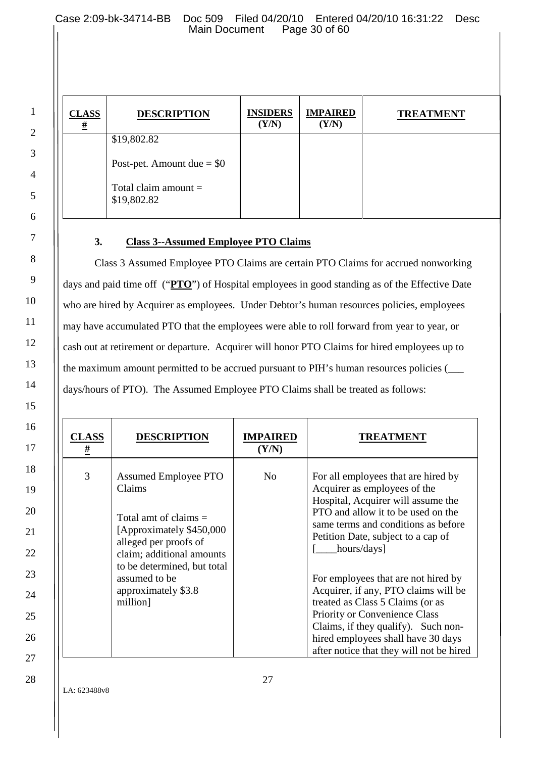Case 2:09-bk-34714-BB Doc 509 Filed 04/20/10 Entered 04/20/10 16:31:22 Desc<br>Main Document Page 30 of 60 Main Document

| <b>CLASS</b><br><u>#</u> | <b>DESCRIPTION</b>                         | <b>INSIDERS</b><br>(Y/N) | <b>IMPAIRED</b><br>(Y/N) | <b>TREATMENT</b> |
|--------------------------|--------------------------------------------|--------------------------|--------------------------|------------------|
|                          | \$19,802.82<br>Post-pet. Amount due $= $0$ |                          |                          |                  |
|                          | Total claim amount $=$<br>\$19,802.82      |                          |                          |                  |

# **3. Class 3--Assumed Employee PTO Claims**

Class 3 Assumed Employee PTO Claims are certain PTO Claims for accrued nonworking days and paid time off ("**PTO**") of Hospital employees in good standing as of the Effective Date who are hired by Acquirer as employees. Under Debtor's human resources policies, employees may have accumulated PTO that the employees were able to roll forward from year to year, or cash out at retirement or departure. Acquirer will honor PTO Claims for hired employees up to the maximum amount permitted to be accrued pursuant to PIH's human resources policies (\_\_\_ days/hours of PTO). The Assumed Employee PTO Claims shall be treated as follows:

| <b>CLASS</b><br><u>#</u> | <b>DESCRIPTION</b>                                                                                                                                                                                                                   | <b>IMPAIRED</b><br>(Y/N) | <b>TREATMENT</b>                                                                                                                                                                                                                                                                                                                                                                                                                                                                                                         |
|--------------------------|--------------------------------------------------------------------------------------------------------------------------------------------------------------------------------------------------------------------------------------|--------------------------|--------------------------------------------------------------------------------------------------------------------------------------------------------------------------------------------------------------------------------------------------------------------------------------------------------------------------------------------------------------------------------------------------------------------------------------------------------------------------------------------------------------------------|
| 3                        | <b>Assumed Employee PTO</b><br>Claims<br>Total amt of claims $=$<br>[Approximately \$450,000<br>alleged per proofs of<br>claim; additional amounts<br>to be determined, but total<br>assumed to be<br>approximately \$3.8<br>million | N <sub>0</sub>           | For all employees that are hired by<br>Acquirer as employees of the<br>Hospital, Acquirer will assume the<br>PTO and allow it to be used on the<br>same terms and conditions as before<br>Petition Date, subject to a cap of<br>hours/days]<br>For employees that are not hired by<br>Acquirer, if any, PTO claims will be<br>treated as Class 5 Claims (or as<br>Priority or Convenience Class<br>Claims, if they qualify). Such non-<br>hired employees shall have 30 days<br>after notice that they will not be hired |

LA: 623488v8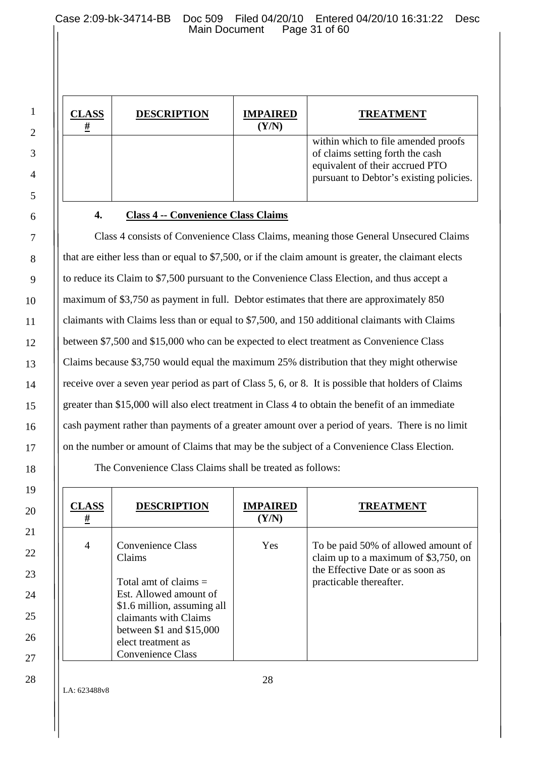Case 2:09-bk-34714-BB Doc 509 Filed 04/20/10 Entered 04/20/10 16:31:22 Desc<br>Main Document Page 31 of 60 Main Document

| <b>CLASS</b><br># | <b>DESCRIPTION</b> | <b>IMPAIRED</b><br>(Y/N) | <b>TREATMENT</b>                                                                                                                                      |
|-------------------|--------------------|--------------------------|-------------------------------------------------------------------------------------------------------------------------------------------------------|
|                   |                    |                          | within which to file amended proofs<br>of claims setting forth the cash<br>equivalent of their accrued PTO<br>pursuant to Debtor's existing policies. |

# **4. Class 4 -- Convenience Class Claims**

Class 4 consists of Convenience Class Claims, meaning those General Unsecured Claims that are either less than or equal to \$7,500, or if the claim amount is greater, the claimant elects to reduce its Claim to \$7,500 pursuant to the Convenience Class Election, and thus accept a maximum of \$3,750 as payment in full. Debtor estimates that there are approximately 850 claimants with Claims less than or equal to \$7,500, and 150 additional claimants with Claims between \$7,500 and \$15,000 who can be expected to elect treatment as Convenience Class Claims because \$3,750 would equal the maximum 25% distribution that they might otherwise receive over a seven year period as part of Class 5, 6, or 8. It is possible that holders of Claims greater than \$15,000 will also elect treatment in Class 4 to obtain the benefit of an immediate cash payment rather than payments of a greater amount over a period of years. There is no limit on the number or amount of Claims that may be the subject of a Convenience Class Election.

The Convenience Class Claims shall be treated as follows:

| CLASS<br>#     | <b>DESCRIPTION</b>                                   | <b>IMPAIRED</b><br>(Y/N) | <b>TREATMENT</b>                                                                                                |
|----------------|------------------------------------------------------|--------------------------|-----------------------------------------------------------------------------------------------------------------|
| $\overline{4}$ | <b>Convenience Class</b><br>Claims                   | Yes                      | To be paid 50% of allowed amount of<br>claim up to a maximum of \$3,750, on<br>the Effective Date or as soon as |
|                | Total amt of claims $=$                              |                          | practicable thereafter.                                                                                         |
|                | Est. Allowed amount of                               |                          |                                                                                                                 |
|                | \$1.6 million, assuming all<br>claimants with Claims |                          |                                                                                                                 |
|                | between $$1$ and $$15,000$                           |                          |                                                                                                                 |
|                | elect treatment as                                   |                          |                                                                                                                 |
|                | <b>Convenience Class</b>                             |                          |                                                                                                                 |

LA: 623488v8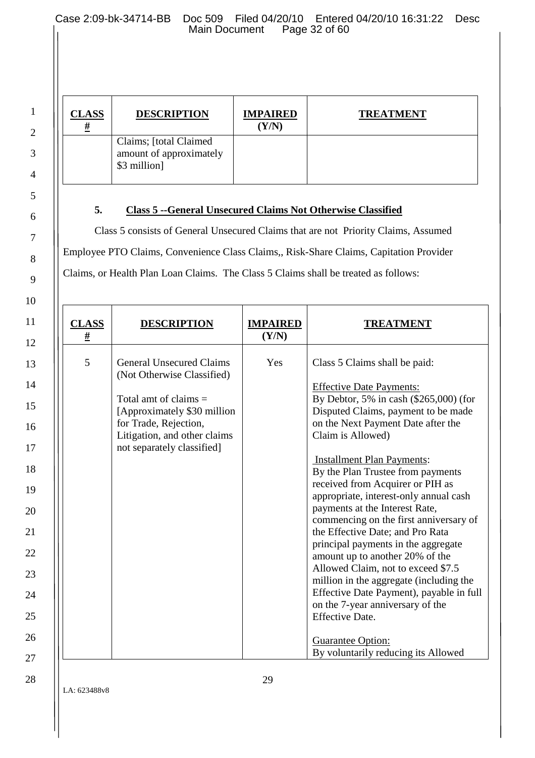Case 2:09-bk-34714-BB Doc 509 Filed 04/20/10 Entered 04/20/10 16:31:22 Desc<br>Main Document Page 32 of 60 Main Document

| <b>CLASS</b><br><u>#</u> | <b>DESCRIPTION</b>                                                 | <b>IMPAIRED</b><br>(Y/N) | <b>TREATMENT</b> |
|--------------------------|--------------------------------------------------------------------|--------------------------|------------------|
|                          | Claims; [total Claimed]<br>amount of approximately<br>\$3 million] |                          |                  |

# **5. Class 5 --General Unsecured Claims Not Otherwise Classified**

Class 5 consists of General Unsecured Claims that are not Priority Claims, Assumed Employee PTO Claims, Convenience Class Claims,, Risk-Share Claims, Capitation Provider Claims, or Health Plan Loan Claims. The Class 5 Claims shall be treated as follows:

| <b>CLASS</b><br><u>#</u> | DESCRIPTION                                                                                                                                                                                                    | <b>IMPAIRED</b><br>(Y/N) | TREATMENT                                                                                                                                                                                                                                                                                                                                                                                                                                                                                                                                                                                                                                                                                                                                                                                                               |
|--------------------------|----------------------------------------------------------------------------------------------------------------------------------------------------------------------------------------------------------------|--------------------------|-------------------------------------------------------------------------------------------------------------------------------------------------------------------------------------------------------------------------------------------------------------------------------------------------------------------------------------------------------------------------------------------------------------------------------------------------------------------------------------------------------------------------------------------------------------------------------------------------------------------------------------------------------------------------------------------------------------------------------------------------------------------------------------------------------------------------|
| 5                        | <b>General Unsecured Claims</b><br>(Not Otherwise Classified)<br>Total amt of claims $=$<br>[Approximately \$30 million<br>for Trade, Rejection,<br>Litigation, and other claims<br>not separately classified] | Yes                      | Class 5 Claims shall be paid:<br><b>Effective Date Payments:</b><br>By Debtor, 5% in cash $(\$265,000)$ (for<br>Disputed Claims, payment to be made<br>on the Next Payment Date after the<br>Claim is Allowed)<br><b>Installment Plan Payments:</b><br>By the Plan Trustee from payments<br>received from Acquirer or PIH as<br>appropriate, interest-only annual cash<br>payments at the Interest Rate,<br>commencing on the first anniversary of<br>the Effective Date; and Pro Rata<br>principal payments in the aggregate<br>amount up to another 20% of the<br>Allowed Claim, not to exceed \$7.5<br>million in the aggregate (including the<br>Effective Date Payment), payable in full<br>on the 7-year anniversary of the<br><b>Effective Date.</b><br>Guarantee Option:<br>By voluntarily reducing its Allowed |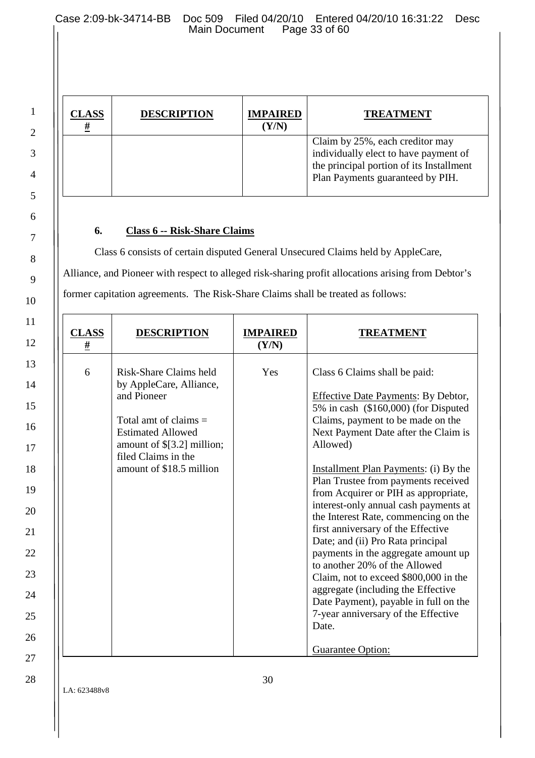Case 2:09-bk-34714-BB Doc 509 Filed 04/20/10 Entered 04/20/10 16:31:22 Desc<br>Main Document Page 33 of 60 Main Document

| CLASS<br>Ħ | <b>DESCRIPTION</b> | <b>IMPAIRED</b><br>(Y/N) | <b>TREATMENT</b>                                                                                                                                         |
|------------|--------------------|--------------------------|----------------------------------------------------------------------------------------------------------------------------------------------------------|
|            |                    |                          | Claim by 25%, each creditor may<br>individually elect to have payment of<br>the principal portion of its Installment<br>Plan Payments guaranteed by PIH. |

#### **6. Class 6 -- Risk-Share Claims**

1

2

3

4

5

6

7

8

9

10

11

12

13

14

15

16

17

18

19

20

21

22

23

24

25

26

27

28

Class 6 consists of certain disputed General Unsecured Claims held by AppleCare, Alliance, and Pioneer with respect to alleged risk-sharing profit allocations arising from Debtor's former capitation agreements. The Risk-Share Claims shall be treated as follows:

| <b>CLASS</b><br><u>#</u> | <b>DESCRIPTION</b>                                                                                                                                                                                       | <b>IMPAIRED</b><br>(Y/N) | TREATMENT                                                                                                                                                                                                                                                                                                                                                                                                                                                                                                                                                                                                                                                                                                                                                                           |
|--------------------------|----------------------------------------------------------------------------------------------------------------------------------------------------------------------------------------------------------|--------------------------|-------------------------------------------------------------------------------------------------------------------------------------------------------------------------------------------------------------------------------------------------------------------------------------------------------------------------------------------------------------------------------------------------------------------------------------------------------------------------------------------------------------------------------------------------------------------------------------------------------------------------------------------------------------------------------------------------------------------------------------------------------------------------------------|
| 6                        | Risk-Share Claims held<br>by AppleCare, Alliance,<br>and Pioneer<br>Total amt of claims $=$<br><b>Estimated Allowed</b><br>amount of \$[3.2] million;<br>filed Claims in the<br>amount of \$18.5 million | Yes                      | Class 6 Claims shall be paid:<br><b>Effective Date Payments: By Debtor,</b><br>5% in cash (\$160,000) (for Disputed<br>Claims, payment to be made on the<br>Next Payment Date after the Claim is<br>Allowed)<br><b>Installment Plan Payments:</b> (i) By the<br>Plan Trustee from payments received<br>from Acquirer or PIH as appropriate,<br>interest-only annual cash payments at<br>the Interest Rate, commencing on the<br>first anniversary of the Effective<br>Date; and (ii) Pro Rata principal<br>payments in the aggregate amount up<br>to another 20% of the Allowed<br>Claim, not to exceed \$800,000 in the<br>aggregate (including the Effective<br>Date Payment), payable in full on the<br>7-year anniversary of the Effective<br>Date.<br><b>Guarantee Option:</b> |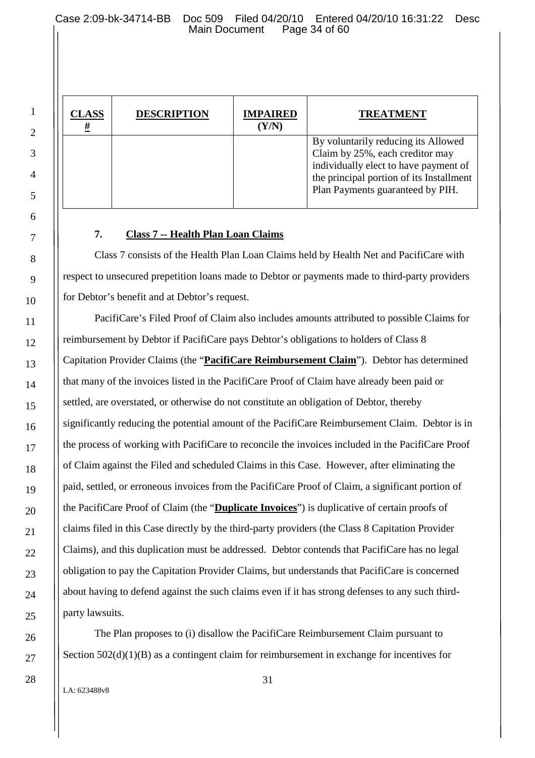Case 2:09-bk-34714-BB Doc 509 Filed 04/20/10 Entered 04/20/10 16:31:22 Desc Main Document

| CLASS | <b>DESCRIPTION</b> | <b>IMPAIRED</b><br>$(\mathbf{Y}/\mathbf{N})$ | <b>TREATMENT</b>                                                                                                                                                                                |
|-------|--------------------|----------------------------------------------|-------------------------------------------------------------------------------------------------------------------------------------------------------------------------------------------------|
|       |                    |                                              | By voluntarily reducing its Allowed<br>Claim by 25%, each creditor may<br>individually elect to have payment of<br>the principal portion of its Installment<br>Plan Payments guaranteed by PIH. |

# **7. Class 7 -- Health Plan Loan Claims**

Class 7 consists of the Health Plan Loan Claims held by Health Net and PacifiCare with respect to unsecured prepetition loans made to Debtor or payments made to third-party providers for Debtor's benefit and at Debtor's request.

PacifiCare's Filed Proof of Claim also includes amounts attributed to possible Claims for reimbursement by Debtor if PacifiCare pays Debtor's obligations to holders of Class 8 Capitation Provider Claims (the "**PacifiCare Reimbursement Claim**"). Debtor has determined that many of the invoices listed in the PacifiCare Proof of Claim have already been paid or settled, are overstated, or otherwise do not constitute an obligation of Debtor, thereby significantly reducing the potential amount of the PacifiCare Reimbursement Claim. Debtor is in the process of working with PacifiCare to reconcile the invoices included in the PacifiCare Proof of Claim against the Filed and scheduled Claims in this Case. However, after eliminating the paid, settled, or erroneous invoices from the PacifiCare Proof of Claim, a significant portion of the PacifiCare Proof of Claim (the "**Duplicate Invoices**") is duplicative of certain proofs of claims filed in this Case directly by the third-party providers (the Class 8 Capitation Provider Claims), and this duplication must be addressed. Debtor contends that PacifiCare has no legal obligation to pay the Capitation Provider Claims, but understands that PacifiCare is concerned about having to defend against the such claims even if it has strong defenses to any such thirdparty lawsuits.

The Plan proposes to (i) disallow the PacifiCare Reimbursement Claim pursuant to Section 502(d)(1)(B) as a contingent claim for reimbursement in exchange for incentives for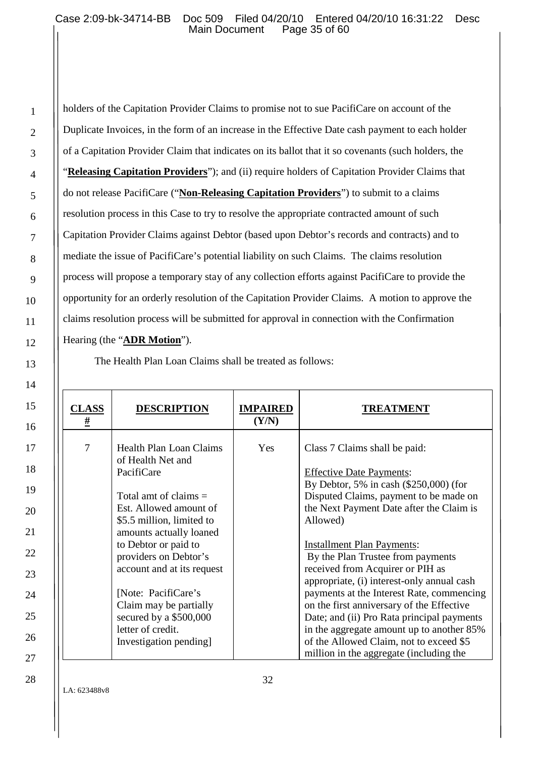holders of the Capitation Provider Claims to promise not to sue PacifiCare on account of the Duplicate Invoices, in the form of an increase in the Effective Date cash payment to each holder of a Capitation Provider Claim that indicates on its ballot that it so covenants (such holders, the "**Releasing Capitation Providers**"); and (ii) require holders of Capitation Provider Claims that do not release PacifiCare ("**Non-Releasing Capitation Providers**") to submit to a claims resolution process in this Case to try to resolve the appropriate contracted amount of such Capitation Provider Claims against Debtor (based upon Debtor's records and contracts) and to mediate the issue of PacifiCare's potential liability on such Claims. The claims resolution process will propose a temporary stay of any collection efforts against PacifiCare to provide the opportunity for an orderly resolution of the Capitation Provider Claims. A motion to approve the claims resolution process will be submitted for approval in connection with the Confirmation Hearing (the "**ADR Motion**").

The Health Plan Loan Claims shall be treated as follows:

| <u>CLASS</u><br><u>#</u> | <b>DESCRIPTION</b>                                                                                                                                                                                                                                                                                                                                                                      | <b>IMPAIRED</b><br>(Y/N) | <b>TREATMENT</b>                                                                                                                                                                                                                                                                                                                                                                                                                                                                                                                                                                                                                                      |
|--------------------------|-----------------------------------------------------------------------------------------------------------------------------------------------------------------------------------------------------------------------------------------------------------------------------------------------------------------------------------------------------------------------------------------|--------------------------|-------------------------------------------------------------------------------------------------------------------------------------------------------------------------------------------------------------------------------------------------------------------------------------------------------------------------------------------------------------------------------------------------------------------------------------------------------------------------------------------------------------------------------------------------------------------------------------------------------------------------------------------------------|
| 7                        | <b>Health Plan Loan Claims</b><br>of Health Net and<br>PacifiCare<br>Total amt of claims $=$<br>Est. Allowed amount of<br>\$5.5 million, limited to<br>amounts actually loaned<br>to Debtor or paid to<br>providers on Debtor's<br>account and at its request<br>[Note: PacifiCare's<br>Claim may be partially<br>secured by a \$500,000<br>letter of credit.<br>Investigation pending. | Yes                      | Class 7 Claims shall be paid:<br><b>Effective Date Payments:</b><br>By Debtor, 5% in cash $(\$250,000)$ (for<br>Disputed Claims, payment to be made on<br>the Next Payment Date after the Claim is<br>Allowed)<br><b>Installment Plan Payments:</b><br>By the Plan Trustee from payments<br>received from Acquirer or PIH as<br>appropriate, (i) interest-only annual cash<br>payments at the Interest Rate, commencing<br>on the first anniversary of the Effective<br>Date; and (ii) Pro Rata principal payments<br>in the aggregate amount up to another 85%<br>of the Allowed Claim, not to exceed \$5<br>million in the aggregate (including the |

1

2

3

4

5

6

7

8

9

10

11

12

13

14

15

16

17

18

19

20

21

22

23

24

25

26

27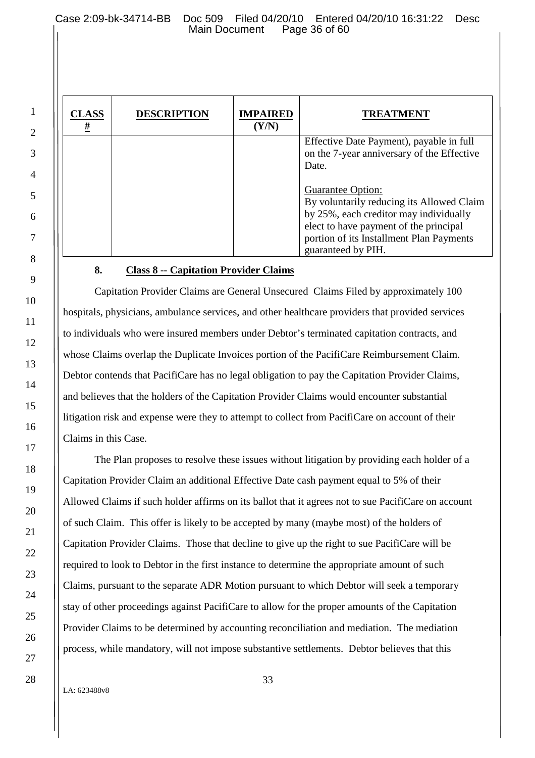| <b>CLASS</b><br># | <b>DESCRIPTION</b> | <b>IMPAIRED</b><br>(Y/N) | <b>TREATMENT</b>                                                                                                                                                                                                            |
|-------------------|--------------------|--------------------------|-----------------------------------------------------------------------------------------------------------------------------------------------------------------------------------------------------------------------------|
|                   |                    |                          | Effective Date Payment), payable in full<br>on the 7-year anniversary of the Effective<br>Date.                                                                                                                             |
|                   |                    |                          | <b>Guarantee Option:</b><br>By voluntarily reducing its Allowed Claim<br>by 25%, each creditor may individually<br>elect to have payment of the principal<br>portion of its Installment Plan Payments<br>guaranteed by PIH. |

# **8. Class 8 -- Capitation Provider Claims**

Capitation Provider Claims are General Unsecured Claims Filed by approximately 100 hospitals, physicians, ambulance services, and other healthcare providers that provided services to individuals who were insured members under Debtor's terminated capitation contracts, and whose Claims overlap the Duplicate Invoices portion of the PacifiCare Reimbursement Claim. Debtor contends that PacifiCare has no legal obligation to pay the Capitation Provider Claims, and believes that the holders of the Capitation Provider Claims would encounter substantial litigation risk and expense were they to attempt to collect from PacifiCare on account of their Claims in this Case.

The Plan proposes to resolve these issues without litigation by providing each holder of a Capitation Provider Claim an additional Effective Date cash payment equal to 5% of their Allowed Claims if such holder affirms on its ballot that it agrees not to sue PacifiCare on account of such Claim. This offer is likely to be accepted by many (maybe most) of the holders of Capitation Provider Claims. Those that decline to give up the right to sue PacifiCare will be required to look to Debtor in the first instance to determine the appropriate amount of such Claims, pursuant to the separate ADR Motion pursuant to which Debtor will seek a temporary stay of other proceedings against PacifiCare to allow for the proper amounts of the Capitation Provider Claims to be determined by accounting reconciliation and mediation. The mediation process, while mandatory, will not impose substantive settlements. Debtor believes that this

LA: 623488v8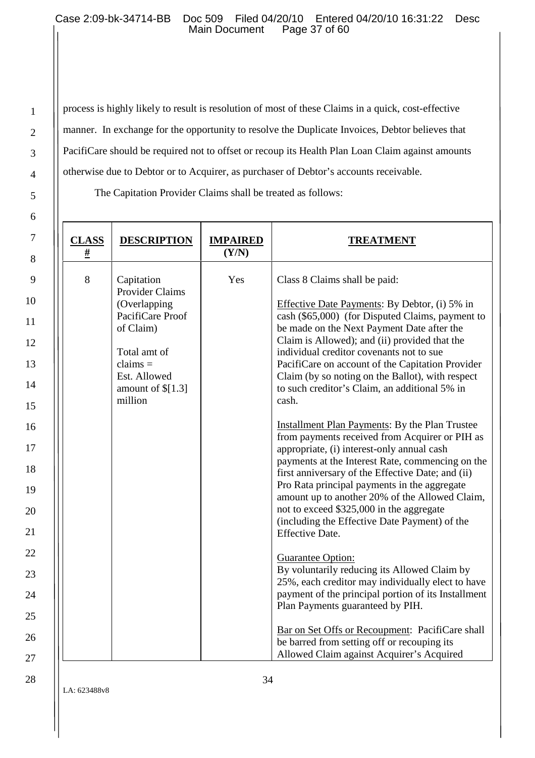2

3

4

5

6

7

8

9

10

11

12

13

14

15

16

17

18

19

20

21

22

23

24

25

26

27

28

process is highly likely to result is resolution of most of these Claims in a quick, cost-effective manner. In exchange for the opportunity to resolve the Duplicate Invoices, Debtor believes that PacifiCare should be required not to offset or recoup its Health Plan Loan Claim against amounts otherwise due to Debtor or to Acquirer, as purchaser of Debtor's accounts receivable.

The Capitation Provider Claims shall be treated as follows:

| <b>CLASS</b><br># | <b>DESCRIPTION</b>                                                                                                                                                   | <b>IMPAIRED</b><br>(Y/N) | <b>TREATMENT</b>                                                                                                                                                                                                                                                                                                                                                                                                                                                                                                                                                                                                                                                                                                                                                                                                                                                                                                                                                                                                                                                                                                                                                                                                                                                                                               |
|-------------------|----------------------------------------------------------------------------------------------------------------------------------------------------------------------|--------------------------|----------------------------------------------------------------------------------------------------------------------------------------------------------------------------------------------------------------------------------------------------------------------------------------------------------------------------------------------------------------------------------------------------------------------------------------------------------------------------------------------------------------------------------------------------------------------------------------------------------------------------------------------------------------------------------------------------------------------------------------------------------------------------------------------------------------------------------------------------------------------------------------------------------------------------------------------------------------------------------------------------------------------------------------------------------------------------------------------------------------------------------------------------------------------------------------------------------------------------------------------------------------------------------------------------------------|
| 8                 | Capitation<br><b>Provider Claims</b><br>(Overlapping<br>PacifiCare Proof<br>of Claim)<br>Total amt of<br>$clains =$<br>Est. Allowed<br>amount of $\[1.3]$<br>million | Yes                      | Class 8 Claims shall be paid:<br>Effective Date Payments: By Debtor, (i) 5% in<br>cash (\$65,000) (for Disputed Claims, payment to<br>be made on the Next Payment Date after the<br>Claim is Allowed); and (ii) provided that the<br>individual creditor covenants not to sue<br>PacifiCare on account of the Capitation Provider<br>Claim (by so noting on the Ballot), with respect<br>to such creditor's Claim, an additional 5% in<br>cash.<br><b>Installment Plan Payments: By the Plan Trustee</b><br>from payments received from Acquirer or PIH as<br>appropriate, (i) interest-only annual cash<br>payments at the Interest Rate, commencing on the<br>first anniversary of the Effective Date; and (ii)<br>Pro Rata principal payments in the aggregate<br>amount up to another 20% of the Allowed Claim,<br>not to exceed \$325,000 in the aggregate<br>(including the Effective Date Payment) of the<br><b>Effective Date.</b><br>Guarantee Option:<br>By voluntarily reducing its Allowed Claim by<br>25%, each creditor may individually elect to have<br>payment of the principal portion of its Installment<br>Plan Payments guaranteed by PIH.<br>Bar on Set Offs or Recoupment: PacifiCare shall<br>be barred from setting off or recouping its<br>Allowed Claim against Acquirer's Acquired |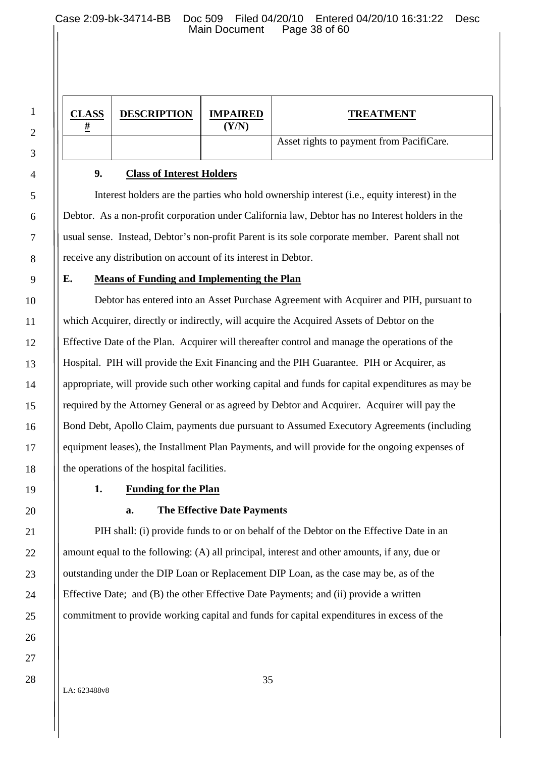Case 2:09-bk-34714-BB Doc 509 Filed 04/20/10 Entered 04/20/10 16:31:22 Desc Main Document

| <b>CLASS</b> | <b>DESCRIPTION</b> | <b>IMPAIRED</b><br>(Y/N) | <b>TREATMENT</b>                         |
|--------------|--------------------|--------------------------|------------------------------------------|
|              |                    |                          | Asset rights to payment from PacifiCare. |

#### **9. Class of Interest Holders**

Interest holders are the parties who hold ownership interest (i.e., equity interest) in the Debtor. As a non-profit corporation under California law, Debtor has no Interest holders in the usual sense. Instead, Debtor's non-profit Parent is its sole corporate member. Parent shall not receive any distribution on account of its interest in Debtor.

#### **E. Means of Funding and Implementing the Plan**

Debtor has entered into an Asset Purchase Agreement with Acquirer and PIH, pursuant to which Acquirer, directly or indirectly, will acquire the Acquired Assets of Debtor on the Effective Date of the Plan. Acquirer will thereafter control and manage the operations of the Hospital. PIH will provide the Exit Financing and the PIH Guarantee. PIH or Acquirer, as appropriate, will provide such other working capital and funds for capital expenditures as may be required by the Attorney General or as agreed by Debtor and Acquirer. Acquirer will pay the Bond Debt, Apollo Claim, payments due pursuant to Assumed Executory Agreements (including equipment leases), the Installment Plan Payments, and will provide for the ongoing expenses of the operations of the hospital facilities.

## **1. Funding for the Plan**

#### **a. The Effective Date Payments**

PIH shall: (i) provide funds to or on behalf of the Debtor on the Effective Date in an amount equal to the following: (A) all principal, interest and other amounts, if any, due or outstanding under the DIP Loan or Replacement DIP Loan, as the case may be, as of the Effective Date; and (B) the other Effective Date Payments; and (ii) provide a written commitment to provide working capital and funds for capital expenditures in excess of the

LA: 623488v8

1

2

3

4

5

6

7

8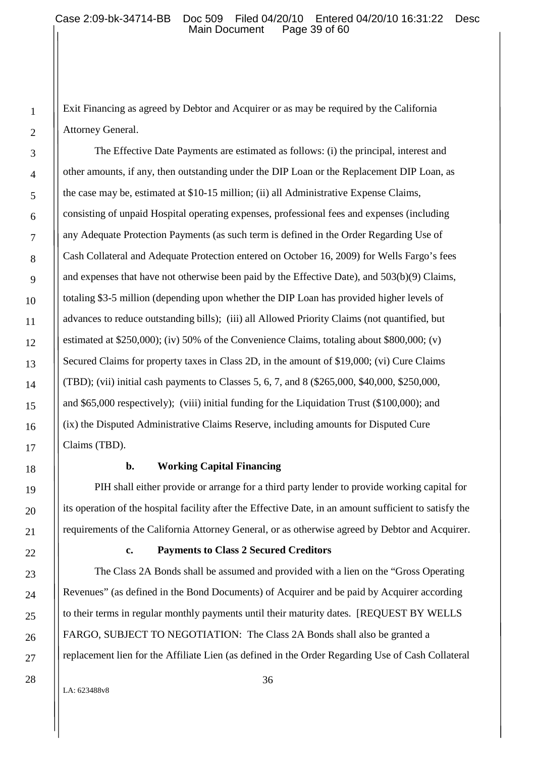Exit Financing as agreed by Debtor and Acquirer or as may be required by the California Attorney General.

The Effective Date Payments are estimated as follows: (i) the principal, interest and other amounts, if any, then outstanding under the DIP Loan or the Replacement DIP Loan, as the case may be, estimated at \$10-15 million; (ii) all Administrative Expense Claims, consisting of unpaid Hospital operating expenses, professional fees and expenses (including any Adequate Protection Payments (as such term is defined in the Order Regarding Use of Cash Collateral and Adequate Protection entered on October 16, 2009) for Wells Fargo's fees and expenses that have not otherwise been paid by the Effective Date), and 503(b)(9) Claims, totaling \$3-5 million (depending upon whether the DIP Loan has provided higher levels of advances to reduce outstanding bills); (iii) all Allowed Priority Claims (not quantified, but estimated at \$250,000); (iv) 50% of the Convenience Claims, totaling about \$800,000; (v) Secured Claims for property taxes in Class 2D, in the amount of \$19,000; (vi) Cure Claims (TBD); (vii) initial cash payments to Classes 5, 6, 7, and 8 (\$265,000, \$40,000, \$250,000, and \$65,000 respectively); (viii) initial funding for the Liquidation Trust (\$100,000); and (ix) the Disputed Administrative Claims Reserve, including amounts for Disputed Cure Claims (TBD).

#### **b. Working Capital Financing**

PIH shall either provide or arrange for a third party lender to provide working capital for its operation of the hospital facility after the Effective Date, in an amount sufficient to satisfy the requirements of the California Attorney General, or as otherwise agreed by Debtor and Acquirer.

#### **c. Payments to Class 2 Secured Creditors**

The Class 2A Bonds shall be assumed and provided with a lien on the "Gross Operating Revenues" (as defined in the Bond Documents) of Acquirer and be paid by Acquirer according to their terms in regular monthly payments until their maturity dates. [REQUEST BY WELLS FARGO, SUBJECT TO NEGOTIATION: The Class 2A Bonds shall also be granted a replacement lien for the Affiliate Lien (as defined in the Order Regarding Use of Cash Collateral

LA: 623488v8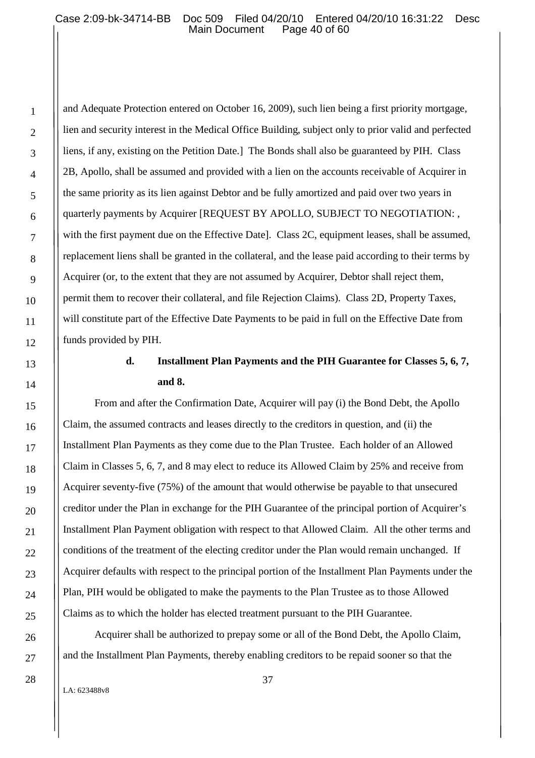and Adequate Protection entered on October 16, 2009), such lien being a first priority mortgage, lien and security interest in the Medical Office Building, subject only to prior valid and perfected liens, if any, existing on the Petition Date.] The Bonds shall also be guaranteed by PIH. Class 2B, Apollo, shall be assumed and provided with a lien on the accounts receivable of Acquirer in the same priority as its lien against Debtor and be fully amortized and paid over two years in quarterly payments by Acquirer [REQUEST BY APOLLO, SUBJECT TO NEGOTIATION: , with the first payment due on the Effective Datel. Class 2C, equipment leases, shall be assumed, replacement liens shall be granted in the collateral, and the lease paid according to their terms by Acquirer (or, to the extent that they are not assumed by Acquirer, Debtor shall reject them, permit them to recover their collateral, and file Rejection Claims). Class 2D, Property Taxes, will constitute part of the Effective Date Payments to be paid in full on the Effective Date from funds provided by PIH.

# **d. Installment Plan Payments and the PIH Guarantee for Classes 5, 6, 7, and 8.**

From and after the Confirmation Date, Acquirer will pay (i) the Bond Debt, the Apollo Claim, the assumed contracts and leases directly to the creditors in question, and (ii) the Installment Plan Payments as they come due to the Plan Trustee. Each holder of an Allowed Claim in Classes 5, 6, 7, and 8 may elect to reduce its Allowed Claim by 25% and receive from Acquirer seventy-five (75%) of the amount that would otherwise be payable to that unsecured creditor under the Plan in exchange for the PIH Guarantee of the principal portion of Acquirer's Installment Plan Payment obligation with respect to that Allowed Claim. All the other terms and conditions of the treatment of the electing creditor under the Plan would remain unchanged. If Acquirer defaults with respect to the principal portion of the Installment Plan Payments under the Plan, PIH would be obligated to make the payments to the Plan Trustee as to those Allowed Claims as to which the holder has elected treatment pursuant to the PIH Guarantee.

Acquirer shall be authorized to prepay some or all of the Bond Debt, the Apollo Claim, and the Installment Plan Payments, thereby enabling creditors to be repaid sooner so that the

LA: 623488v8

1

2

3

4

5

6

7

8

9

10

11

12

13

14

15

16

17

18

19

20

21

22

23

24

25

26

27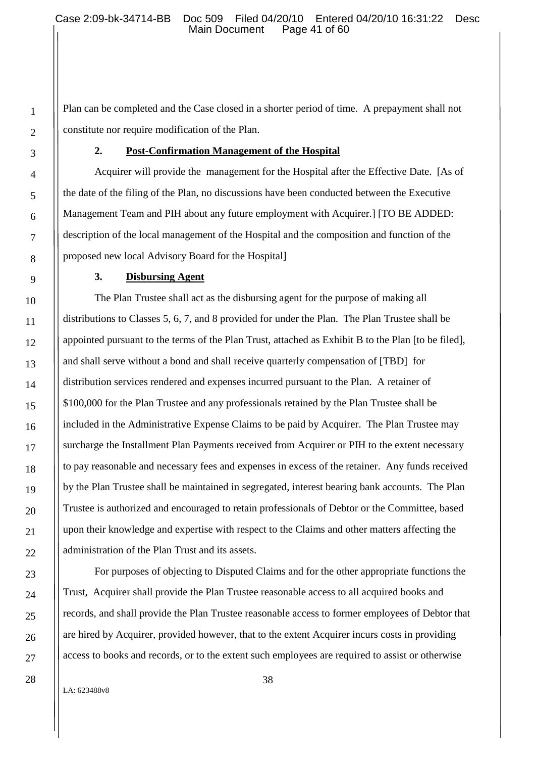Plan can be completed and the Case closed in a shorter period of time. A prepayment shall not constitute nor require modification of the Plan.

#### **2. Post-Confirmation Management of the Hospital**

Acquirer will provide the management for the Hospital after the Effective Date. [As of the date of the filing of the Plan, no discussions have been conducted between the Executive Management Team and PIH about any future employment with Acquirer.] [TO BE ADDED: description of the local management of the Hospital and the composition and function of the proposed new local Advisory Board for the Hospital]

#### **3. Disbursing Agent**

The Plan Trustee shall act as the disbursing agent for the purpose of making all distributions to Classes 5, 6, 7, and 8 provided for under the Plan. The Plan Trustee shall be appointed pursuant to the terms of the Plan Trust, attached as Exhibit B to the Plan [to be filed], and shall serve without a bond and shall receive quarterly compensation of [TBD] for distribution services rendered and expenses incurred pursuant to the Plan. A retainer of \$100,000 for the Plan Trustee and any professionals retained by the Plan Trustee shall be included in the Administrative Expense Claims to be paid by Acquirer. The Plan Trustee may surcharge the Installment Plan Payments received from Acquirer or PIH to the extent necessary to pay reasonable and necessary fees and expenses in excess of the retainer. Any funds received by the Plan Trustee shall be maintained in segregated, interest bearing bank accounts. The Plan Trustee is authorized and encouraged to retain professionals of Debtor or the Committee, based upon their knowledge and expertise with respect to the Claims and other matters affecting the administration of the Plan Trust and its assets.

For purposes of objecting to Disputed Claims and for the other appropriate functions the Trust, Acquirer shall provide the Plan Trustee reasonable access to all acquired books and records, and shall provide the Plan Trustee reasonable access to former employees of Debtor that are hired by Acquirer, provided however, that to the extent Acquirer incurs costs in providing access to books and records, or to the extent such employees are required to assist or otherwise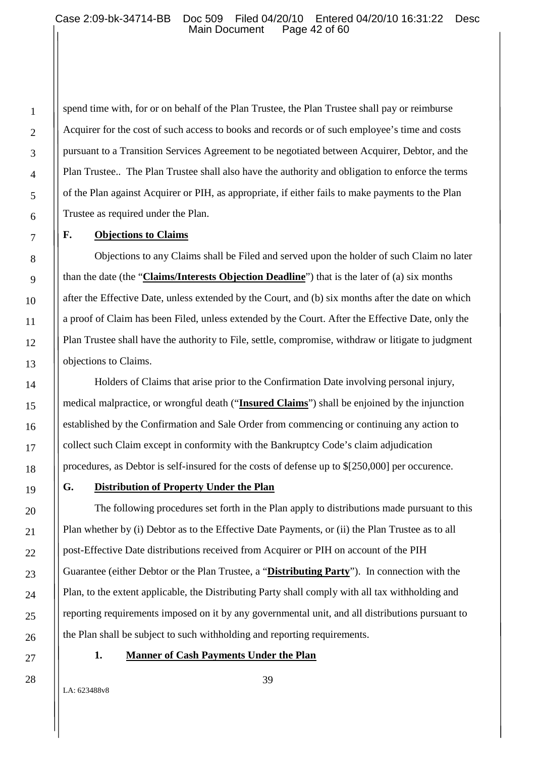spend time with, for or on behalf of the Plan Trustee, the Plan Trustee shall pay or reimburse Acquirer for the cost of such access to books and records or of such employee's time and costs pursuant to a Transition Services Agreement to be negotiated between Acquirer, Debtor, and the Plan Trustee.. The Plan Trustee shall also have the authority and obligation to enforce the terms of the Plan against Acquirer or PIH, as appropriate, if either fails to make payments to the Plan Trustee as required under the Plan.

#### **F. Objections to Claims**

Objections to any Claims shall be Filed and served upon the holder of such Claim no later than the date (the "**Claims/Interests Objection Deadline**") that is the later of (a) six months after the Effective Date, unless extended by the Court, and (b) six months after the date on which a proof of Claim has been Filed, unless extended by the Court. After the Effective Date, only the Plan Trustee shall have the authority to File, settle, compromise, withdraw or litigate to judgment objections to Claims.

Holders of Claims that arise prior to the Confirmation Date involving personal injury, medical malpractice, or wrongful death ("**Insured Claims**") shall be enjoined by the injunction established by the Confirmation and Sale Order from commencing or continuing any action to collect such Claim except in conformity with the Bankruptcy Code's claim adjudication procedures, as Debtor is self-insured for the costs of defense up to \$[250,000] per occurence.

#### **G. Distribution of Property Under the Plan**

The following procedures set forth in the Plan apply to distributions made pursuant to this Plan whether by (i) Debtor as to the Effective Date Payments, or (ii) the Plan Trustee as to all post-Effective Date distributions received from Acquirer or PIH on account of the PIH Guarantee (either Debtor or the Plan Trustee, a "**Distributing Party**"). In connection with the Plan, to the extent applicable, the Distributing Party shall comply with all tax withholding and reporting requirements imposed on it by any governmental unit, and all distributions pursuant to the Plan shall be subject to such withholding and reporting requirements.

#### **1. Manner of Cash Payments Under the Plan**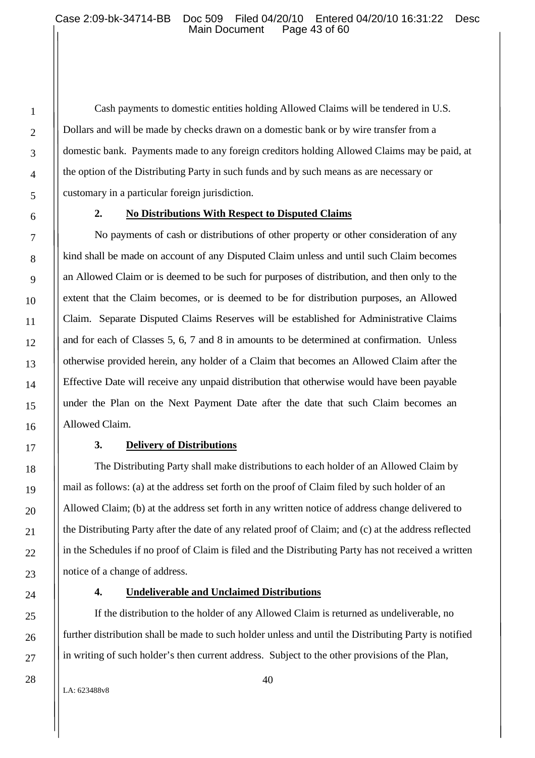Cash payments to domestic entities holding Allowed Claims will be tendered in U.S. Dollars and will be made by checks drawn on a domestic bank or by wire transfer from a domestic bank. Payments made to any foreign creditors holding Allowed Claims may be paid, at the option of the Distributing Party in such funds and by such means as are necessary or customary in a particular foreign jurisdiction.

#### **2. No Distributions With Respect to Disputed Claims**

No payments of cash or distributions of other property or other consideration of any kind shall be made on account of any Disputed Claim unless and until such Claim becomes an Allowed Claim or is deemed to be such for purposes of distribution, and then only to the extent that the Claim becomes, or is deemed to be for distribution purposes, an Allowed Claim. Separate Disputed Claims Reserves will be established for Administrative Claims and for each of Classes 5, 6, 7 and 8 in amounts to be determined at confirmation. Unless otherwise provided herein, any holder of a Claim that becomes an Allowed Claim after the Effective Date will receive any unpaid distribution that otherwise would have been payable under the Plan on the Next Payment Date after the date that such Claim becomes an Allowed Claim.

#### **3. Delivery of Distributions**

The Distributing Party shall make distributions to each holder of an Allowed Claim by mail as follows: (a) at the address set forth on the proof of Claim filed by such holder of an Allowed Claim; (b) at the address set forth in any written notice of address change delivered to the Distributing Party after the date of any related proof of Claim; and (c) at the address reflected in the Schedules if no proof of Claim is filed and the Distributing Party has not received a written notice of a change of address.

#### **4. Undeliverable and Unclaimed Distributions**

If the distribution to the holder of any Allowed Claim is returned as undeliverable, no further distribution shall be made to such holder unless and until the Distributing Party is notified in writing of such holder's then current address. Subject to the other provisions of the Plan,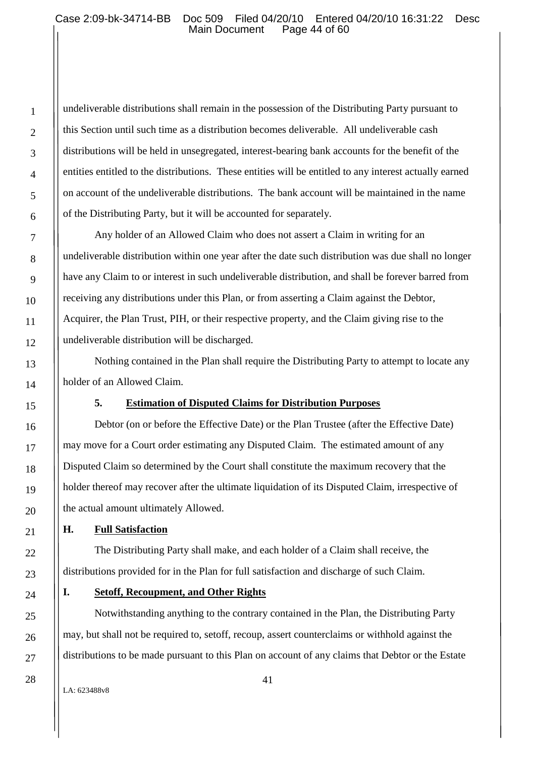undeliverable distributions shall remain in the possession of the Distributing Party pursuant to this Section until such time as a distribution becomes deliverable. All undeliverable cash distributions will be held in unsegregated, interest-bearing bank accounts for the benefit of the entities entitled to the distributions. These entities will be entitled to any interest actually earned on account of the undeliverable distributions. The bank account will be maintained in the name of the Distributing Party, but it will be accounted for separately.

Any holder of an Allowed Claim who does not assert a Claim in writing for an undeliverable distribution within one year after the date such distribution was due shall no longer have any Claim to or interest in such undeliverable distribution, and shall be forever barred from receiving any distributions under this Plan, or from asserting a Claim against the Debtor, Acquirer, the Plan Trust, PIH, or their respective property, and the Claim giving rise to the undeliverable distribution will be discharged.

Nothing contained in the Plan shall require the Distributing Party to attempt to locate any holder of an Allowed Claim.

# **5. Estimation of Disputed Claims for Distribution Purposes**

Debtor (on or before the Effective Date) or the Plan Trustee (after the Effective Date) may move for a Court order estimating any Disputed Claim. The estimated amount of any Disputed Claim so determined by the Court shall constitute the maximum recovery that the holder thereof may recover after the ultimate liquidation of its Disputed Claim, irrespective of the actual amount ultimately Allowed.

# **H. Full Satisfaction**

The Distributing Party shall make, and each holder of a Claim shall receive, the distributions provided for in the Plan for full satisfaction and discharge of such Claim.

# **I. Setoff, Recoupment, and Other Rights**

Notwithstanding anything to the contrary contained in the Plan, the Distributing Party may, but shall not be required to, setoff, recoup, assert counterclaims or withhold against the distributions to be made pursuant to this Plan on account of any claims that Debtor or the Estate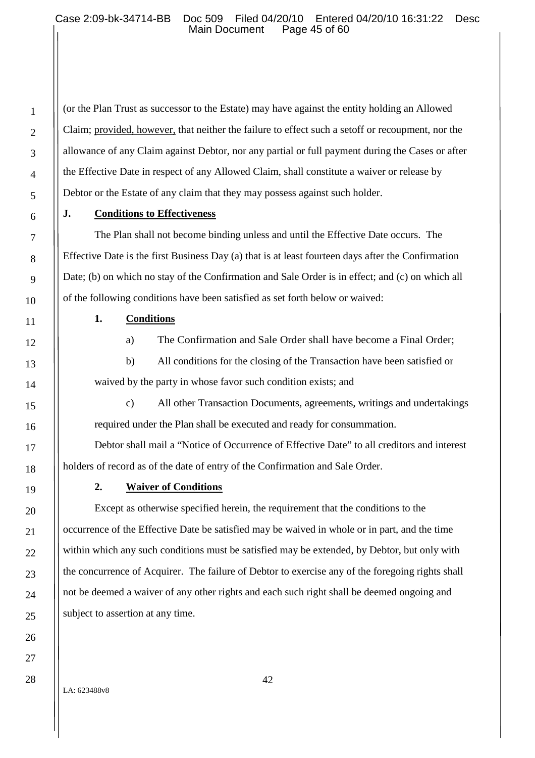(or the Plan Trust as successor to the Estate) may have against the entity holding an Allowed Claim; provided, however, that neither the failure to effect such a setoff or recoupment, nor the allowance of any Claim against Debtor, nor any partial or full payment during the Cases or after the Effective Date in respect of any Allowed Claim, shall constitute a waiver or release by Debtor or the Estate of any claim that they may possess against such holder.

#### **J. Conditions to Effectiveness**

The Plan shall not become binding unless and until the Effective Date occurs. The Effective Date is the first Business Day (a) that is at least fourteen days after the Confirmation Date; (b) on which no stay of the Confirmation and Sale Order is in effect; and (c) on which all of the following conditions have been satisfied as set forth below or waived:

### **1. Conditions**

a) The Confirmation and Sale Order shall have become a Final Order;

b) All conditions for the closing of the Transaction have been satisfied or waived by the party in whose favor such condition exists; and

c) All other Transaction Documents, agreements, writings and undertakings required under the Plan shall be executed and ready for consummation.

Debtor shall mail a "Notice of Occurrence of Effective Date" to all creditors and interest holders of record as of the date of entry of the Confirmation and Sale Order.

### **2. Waiver of Conditions**

Except as otherwise specified herein, the requirement that the conditions to the occurrence of the Effective Date be satisfied may be waived in whole or in part, and the time within which any such conditions must be satisfied may be extended, by Debtor, but only with the concurrence of Acquirer. The failure of Debtor to exercise any of the foregoing rights shall not be deemed a waiver of any other rights and each such right shall be deemed ongoing and subject to assertion at any time.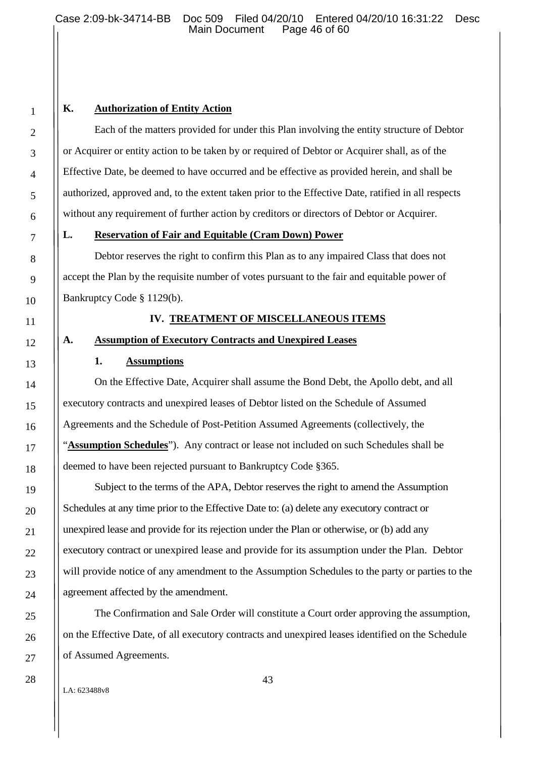# **K. Authorization of Entity Action**

Each of the matters provided for under this Plan involving the entity structure of Debtor or Acquirer or entity action to be taken by or required of Debtor or Acquirer shall, as of the Effective Date, be deemed to have occurred and be effective as provided herein, and shall be authorized, approved and, to the extent taken prior to the Effective Date, ratified in all respects without any requirement of further action by creditors or directors of Debtor or Acquirer.

#### **L. Reservation of Fair and Equitable (Cram Down) Power**

Debtor reserves the right to confirm this Plan as to any impaired Class that does not accept the Plan by the requisite number of votes pursuant to the fair and equitable power of Bankruptcy Code § 1129(b).

### **IV. TREATMENT OF MISCELLANEOUS ITEMS**

## **A. Assumption of Executory Contracts and Unexpired Leases**

#### **1. Assumptions**

On the Effective Date, Acquirer shall assume the Bond Debt, the Apollo debt, and all executory contracts and unexpired leases of Debtor listed on the Schedule of Assumed Agreements and the Schedule of Post-Petition Assumed Agreements (collectively, the "**Assumption Schedules**"). Any contract or lease not included on such Schedules shall be deemed to have been rejected pursuant to Bankruptcy Code §365.

Subject to the terms of the APA, Debtor reserves the right to amend the Assumption Schedules at any time prior to the Effective Date to: (a) delete any executory contract or unexpired lease and provide for its rejection under the Plan or otherwise, or (b) add any executory contract or unexpired lease and provide for its assumption under the Plan. Debtor will provide notice of any amendment to the Assumption Schedules to the party or parties to the agreement affected by the amendment.

The Confirmation and Sale Order will constitute a Court order approving the assumption, on the Effective Date, of all executory contracts and unexpired leases identified on the Schedule of Assumed Agreements.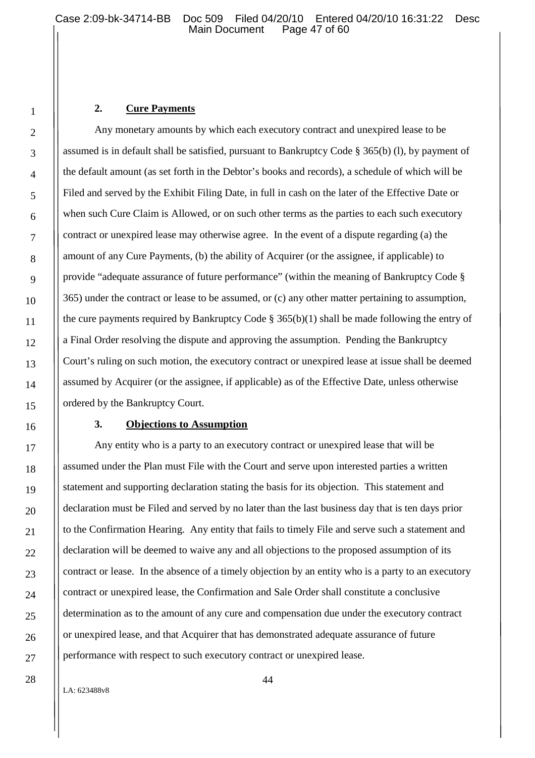## **2. Cure Payments**

Any monetary amounts by which each executory contract and unexpired lease to be assumed is in default shall be satisfied, pursuant to Bankruptcy Code § 365(b) (l), by payment of the default amount (as set forth in the Debtor's books and records), a schedule of which will be Filed and served by the Exhibit Filing Date, in full in cash on the later of the Effective Date or when such Cure Claim is Allowed, or on such other terms as the parties to each such executory contract or unexpired lease may otherwise agree. In the event of a dispute regarding (a) the amount of any Cure Payments, (b) the ability of Acquirer (or the assignee, if applicable) to provide "adequate assurance of future performance" (within the meaning of Bankruptcy Code § 365) under the contract or lease to be assumed, or (c) any other matter pertaining to assumption, the cure payments required by Bankruptcy Code  $\S 365(b)(1)$  shall be made following the entry of a Final Order resolving the dispute and approving the assumption. Pending the Bankruptcy Court's ruling on such motion, the executory contract or unexpired lease at issue shall be deemed assumed by Acquirer (or the assignee, if applicable) as of the Effective Date, unless otherwise ordered by the Bankruptcy Court.

### **3. Objections to Assumption**

Any entity who is a party to an executory contract or unexpired lease that will be assumed under the Plan must File with the Court and serve upon interested parties a written statement and supporting declaration stating the basis for its objection. This statement and declaration must be Filed and served by no later than the last business day that is ten days prior to the Confirmation Hearing. Any entity that fails to timely File and serve such a statement and declaration will be deemed to waive any and all objections to the proposed assumption of its contract or lease. In the absence of a timely objection by an entity who is a party to an executory contract or unexpired lease, the Confirmation and Sale Order shall constitute a conclusive determination as to the amount of any cure and compensation due under the executory contract or unexpired lease, and that Acquirer that has demonstrated adequate assurance of future performance with respect to such executory contract or unexpired lease.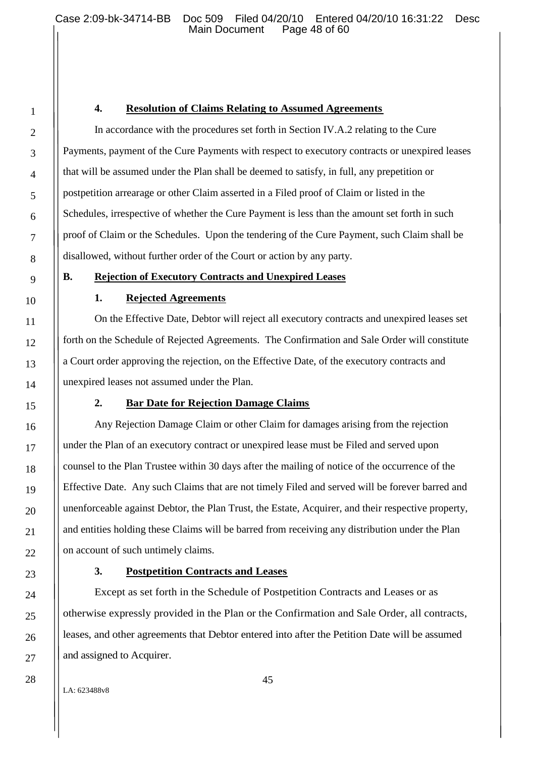### **4. Resolution of Claims Relating to Assumed Agreements**

In accordance with the procedures set forth in Section IV.A.2 relating to the Cure Payments, payment of the Cure Payments with respect to executory contracts or unexpired leases that will be assumed under the Plan shall be deemed to satisfy, in full, any prepetition or postpetition arrearage or other Claim asserted in a Filed proof of Claim or listed in the Schedules, irrespective of whether the Cure Payment is less than the amount set forth in such proof of Claim or the Schedules. Upon the tendering of the Cure Payment, such Claim shall be disallowed, without further order of the Court or action by any party.

# **B. Rejection of Executory Contracts and Unexpired Leases**

# **1. Rejected Agreements**

On the Effective Date, Debtor will reject all executory contracts and unexpired leases set forth on the Schedule of Rejected Agreements. The Confirmation and Sale Order will constitute a Court order approving the rejection, on the Effective Date, of the executory contracts and unexpired leases not assumed under the Plan.

# **2. Bar Date for Rejection Damage Claims**

Any Rejection Damage Claim or other Claim for damages arising from the rejection under the Plan of an executory contract or unexpired lease must be Filed and served upon counsel to the Plan Trustee within 30 days after the mailing of notice of the occurrence of the Effective Date. Any such Claims that are not timely Filed and served will be forever barred and unenforceable against Debtor, the Plan Trust, the Estate, Acquirer, and their respective property, and entities holding these Claims will be barred from receiving any distribution under the Plan on account of such untimely claims.

### **3. Postpetition Contracts and Leases**

Except as set forth in the Schedule of Postpetition Contracts and Leases or as otherwise expressly provided in the Plan or the Confirmation and Sale Order, all contracts, leases, and other agreements that Debtor entered into after the Petition Date will be assumed and assigned to Acquirer.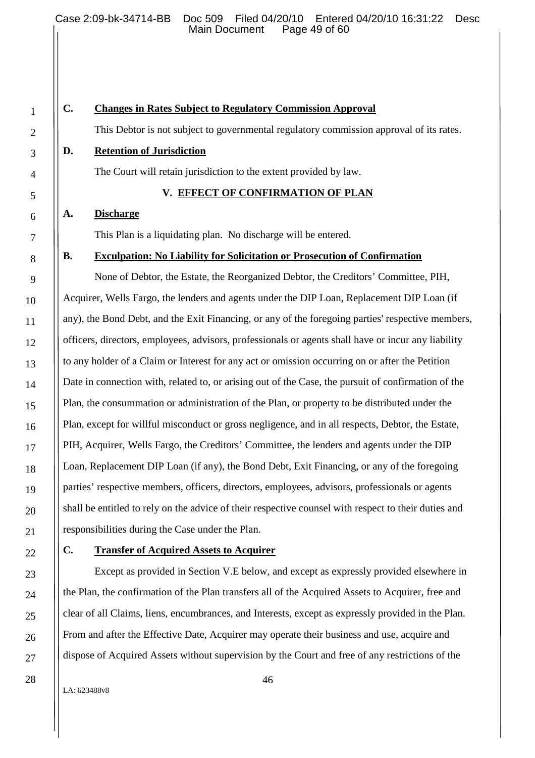# **C. Changes in Rates Subject to Regulatory Commission Approval**

This Debtor is not subject to governmental regulatory commission approval of its rates.

#### **D. Retention of Jurisdiction**

The Court will retain jurisdiction to the extent provided by law.

#### **V. EFFECT OF CONFIRMATION OF PLAN**

#### **A. Discharge**

This Plan is a liquidating plan. No discharge will be entered.

#### **B. Exculpation: No Liability for Solicitation or Prosecution of Confirmation**

None of Debtor, the Estate, the Reorganized Debtor, the Creditors' Committee, PIH, Acquirer, Wells Fargo, the lenders and agents under the DIP Loan, Replacement DIP Loan (if any), the Bond Debt, and the Exit Financing, or any of the foregoing parties' respective members, officers, directors, employees, advisors, professionals or agents shall have or incur any liability to any holder of a Claim or Interest for any act or omission occurring on or after the Petition Date in connection with, related to, or arising out of the Case, the pursuit of confirmation of the Plan, the consummation or administration of the Plan, or property to be distributed under the Plan, except for willful misconduct or gross negligence, and in all respects, Debtor, the Estate, PIH, Acquirer, Wells Fargo, the Creditors' Committee, the lenders and agents under the DIP Loan, Replacement DIP Loan (if any), the Bond Debt, Exit Financing, or any of the foregoing parties' respective members, officers, directors, employees, advisors, professionals or agents shall be entitled to rely on the advice of their respective counsel with respect to their duties and responsibilities during the Case under the Plan.

#### **C. Transfer of Acquired Assets to Acquirer**

Except as provided in Section V.E below, and except as expressly provided elsewhere in the Plan, the confirmation of the Plan transfers all of the Acquired Assets to Acquirer, free and clear of all Claims, liens, encumbrances, and Interests, except as expressly provided in the Plan. From and after the Effective Date, Acquirer may operate their business and use, acquire and dispose of Acquired Assets without supervision by the Court and free of any restrictions of the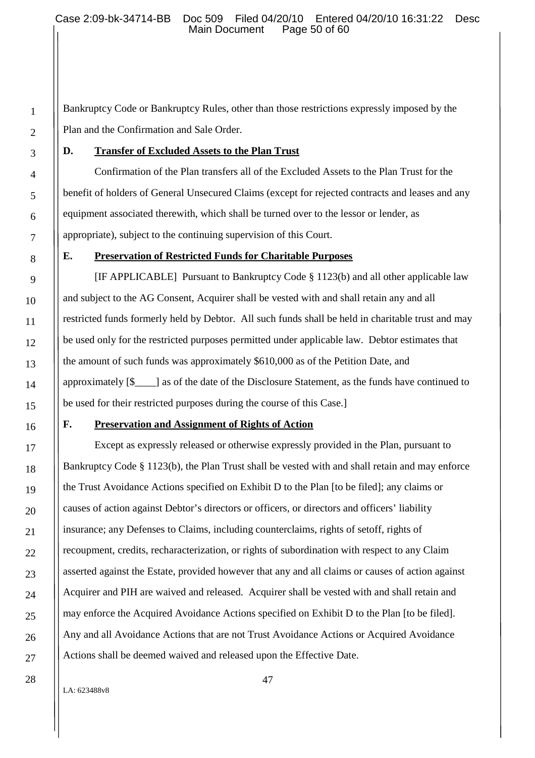Bankruptcy Code or Bankruptcy Rules, other than those restrictions expressly imposed by the Plan and the Confirmation and Sale Order.

# **D. Transfer of Excluded Assets to the Plan Trust**

Confirmation of the Plan transfers all of the Excluded Assets to the Plan Trust for the benefit of holders of General Unsecured Claims (except for rejected contracts and leases and any equipment associated therewith, which shall be turned over to the lessor or lender, as appropriate), subject to the continuing supervision of this Court.

# **E. Preservation of Restricted Funds for Charitable Purposes**

[IF APPLICABLE] Pursuant to Bankruptcy Code § 1123(b) and all other applicable law and subject to the AG Consent, Acquirer shall be vested with and shall retain any and all restricted funds formerly held by Debtor. All such funds shall be held in charitable trust and may be used only for the restricted purposes permitted under applicable law. Debtor estimates that the amount of such funds was approximately \$610,000 as of the Petition Date, and approximately [\$\_\_\_\_] as of the date of the Disclosure Statement, as the funds have continued to be used for their restricted purposes during the course of this Case.]

### **F. Preservation and Assignment of Rights of Action**

Except as expressly released or otherwise expressly provided in the Plan, pursuant to Bankruptcy Code § 1123(b), the Plan Trust shall be vested with and shall retain and may enforce the Trust Avoidance Actions specified on Exhibit D to the Plan [to be filed]; any claims or causes of action against Debtor's directors or officers, or directors and officers' liability insurance; any Defenses to Claims, including counterclaims, rights of setoff, rights of recoupment, credits, recharacterization, or rights of subordination with respect to any Claim asserted against the Estate, provided however that any and all claims or causes of action against Acquirer and PIH are waived and released. Acquirer shall be vested with and shall retain and may enforce the Acquired Avoidance Actions specified on Exhibit D to the Plan [to be filed]. Any and all Avoidance Actions that are not Trust Avoidance Actions or Acquired Avoidance Actions shall be deemed waived and released upon the Effective Date.

LA: 623488v8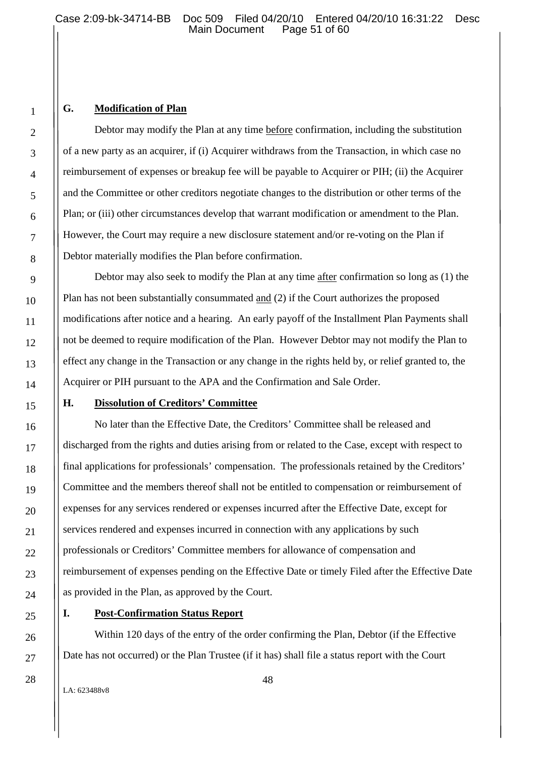# **G. Modification of Plan**

Debtor may modify the Plan at any time before confirmation, including the substitution of a new party as an acquirer, if (i) Acquirer withdraws from the Transaction, in which case no reimbursement of expenses or breakup fee will be payable to Acquirer or PIH; (ii) the Acquirer and the Committee or other creditors negotiate changes to the distribution or other terms of the Plan; or (iii) other circumstances develop that warrant modification or amendment to the Plan. However, the Court may require a new disclosure statement and/or re-voting on the Plan if Debtor materially modifies the Plan before confirmation.

Debtor may also seek to modify the Plan at any time after confirmation so long as (1) the Plan has not been substantially consummated and (2) if the Court authorizes the proposed modifications after notice and a hearing. An early payoff of the Installment Plan Payments shall not be deemed to require modification of the Plan. However Debtor may not modify the Plan to effect any change in the Transaction or any change in the rights held by, or relief granted to, the Acquirer or PIH pursuant to the APA and the Confirmation and Sale Order.

#### **H. Dissolution of Creditors' Committee**

No later than the Effective Date, the Creditors' Committee shall be released and discharged from the rights and duties arising from or related to the Case, except with respect to final applications for professionals' compensation. The professionals retained by the Creditors' Committee and the members thereof shall not be entitled to compensation or reimbursement of expenses for any services rendered or expenses incurred after the Effective Date, except for services rendered and expenses incurred in connection with any applications by such professionals or Creditors' Committee members for allowance of compensation and reimbursement of expenses pending on the Effective Date or timely Filed after the Effective Date as provided in the Plan, as approved by the Court.

**I. Post-Confirmation Status Report**

Within 120 days of the entry of the order confirming the Plan, Debtor (if the Effective Date has not occurred) or the Plan Trustee (if it has) shall file a status report with the Court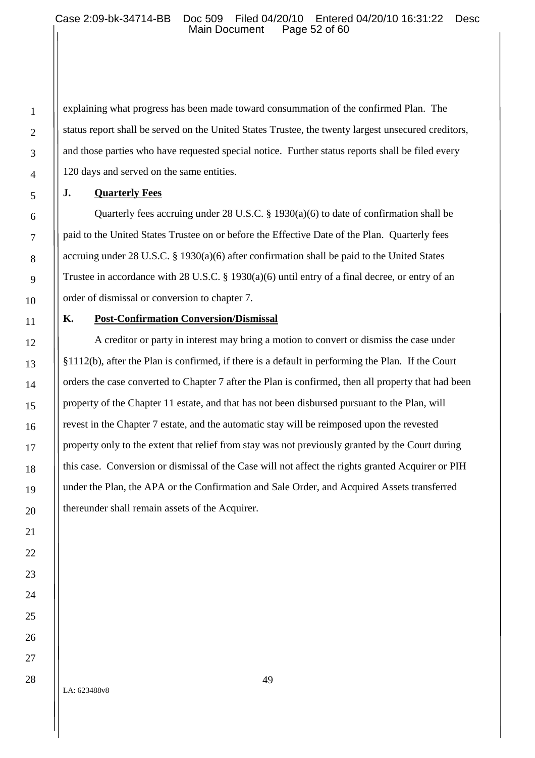explaining what progress has been made toward consummation of the confirmed Plan. The status report shall be served on the United States Trustee, the twenty largest unsecured creditors, and those parties who have requested special notice. Further status reports shall be filed every 120 days and served on the same entities.

# **J. Quarterly Fees**

1

2

3

4

5

6

7

8

9

10

11

12

13

14

15

16

17

18

19

20

21

22

23

24

25

26

27

28

Quarterly fees accruing under 28 U.S.C. § 1930(a)(6) to date of confirmation shall be paid to the United States Trustee on or before the Effective Date of the Plan. Quarterly fees accruing under 28 U.S.C. § 1930(a)(6) after confirmation shall be paid to the United States Trustee in accordance with 28 U.S.C. § 1930(a)(6) until entry of a final decree, or entry of an order of dismissal or conversion to chapter 7.

# **K. Post-Confirmation Conversion/Dismissal**

A creditor or party in interest may bring a motion to convert or dismiss the case under §1112(b), after the Plan is confirmed, if there is a default in performing the Plan. If the Court orders the case converted to Chapter 7 after the Plan is confirmed, then all property that had been property of the Chapter 11 estate, and that has not been disbursed pursuant to the Plan, will revest in the Chapter 7 estate, and the automatic stay will be reimposed upon the revested property only to the extent that relief from stay was not previously granted by the Court during this case. Conversion or dismissal of the Case will not affect the rights granted Acquirer or PIH under the Plan, the APA or the Confirmation and Sale Order, and Acquired Assets transferred thereunder shall remain assets of the Acquirer.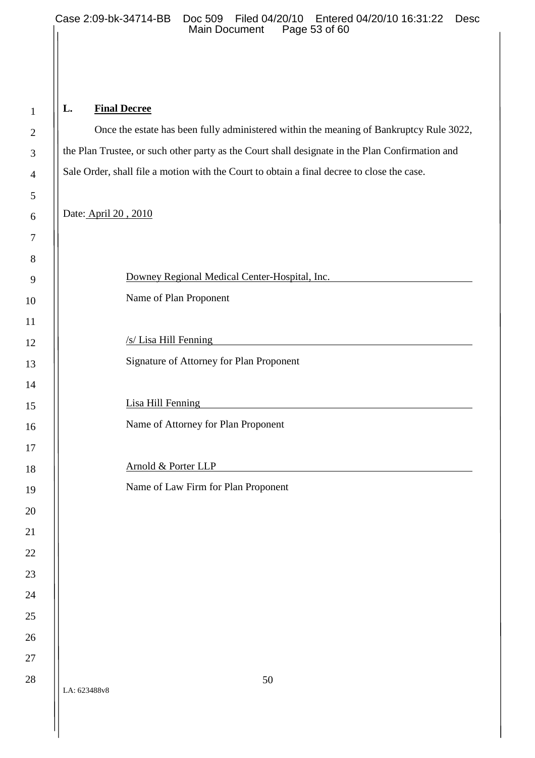# **L. Final Decree**

Once the estate has been fully administered within the meaning of Bankruptcy Rule 3022, the Plan Trustee, or such other party as the Court shall designate in the Plan Confirmation and Sale Order, shall file a motion with the Court to obtain a final decree to close the case.

Date: April 20 , 2010

|              | Downey Regional Medical Center-Hospital, Inc.                                                                                               |
|--------------|---------------------------------------------------------------------------------------------------------------------------------------------|
|              | Name of Plan Proponent                                                                                                                      |
|              |                                                                                                                                             |
|              | /s/ Lisa Hill Fenning                                                                                                                       |
|              | Signature of Attorney for Plan Proponent                                                                                                    |
|              |                                                                                                                                             |
|              | Lisa Hill Fenning<br><u> 1980 - John Stein, amerikansk politiker (</u>                                                                      |
|              | Name of Attorney for Plan Proponent                                                                                                         |
|              |                                                                                                                                             |
|              | Arnold & Porter LLP<br><u> 1989 - Johann Stein, fransk kampens og det forskellige og det forskellige og det forskellige og det forskell</u> |
|              | Name of Law Firm for Plan Proponent                                                                                                         |
|              |                                                                                                                                             |
|              |                                                                                                                                             |
|              |                                                                                                                                             |
|              |                                                                                                                                             |
|              |                                                                                                                                             |
|              |                                                                                                                                             |
|              |                                                                                                                                             |
|              |                                                                                                                                             |
| LA: 623488v8 | 50                                                                                                                                          |
|              |                                                                                                                                             |

 $\mathsf{I}$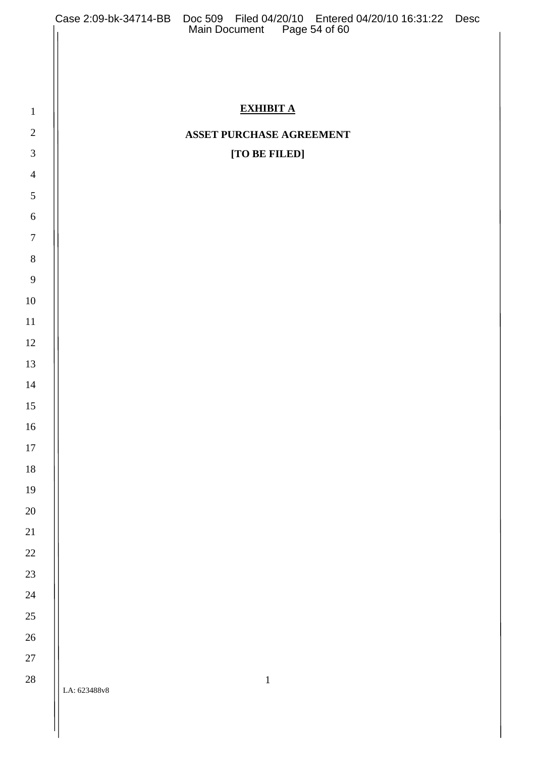|                |              | Case 2:09-bk-34714-BB Doc 509 Filed 04/20/10 Entered 04/20/10 16:31:22 Desc<br>Main Document Page 54 of 60 |  |
|----------------|--------------|------------------------------------------------------------------------------------------------------------|--|
|                |              |                                                                                                            |  |
|                |              |                                                                                                            |  |
| $\mathbf{1}$   |              | <b>EXHIBIT A</b>                                                                                           |  |
| $\sqrt{2}$     |              | ASSET PURCHASE AGREEMENT                                                                                   |  |
| $\mathfrak{Z}$ |              | [TO BE FILED]                                                                                              |  |
| $\overline{4}$ |              |                                                                                                            |  |
| $\sqrt{5}$     |              |                                                                                                            |  |
| $\sqrt{6}$     |              |                                                                                                            |  |
| $\overline{7}$ |              |                                                                                                            |  |
| $\, 8$         |              |                                                                                                            |  |
| 9              |              |                                                                                                            |  |
| 10             |              |                                                                                                            |  |
| 11             |              |                                                                                                            |  |
| 12             |              |                                                                                                            |  |
| 13             |              |                                                                                                            |  |
| 14             |              |                                                                                                            |  |
| 15             |              |                                                                                                            |  |
| $16\,$         |              |                                                                                                            |  |
| $17\,$         |              |                                                                                                            |  |
| 18             |              |                                                                                                            |  |
| 19             |              |                                                                                                            |  |
| $20\,$         |              |                                                                                                            |  |
| 21             |              |                                                                                                            |  |
| $22\,$         |              |                                                                                                            |  |
| 23             |              |                                                                                                            |  |
| $24\,$         |              |                                                                                                            |  |
| $25\,$         |              |                                                                                                            |  |
| $26\,$         |              |                                                                                                            |  |
| $27\,$         |              |                                                                                                            |  |
| $28\,$         | LA: 623488v8 | $\,1\,$                                                                                                    |  |
|                |              |                                                                                                            |  |
|                |              |                                                                                                            |  |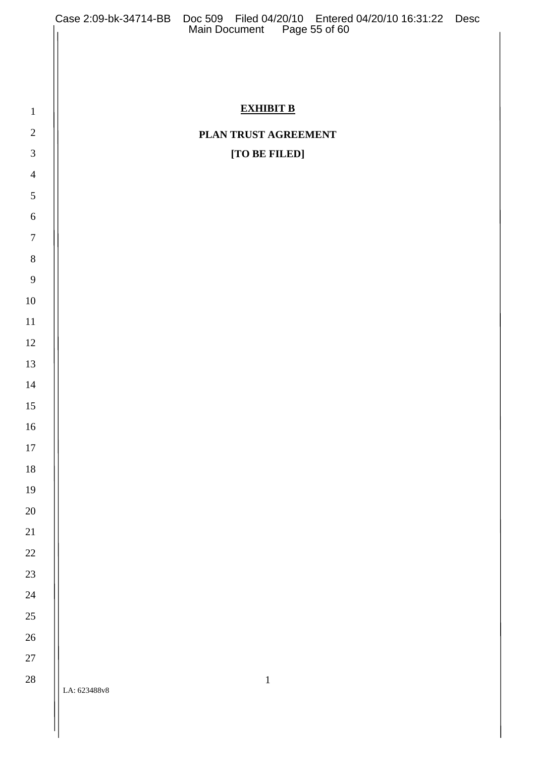|                |              | Case 2:09-bk-34714-BB Doc 509 Filed 04/20/10 Entered 04/20/10 16:31:22 Desc<br>Main Document Page 55 of 60 |  |
|----------------|--------------|------------------------------------------------------------------------------------------------------------|--|
|                |              |                                                                                                            |  |
|                |              |                                                                                                            |  |
|                |              |                                                                                                            |  |
| $\mathbf{1}$   |              | <b>EXHIBIT B</b>                                                                                           |  |
| $\overline{2}$ |              | PLAN TRUST AGREEMENT                                                                                       |  |
| $\mathfrak{Z}$ |              | [TO BE FILED]                                                                                              |  |
| $\overline{4}$ |              |                                                                                                            |  |
| $\mathfrak{S}$ |              |                                                                                                            |  |
| $6\,$          |              |                                                                                                            |  |
| $\overline{7}$ |              |                                                                                                            |  |
| $\,8\,$        |              |                                                                                                            |  |
| 9              |              |                                                                                                            |  |
| 10             |              |                                                                                                            |  |
| 11             |              |                                                                                                            |  |
| 12             |              |                                                                                                            |  |
| 13             |              |                                                                                                            |  |
| 14             |              |                                                                                                            |  |
| 15<br>$16\,$   |              |                                                                                                            |  |
| $17\,$         |              |                                                                                                            |  |
| 18             |              |                                                                                                            |  |
| 19             |              |                                                                                                            |  |
| $20\,$         |              |                                                                                                            |  |
| 21             |              |                                                                                                            |  |
| $22\,$         |              |                                                                                                            |  |
| $23\,$         |              |                                                                                                            |  |
| $24\,$         |              |                                                                                                            |  |
| 25             |              |                                                                                                            |  |
| $26\,$         |              |                                                                                                            |  |
| $27\,$         |              |                                                                                                            |  |
| $28\,$         |              | $\mathbf 1$                                                                                                |  |
|                | LA: 623488v8 |                                                                                                            |  |
|                |              |                                                                                                            |  |
|                |              |                                                                                                            |  |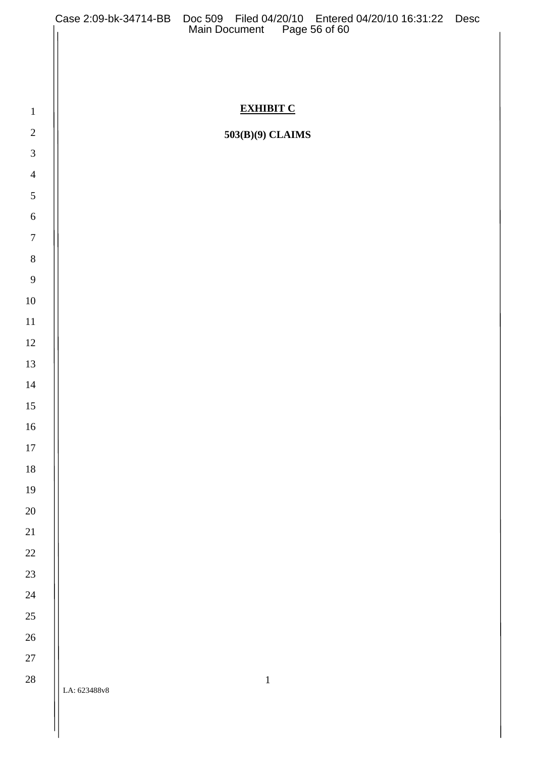|                  | Case 2:09-bk-34714-BB Doc 509 Filed 04/20/10 Entered 04/20/10 16:31:22 Desc<br>Main Document Page 56 of 60 |
|------------------|------------------------------------------------------------------------------------------------------------|
|                  |                                                                                                            |
|                  |                                                                                                            |
|                  |                                                                                                            |
| $\mathbf{1}$     | <b>EXHIBIT C</b>                                                                                           |
| $2\,$            | 503(B)(9) CLAIMS                                                                                           |
| $\mathfrak{Z}$   |                                                                                                            |
| $\overline{4}$   |                                                                                                            |
| $\mathfrak{S}$   |                                                                                                            |
| $\sqrt{6}$       |                                                                                                            |
| $\boldsymbol{7}$ |                                                                                                            |
| $\, 8$           |                                                                                                            |
| $\overline{9}$   |                                                                                                            |
| $10\,$           |                                                                                                            |
| $11\,$           |                                                                                                            |
| 12               |                                                                                                            |
| 13               |                                                                                                            |
| $14\,$           |                                                                                                            |
| 15               |                                                                                                            |
| $16\,$           |                                                                                                            |
| $17\,$           |                                                                                                            |
| 18               |                                                                                                            |
| 19               |                                                                                                            |
| 20               |                                                                                                            |
| 21<br>$22\,$     |                                                                                                            |
| 23               |                                                                                                            |
| 24               |                                                                                                            |
| 25               |                                                                                                            |
| 26               |                                                                                                            |
| $27\,$           |                                                                                                            |
| $28\,$           | $\,1\,$                                                                                                    |
|                  | LA: 623488v8                                                                                               |
|                  |                                                                                                            |
|                  |                                                                                                            |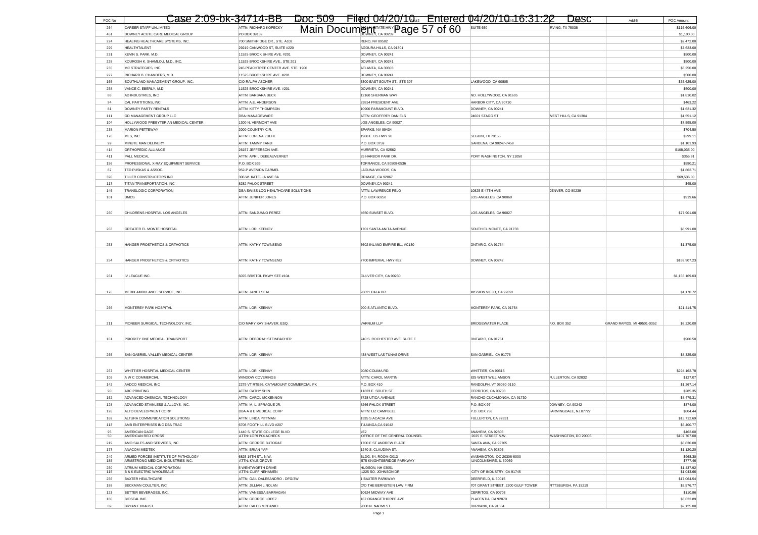| POC No     |                                                                          |                                                                       | Case 2:09-bk-34714-BB Doc 509 Filed 04/20/10. Entered 04/20/10.16:31:22 Desc |                                                     | Addr5                                       | POC Amount                |
|------------|--------------------------------------------------------------------------|-----------------------------------------------------------------------|------------------------------------------------------------------------------|-----------------------------------------------------|---------------------------------------------|---------------------------|
| 264        | CAREER STAFF UNLIMITED                                                   | ATTN: RICHARD KOPECKY                                                 | Main Document FATE HWY Page 57 of 60                                         | SUITE 650                                           | <b>RVING, TX 75038</b>                      | \$116,606.00              |
| 461        | DOWNEY ACUTE CARE MEDICAL GROUP                                          | PO BOX 39159                                                          |                                                                              |                                                     |                                             | \$1,100.00                |
| 224        | HEALING HEALTHCARE SYSTEMS, INC.                                         | 700 SMITHRIDGE DR., STE. A102                                         | <b>RENO, NV 89502</b>                                                        |                                                     |                                             | \$2,472.00                |
| 299        | HEAI THTAI ENT                                                           | 29219 CANWOOD ST, SUITE #220                                          | AGOURA HILLS, CA 91301                                                       |                                                     |                                             | \$7,623.00                |
| 231        | KEVIN S. PARK, M.D.                                                      | 11525 BROOK SHIRE AVE, #201                                           | DOWNEY, CA 90241                                                             |                                                     |                                             | \$500.00                  |
| 228<br>235 | KOUROSH K. SHAMLOU, M.D., INC.<br>MC STRATEGIES, INC.                    | 11525 BROOKSHIRE AVE., STE 201<br>245 PEACHTREE CENTER AVE. STE. 1900 | DOWNEY, CA 90241<br>ATLANTA, GA 30303                                        |                                                     |                                             | \$500.00<br>\$3,250.00    |
| 227        | RICHARD B. CHAMBERS, M.D.                                                | 11525 BROOKSHIRE AVE. #201                                            | DOWNEY, CA 90241                                                             |                                                     |                                             | \$500.00                  |
| 165        | SOUTHLAND MANAGEMENT GROUP, INC.                                         | C/O RALPH ASCHER                                                      | 3300 EAST SOUTH ST., STE 307                                                 | LAKEWOOD, CA 90805                                  |                                             | \$35,625.00               |
| 258        | VANCE C. EBERLY, M.D.                                                    | 11525 BROOKSHIRE AVE. #201                                            | DOWNEY, CA 90241                                                             |                                                     |                                             | \$500.00                  |
| 88         | AD INDUSTRIES, INC                                                       | ATTN: BARBARA BECK                                                    | 12160 SHERMAN WAY                                                            | NO. HOLLYWOOD, CA 91605                             |                                             | \$1,810.02                |
| 94         | CAL PARTITIONS, INC.                                                     | ATTN: A.E. ANDERSON                                                   | 23814 PRESIDENT AVE                                                          | HARBOR CITY, CA 90710                               |                                             | \$463.22                  |
| 81         | DOWNEY PARTY RENTALS                                                     | ATTN: KITTY THOMPSON                                                  | 10900 PARAMOUNT BLVD                                                         | DOWNEY, CA 90241                                    |                                             | \$1,621.32                |
| 111        | GD MANAGEMENT GROUP LLC                                                  | DBA: MANAGEWARE                                                       | ATTN: GEOFFREY DANIELS                                                       | 24601 STAGG ST                                      | WEST HILLS, CA 91304                        | \$1,551.12                |
| 104        | HOLLYWOOD PREBYTERIAN MEDICAL CENTER                                     | 1300 N. VERMONT AVE                                                   | LOS ANGELES, CA 90027                                                        |                                                     |                                             | \$7,595.00                |
| 238        | MARION PETTEWAY                                                          | 2000 COUNTRY CIR.                                                     | SPARKS, NV 89434                                                             |                                                     |                                             | \$704.50                  |
| 170        | MES, INC                                                                 | ATTN: LORENA ZUEHL                                                    | 1968 E. US HWY 90                                                            | SEGUIN, TX 78155                                    |                                             | \$299.11                  |
| 99         | MINUTE MAN DELIVERY                                                      | ATTN: TAMMY TANJI                                                     | P.O. BOX 3759                                                                | GARDENA, CA 90247-7459                              |                                             | \$1,101.93                |
| 414        | ORTHOPEDIC ALLIANCE                                                      | 26157 JEFFERSON AVE.                                                  | MURRIETA, CA 92562                                                           |                                                     |                                             | \$108,035.00              |
| 411        | PALL MEDICAL                                                             | ATTN: APRIL DEBEAUVERNET                                              | 25 HARBOR PARK DR.                                                           | PORT WASHINGTON, NY 11050                           |                                             | \$356.91                  |
| 156<br>87  | PROFESSIONAL X-RAY EQUIPMENT SERVICE<br>TED PUSKAS & ASSOC.              | P.O. BOX 536<br>952-P AVENIDA CARMEL                                  | TORRANCE, CA 90508-0536<br>LAGUNA WOODS, CA                                  |                                                     |                                             | \$590.21<br>\$1,862.71    |
| 390        | TILLER CONSTRUCTORS INC                                                  | 306 W. KATELLA AVE 3A                                                 | ORANGE, CA 92867                                                             |                                                     |                                             | \$69,536.00               |
| 117        | TITAN TRANSPORTATION, INC                                                | 8282 PHLOX STREET                                                     | DOWNEY, CA 90241                                                             |                                                     |                                             | \$65.00                   |
| 146        | TRANSLOGIC CORPORATION                                                   | DBA SWISS LOG HEALTHCARE SOLUTIONS                                    | ATTN: LAWRENCE PELO                                                          | 10825 E 47TH AVE                                    | DENVER, CO 80239                            |                           |
| 101        | <b>UMDS</b>                                                              | ATTN: JENIFER JONES                                                   | P.O. BOX 60250                                                               | LOS ANGELES, CA 90060                               |                                             | \$919.66                  |
|            |                                                                          |                                                                       |                                                                              |                                                     |                                             |                           |
| 260        | CHILDRENS HOSPITAL LOS ANGELES                                           | ATTN: SANJUANO PEREZ                                                  | 4650 SUNSET BLVD.                                                            | LOS ANGELES, CA 90027                               |                                             | \$77,901.08               |
|            |                                                                          |                                                                       |                                                                              |                                                     |                                             |                           |
|            |                                                                          |                                                                       |                                                                              |                                                     |                                             |                           |
| 263        | GREATER EL MONTE HOSPITAL                                                | ATTN: LORI KEENOY                                                     | 1701 SANTA ANITA AVENUE                                                      | SOUTH EL MONTE, CA 91733                            |                                             | \$8,991.00                |
|            |                                                                          |                                                                       |                                                                              |                                                     |                                             |                           |
| 253        | HANGER PROSTHETICS & ORTHOTICS                                           | ATTN: KATHY TOWNSEND                                                  | 3602 INLAND EMPIRE BL. #C130                                                 | ONTARIO, CA 91764                                   |                                             | \$1,375.00                |
|            |                                                                          |                                                                       |                                                                              |                                                     |                                             |                           |
| 254        | HANGER PROSTHETICS & ORTHOTICS                                           | ATTN: KATHY TOWNSEND                                                  | 7700 IMPERIAL HWY #E2                                                        | DOWNEY, CA 90242                                    |                                             | \$169,907.23              |
|            |                                                                          |                                                                       |                                                                              |                                                     |                                             |                           |
| 261        | IV LEAGUE INC.                                                           | 6076 BRISTOL PKWY STE #104                                            | CULVER CITY, CA 90230                                                        |                                                     |                                             | \$1,155,169.03            |
|            |                                                                          |                                                                       |                                                                              |                                                     |                                             |                           |
| 176        | MEDIX AMBULANCE SERVICE, INC.                                            | ATTN: JANET SEAL                                                      | 26021 PALA DR.                                                               | MISSION VIEJO, CA 92691                             |                                             | \$1,170.72                |
|            |                                                                          |                                                                       |                                                                              |                                                     |                                             |                           |
| 266        | MONTEREY PARK HOSPITAL                                                   | ATTN: LORI KEENAY                                                     | 900 S ATLANTIC BLVD.                                                         | MONTEREY PARK, CA 91754                             |                                             | \$21,414.75               |
|            |                                                                          |                                                                       |                                                                              |                                                     |                                             |                           |
| 211        | PIONEER SURGICAL TECHNOLOGY, INC.                                        | C/O MARY KAY SHAVER, ESQ.                                             | VARNUM LLP                                                                   | <b>BRIDGEWATER PLACE</b>                            | P.O. BOX 352<br>GRAND RAPIDS, MI 49501-0352 | \$8,220.00                |
|            |                                                                          |                                                                       |                                                                              |                                                     |                                             |                           |
|            |                                                                          |                                                                       |                                                                              |                                                     |                                             |                           |
| 161        | PRIORITY ONE MEDICAL TRANSPORT                                           | ATTN: DEBORAH STEINBACHER                                             | 740 S. ROCHESTER AVE. SUITE E                                                | ONTARIO, CA 91761                                   |                                             | \$900.50                  |
|            |                                                                          |                                                                       |                                                                              |                                                     |                                             |                           |
| 265        | SAN GABRIEL VALLEY MEDICAL CENTER                                        | ATTN: LORI KEENAY                                                     | 438 WEST LAS TUNAS DRIVE                                                     | SAN GABRIEL, CA 91776                               |                                             | \$8,325.00                |
|            |                                                                          |                                                                       |                                                                              |                                                     |                                             |                           |
| 267        | WHITTIER HOSPITAL MEDICAL CENTER                                         | <b>ATTN: LORI KEENAY</b>                                              | 9080 COLIMA RD                                                               | WHITTIER, CA 90615                                  |                                             | \$294,162.78              |
| 102        | A W C COMMERCIAL                                                         | WINDOW COVERINGS                                                      | ATTN: CAROL MARTIN                                                           | <b>325 WEST WILLIAMSON</b>                          | FULLERTON, CA 92832                         | \$127.07                  |
| 142        | AADCO MEDICAL INC                                                        | 2279 VT RTE66, CATAMOUNT COMMERCIAL PK                                | P.O. BOX 410                                                                 | RANDOLPH, VT 05060-0110                             |                                             | \$1,267.14                |
| 90         | ABC PRINTING                                                             | ATTN: CATHY SHIN                                                      | 11823 E. SOUTH ST.                                                           | CERRITOS, CA 90703                                  |                                             | \$285.35                  |
| 162        | ADVANCED CHEMICAL TECHNOLOGY                                             | ATTN: CAROL MCKENNON                                                  | 8728 UTICA AVENUE                                                            | RANCHO CUCAMONGA, CA 91730                          |                                             | \$8,479.31                |
| 128        | ADVANCED STAINLESS & ALLOYS, INC.                                        | ATTN: M. L. SPRAGUE JR.                                               | <b>8266 PHLOX STREET</b>                                                     | P.O. BOX 97                                         | DOWNEY, CA 90242                            | \$874.00                  |
| 126        | ALTO DEVELOPMENT CORP                                                    | DBA A & E MEDICAL CORP                                                | ATTN: LIZ CAMPBELL                                                           | P.O. BOX 758                                        | FARMINGDALE, NJ 07727                       | \$804.44                  |
| 113        | ALTURA COMMUNICATION SOLUTIONS<br>AMB ENTERPRISES INC DBA TRAC           | ATTN: LINDA PITTMAN                                                   | 1335 S ACACIA AVE<br>TUJUNGA,CA 91042                                        | ULLERTON, CA 92831                                  |                                             | \$15,712.69<br>\$5,400.77 |
| 95         | AMERICAN GAGE                                                            | 6708 FOOTHILL BLVD #207<br>1440 S. STATE COLLEGE BLVD                 | #E2                                                                          | ANAHEIM, CA 92806                                   |                                             | \$462.00                  |
| 50         | AMERICAN RED CROSS                                                       | ATTN: LORI POLACHECK                                                  | OFFICE OF THE GENERAL COUNSEL                                                | 2025 E. STREET N.W.                                 | WASHINGTON, DC 20006                        | \$107,707.00              |
| 219        | AMO SALES AND SERVICES, INC.                                             | ATTN: GEORGE BUTORAE                                                  | 1700 E ST ANDREW PLACE                                                       | SANTA ANA, CA 92705                                 |                                             | \$6,830.00                |
| 177        | ANACOM MEDTEK                                                            | ATTN: BRIAN YAP                                                       | 1240 S. CLAUDINA ST.                                                         | ANAHEIM, CA 92805                                   |                                             | \$1,120.20                |
| 249<br>185 | ARMED FORCES INSTITUTE OF PATHOLOGY<br>ARMSTRONG MEDICAL INDUSTRIES INC. | 6825 16TH ST., N.W.<br><b>ATTN: KYLE GROVE</b>                        | BLDG. 54, ROOM G013<br>575 KNIGHTSBRIDGE PARKWAY                             | WASHINGTON, DC 20306-6000<br>LINCOLNSHIRE, IL 60069 |                                             | \$968.30<br>\$777.46      |
| 250        | ATRIUM MEDICAL CORPORATION                                               | 5 WENTWORTH DRIVE                                                     | HUDSON, NH 03051                                                             |                                                     |                                             | \$1,437.92                |
| 115        | <b>B &amp; K ELECTRIC WHOLESALE</b>                                      | ATTN: CLIFF NEHAMEN                                                   | 1225 SO. JOHNSON DR                                                          | CITY OF INDUSTRY, CA 91745                          |                                             | \$1,043.66                |
| 256        | <b>BAXTER HEALTHCARE</b>                                                 | ATTN: GAIL DALESANDRO - DFG/3W                                        | 1 BAXTER PARKWAY                                                             | DEERFIELD, IL 60015                                 |                                             | \$17,064.54               |
| 188        | BECKMAN COULTER, INC.                                                    | ATTN: JILLIAN L.NOLAN                                                 | C/O THE BERNSTEIN LAW FIRM                                                   | 707 GRANT STREET, 2200 GULF TOWER                   | PITTSBURGH, PA 15219                        | \$2,576.77                |
| 123        | BETTER BEVERAGES, INC.                                                   | ATTN: VANESSA BARRAGAN                                                | 10624 MIDWAY AVE                                                             | CERRITOS, CA 90703                                  |                                             | \$110.96                  |
| 180        | <b>BIOSEAL INC.</b>                                                      | ATTN: GEORGE LOPEZ                                                    | 167 ORANGETHORPE AVE                                                         | PLACENTIA, CA 92870                                 |                                             | \$3,622.89                |
| 89         | <b>BRYAN EXHAUST</b>                                                     | ATTN: CALEB MCDANIEL                                                  | 2808 N. NAOMI ST                                                             | BURBANK, CA 91504                                   |                                             | \$2,125.00                |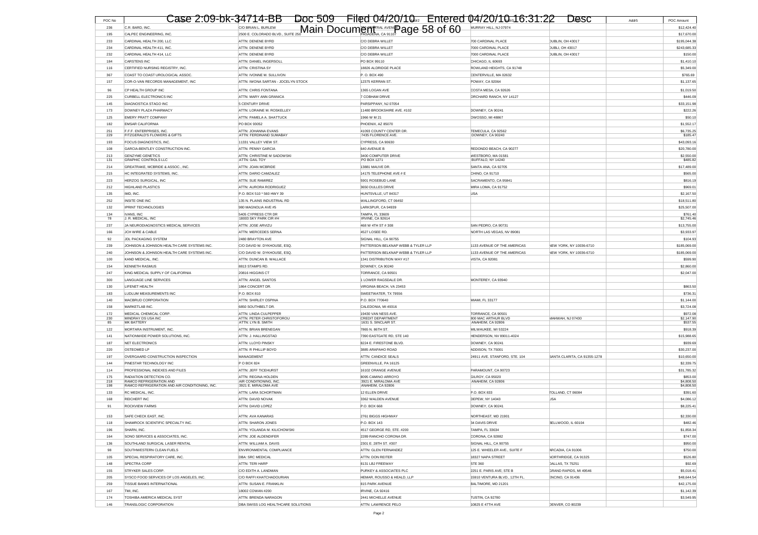| POC No     |                                                                  | Case 2:09-bk-34714-BB Doc 509 Filed 04/20/10. Entered 04/20/10.16:31:22 Desc        |                                                       |                                                           |                                            | Addr5 | POC Amount                |
|------------|------------------------------------------------------------------|-------------------------------------------------------------------------------------|-------------------------------------------------------|-----------------------------------------------------------|--------------------------------------------|-------|---------------------------|
| 236        | C.R. BARD, INC.                                                  |                                                                                     |                                                       | MURRAY HILL, NJ 07974                                     |                                            |       | \$12,424.40               |
| 195        | CALPEC ENGINEERING, INC.                                         | CO BRIAN L. BURLEW <b>CONDUCT AND THE 250 Main Docum Contral AVEN Page 58 of 60</b> |                                                       |                                                           |                                            |       | \$17,670.00               |
| 233        | CARDINAL HEALTH 200, LLC                                         | <b>ATTN: DENENE BYRD</b>                                                            | C/O DEBRA WILLET                                      | 700 CARDINAL PLACE                                        | DUBLIN, OH 43017                           |       | \$195,044.38              |
| 234        | CARDINAL HEALTH 411, INC                                         | ATTN: DENENE BYRD                                                                   | C/O DEBRA WILLET                                      | 7000 CARDINAL PLACE                                       | DUBLI, OH 43017                            |       | \$243,685.33              |
| 232        | CARDINAL HEALTH 414, LLC                                         | ATTN: DENENE BYRD                                                                   | C/O DEBRA WILLET                                      | 7000 CARDINAL PLACE                                       | DUBLIN, OH 43017                           |       | \$150.00                  |
| 184        | CARSTENS INC.                                                    | ATTN: DANIEL INGERSOLL                                                              | PO BOX 99110                                          | CHICAGO II 60693                                          |                                            |       | \$1,410.10                |
| 116        | CERTIFIED NURSING REGISTRY, INC.                                 | ATTN: CRISTINA SY                                                                   | 18826 ALDRIDGE PLACE                                  | ROWLAND HEIGHTS, CA 91748                                 |                                            |       | \$5,349.00                |
| 367        | COAST TO COAST UROLOGICAL ASSOC                                  | ATTN: IVONNE M. SULLIVON                                                            | P.O. BOX 490                                          | CENTERVILLE, MA 02632                                     |                                            |       | \$765.69                  |
| 157        | COR-O-VAN RECORDS MANAGEMENT. INC                                | ATTN: IWONA SARTAN - JOCELYN STOCK                                                  | 12375 KERRAN ST.                                      | POWAY, CA 92064                                           |                                            |       | \$1,137.6                 |
| 96         | CP HEALTH GROUP INC                                              | ATTN: CHRIS FONTANA                                                                 | 1365 LOGAN AVE                                        | COSTA MESA, CA 92626                                      |                                            |       | \$1,019.50                |
| 225        | <b>CURBELL ELECTRONICS INC</b>                                   | ATTN: MARY ANN GRANICA                                                              | 7 COBHAM DRIVE                                        | ORCHARD RANCH, NY 14127                                   |                                            |       | \$446.09                  |
| 145        | DIAGNOSTICA STAGO INC                                            | 5 CENTURY DRIVE                                                                     | PARSIPPANY, NJ 07054                                  |                                                           |                                            |       | \$33,151.98               |
| 173        | DOWNEY PLAZA PHARMACY                                            | ATTN: LORAINE M. ROSKELLEY                                                          | 11480 BROOKSHIRE AVE. #102                            | DOWNEY, CA 90241                                          |                                            |       | \$222.26                  |
| 125<br>182 | <b>EMERY PRATT COMPANY</b><br><b>EMSAR CALIFORNIA</b>            | ATTN: PAMELA A. SHATTUCK<br>PO BOX 93052                                            | 1966 W M 21<br>PHOENIX, AZ 85070                      | OWOSSO, MI 48867                                          |                                            |       | \$50.10<br>\$1,552.17     |
| 251        | F.F.F. ENTERPRISES. INC.                                         | ATTN: JOHANNA EVANS                                                                 | 41093 COUNTY CENTER DR.                               | TEMECULA, CA 92562                                        |                                            |       | \$6,735.25                |
| 229        | FITZGERALD'S FLOWERS & GIFTS                                     | ATTN: FERDINAND SUMABAY                                                             | 7435 FLORENCE AVE.                                    | DOWNEY, CA 90240                                          |                                            |       | \$185.47                  |
| 193        | FOCUS DIAGNOSTICS, INC.                                          | 11331 VALLEY VIEW ST.                                                               | CYPRESS, CA 90630                                     |                                                           |                                            |       | \$43,093.16               |
| 108        | GARCIA-BENTLEY CONSTRUCTION INC.                                 | <b>ATTN: PENNY GARCIA</b>                                                           | <b>640 AVENUE B</b>                                   | REDONDO BEACH, CA 90277                                   |                                            |       | \$20,780.00               |
| 213        | <b>GENZYME GENETICS</b>                                          | ATTN: CHRISTINE M SADOWSKI                                                          | 3400 COMPUTER DRIVE                                   | WESTBORO, MA 01581                                        |                                            |       | \$2,550.00                |
| 131<br>214 | <b>GRAPHIC CONTROLS LLC</b><br>GREATRAKE, MCBRIDE & ASSOC., INC. | ATTN: GAIL TOY<br>ATTN: JOAN MCBRIDE                                                | PO BOX 1271<br>13881 MAUVE DR                         | BUFFALO, NY 14240<br>SANTA ANA, CA 92705                  |                                            |       | \$485.82<br>\$17,489.00   |
| 215        | HC INTEGRATED SYSTEMS, INC.                                      | ATTN: DARIO CAMZALEZ                                                                | 14175 TELEPHONE AVE # E                               | CHINO, CA 91710                                           |                                            |       | \$565.00                  |
| 223        | HERZOG SURGICAL, INC                                             | ATTN: SUE RAMIREZ                                                                   | 5901 ROSEBUD LANE                                     | SACRAMENTO, CA 95841                                      |                                            |       | \$816.19                  |
| 212        | <b>HIGHLAND PLASTICS</b>                                         | ATTN: AURORA RODRIGUEZ                                                              | 3650 DULLES DRIVE                                     | MIRA LOMA, CA 91752                                       |                                            |       | \$969.0                   |
| 135        | IMD, INC.                                                        | P.O. BOX 510 * 560 HWY 39                                                           | HUNTSVILLE, UT 84317                                  | <b>USA</b>                                                |                                            |       | \$2,167.50                |
| 252        | INSITE ONE INC                                                   | 135 N. PLAINS INDUSTRIAL RD                                                         | WALLINGFORD, CT 06492                                 |                                                           |                                            |       | \$18,511.80               |
| 132        | <b>IPRINT TECHNOLOGIES</b>                                       | 980 MAGNOLIA AVE #5                                                                 | LARKSPUR, CA 94939                                    |                                                           |                                            |       | \$25,507.00               |
| 134        | <b>IVANS, INC</b>                                                | 5405 CYPRESS CTR DR                                                                 | <b>TAMPA, FL 33609</b>                                |                                                           |                                            |       | \$761.40                  |
| 78         | J. R. MEDICAL, INC                                               | 18003 SKY PARK CIR #H                                                               | IRVINE, CA 92614                                      |                                                           |                                            |       | \$2,745.46                |
| 237<br>166 | JA NEURODIAGNOSTICS MEDICAL SERVICES<br>JCH WIRE & CABLE         | ATTN: JOSE ARVIZU<br>ATTN: MERCEDES SERNA                                           | 468 W 4TH ST # 308<br>4527 LOSEE RD.                  | SAN PEDRO, CA 90731<br>NORTH LAS VEGAS, NV 89081          |                                            |       | \$13,755.00<br>\$3,933.97 |
| 92         | <b>JDL PACKAGING SYSTEM</b>                                      | 2480 BRAYTON AVE                                                                    | SIGNAL HILL, CA 90755                                 |                                                           |                                            |       | \$104.93                  |
| 239        | JOHNSON & JOHNSON HEALTH CARE SYSTEMS INC.                       | C/O DAVID W. DYKHOUSE, ESQ                                                          | PATTERSON BELKNAP WEBB & TYLER LLP                    | 1133 AVENUE OF THE AMERICAS                               | NEW YORK, NY 10036-6710                    |       | \$185,069.00              |
| 240        | JOHNSON & JOHNSON HEALTH CARE SYSTEMS INC.                       | C/O DAVID W. DYKHOUSE, ESQ                                                          | PATTERSON BELKNAP WEBB & TYLER LLP                    | 1133 AVENUE OF THE AMERICAS                               | NEW YORK, NY 10036-6710                    |       | \$185,069.00              |
| 100        | KAND MEDICAL INC                                                 | ATTN: DUNCAN B. WALLACE                                                             | 1341 DISTRIBUTION WAY #17                             | VISTA, CA 92081                                           |                                            |       | \$599.90                  |
| 154        | <b>KENNETH RASMUS</b>                                            | 8813 STAMPS RD.                                                                     | DOWNEY, CA 90240                                      |                                                           |                                            |       | \$2,860.00                |
| 247        | KING MEDICAL SUPPLY OF CALIFORNIA                                | 20816 HIGGINS CT                                                                    | TORRANCE, CA 90501                                    |                                                           |                                            |       | \$2,047.00                |
| 300        | <b>LANGUAGE LINE SERVICES</b>                                    | ATTN: ANGEL SANTOS                                                                  | 1 LOWER RAGSDALE DR                                   | MONTEREY, CA 93940                                        |                                            |       |                           |
| 130        | LIFENET HEALTH                                                   | 1864 CONCERT DR.                                                                    | VIRGINIA BEACH, VA 23453                              |                                                           |                                            |       | \$863.50                  |
| 183        | LUDLUM MEASUREMENTS INC                                          | P.O. BOX 810                                                                        | SWEETWATER, TX 79556                                  |                                                           |                                            |       | \$736.3                   |
| 140        | MACBRUD CORPORATION                                              | ATTN: SHIRLEY OSPINA                                                                | P.O. BOX 770640                                       | MIAMI, FL 33177                                           |                                            |       | \$1,144.00                |
| 158        | MARKETLAB INC.                                                   | 6850 SOUTHBELT DR.                                                                  | CALEDONIA, MI 49316                                   |                                                           |                                            |       | \$3,724.08                |
| 172<br>230 | MEDICAL CHEMICAL CORP<br>MINDRAY DS USA INC                      | ATTN: I INDA CUI PEPPER<br>ATTN: PETER CHRISTOFOROU                                 | 19430 VAN NESS AVE<br><b>CREDIT DEPARTMENT</b>        | TORRANCE, CA 90501<br><b>300 MAC ARTHUR BLVD</b>          | MAHWAH, NJ 07430                           |       | \$972.08<br>\$2,147.90    |
| 85         | <b>MK BATTERY</b>                                                | ATTN: LYN B. SMITH                                                                  | 1631 S. SINCLAIR ST.                                  | ANAHEIM, CA 92806                                         |                                            |       | \$537.55                  |
| 122        | MORTARA INSTRUMENT, INC.                                         | ATTN: BRIAN BRENEGAN                                                                | 7865 N. 86TH ST.                                      | MILWAUKEE, WI 53224                                       |                                            |       | \$918.39                  |
| 141        | NATIONWIDE POWER SOLUTIONS, INC.                                 | ATTN: J. HALLINGSTAD                                                                | 7390 EASTGATE RD, STE 140                             | HENDERSON, NV 89011-4024                                  |                                            |       | \$15,988.65               |
| 187        | NET ELECTRONICS                                                  | ATTN: LLOYD PINSKY                                                                  | 8224 E. FIRESTONE BLVD.                               | DOWNEY, CA 90241                                          |                                            |       | \$939.69                  |
| 220        | <b>OSTEOMED LP</b>                                               | ATTN: R PHILLIP BOYD                                                                | 3885 ARAPAHO ROAD                                     | ADDISON, TX 75001                                         |                                            |       | \$30,237.00               |
| 197        | OVERGAARD CONSTRUCTION INSPECTION                                | MANAGEMENT                                                                          | ATTN: CANDICE SEALS                                   | 24911 AVE. STANFORD, STE. 104                             | SANTA CLARITA, CA 91355-1278               |       | \$10,650.00               |
| 144        | PINESTAR TECHNOLOGY INC                                          | P O BOX 824                                                                         | GREENVILLE, PA 16125                                  |                                                           |                                            |       | \$2,339.75                |
| 114<br>175 | PROFESSIONAL INDEXES AND FILES<br>RADIATION DETECTION CO.        | ATTN: JEFF TICEHURST<br>ATTN: REGINA HOLDEN                                         | 16102 ORANGE AVENUE<br>8095 CAMINO ARROYO             | PARAMOUNT, CA 90723<br>GILROY, CA 95020                   |                                            |       | \$31,785.32<br>\$853.00   |
| 218        | RAMCO REFRIGERATION AND                                          | AIR CONDITIONING INC.                                                               | 3921 E. MIRALOMA AVE                                  | ANAHEIM, CA 92806                                         |                                            |       | \$4,808.50                |
| 198        | RAMCO REFRIGERATION AND AIR CONDITIONING, INC                    | 3921 E. MIRALOMA AVE                                                                | ANAHEIM, CA 92806                                     |                                                           |                                            |       | \$4,808.50                |
| 133        | RC MEDICAL, INC.                                                 | ATTN: LARA SCHORTMAN                                                                | 12 ELLEN DRIVE                                        | P.O. BOX 833                                              | TOLLAND, CT 06084                          |       | \$391.60                  |
| 168        | REICHERT INC                                                     | ATTN: DAVID NOVAK                                                                   | 3362 WALDEN AVENUE                                    | DEPEW, NY 14043                                           | <b>USA</b>                                 |       | \$4,086.12                |
| 91         | ROCKVIEW FARMS                                                   | ATTN: DAVID LOPEZ                                                                   | P.O. BOX 668                                          | DOWNEY, CA 90241                                          |                                            |       | \$8,225.41                |
| 153        | SAFE CHECK FAST. INC.                                            | ATTN: AVA KANARAS                                                                   | 2761 BIGGS HIGHWAY                                    | NORTHEAST, MD 21901                                       |                                            |       | \$2,330.00                |
| 118        | SHAMROCK SCIENTIFIC SPECIALTY INC.                               | ATTN: SHARON JONES                                                                  | P.O. BOX 143                                          | 34 DAVIS DRIVE                                            | BELLWOOD, IL 60104                         |       | \$482.46                  |
| 196        | SHARN, INC.                                                      | ATTN: YOLANDA M. KILICHOWSKI                                                        | 4517 GEORGE RD, STE. #200                             | TAMPA, FL 33634                                           |                                            |       | \$1,858.34                |
| 164        | SONO SERVICES & ASSOCIATES, INC.                                 | ATTN: JOE ALDENDIFER                                                                | 2289 RANCHO CORONA DR.                                | CORONA, CA 92882                                          |                                            |       | \$747.00                  |
| 136        | SOUTHLAND SURGICAL LASER RENTAL                                  | ATTN: WILLIAM A. DAVIS                                                              | 2301 E. 28TH ST. #307                                 | SIGNAL HILL, CA 90755                                     |                                            |       | \$950.00                  |
| 98         | SOUTHWESTERN CLEAN FUELS                                         | ENVIRONMENTAL COMPLIANCE                                                            | ATTN: GLEN FERNANDEZ                                  | 125 E. WHEELER AVE., SUITE F                              | ARCADIA, CA 91006                          |       | \$750.00                  |
| 105        | SPECIAL RESPIRATORY CARE, INC.                                   | DBA: SRC MEDICAL                                                                    | ATTN: DON REITER                                      | 18327 NAPA STREET                                         | NORTHRIDGE, CA 91325                       |       | \$526.80                  |
| 148        | SPECTRA CORP<br>STRYKER SALES CORP.                              | ATTN: TERI HARP                                                                     | <b>8131 LBJ FREEWAY</b>                               | STE 360                                                   | DALLAS, TX 75251                           |       | \$92.69                   |
| 155<br>205 | SYSCO FOOD SERVICES OF LOS ANGELES, INC.                         | C/O EDITH A. LANDMAN<br>C/O RAFFI KHATCHADOURIAN                                    | PURKEY & ASSOCIATES PLC<br>HEMAR, ROUSSO & HEALD, LLP | 2251 E. PARIS AVE; STE B<br>15910 VENTURA BLVD., 12TH FL. | GRAND RAPIDS, MI 49546<br>ENCINO, CA 91436 |       | \$5,018.41<br>\$48,644.54 |
| 259        | TISSUE BANKS INTERNATIONAL                                       | ATTN: SUSAN E. FRANKLIN                                                             | <b>815 PARK AVENUE</b>                                | BALTIMORE, MD 21201                                       |                                            |       | \$42,175.00               |
| 167        | TMI, INC.                                                        | 18002 COWAN #200                                                                    | IRVINE, CA 92416                                      |                                                           |                                            |       | \$1,142.39                |
| 174        | TOSHIBA AMERICA MEDICAL SYST                                     | ATTN: BRENDA NARAGON                                                                | 2441 MICHELLE AVENUE                                  | TUSTIN, CA 92780                                          |                                            |       | \$3,549.95                |
| 146        | TRANSLOGIC CORPORATION                                           | DBA SWISS LOG HEALTHCARE SOLUTIONS                                                  | ATTN: LAWRENCE PELO                                   | 10825 E 47TH AVE                                          | <b>DENVER, CO 80239</b>                    |       |                           |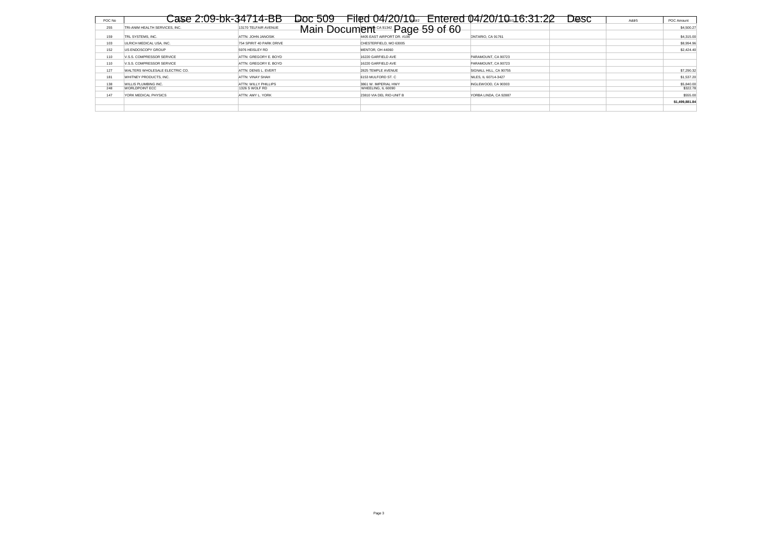| POC No |                                | Case 2:09-bk-34714-BB    | Doc 509                                        | Filed 04/20/10. Entered 04/20/10.16:31:22 | Desc | Addr <sub>5</sub> | POC Amount     |
|--------|--------------------------------|--------------------------|------------------------------------------------|-------------------------------------------|------|-------------------|----------------|
| 255    | TRI-ANIM HEALTH SERVICES. INC. | 13170 TELFAIR AVENUE     | Main Document <sup>ca91342</sup> Page 59 of 60 |                                           |      |                   | \$4,500.27     |
|        |                                |                          |                                                |                                           |      |                   |                |
| 159    | TRL SYSTEMS, INC.              | ATTN: JOHN JANOSIK       | 4405 EAST AIRPORT DR. #106                     | ONTARIO, CA 91761                         |      |                   | \$4,315.00     |
| 103    | ULRICH MEDICAL USA, INC.       | 754 SPIRIT 40 PARK DRIVE | CHESTERFIELD, MO 63005                         |                                           |      |                   | \$8,994.96     |
| 152    | US ENDOSCOPY GROUP             | 5976 HEISLEY RD          | <b>MENTOR, OH 44060</b>                        |                                           |      |                   | \$2,424.40     |
| 110    | V.S.S. COMPRESSOR SERVICE      | ATTN: GREGORY E. BOYD    | 16220 GARFIELD AVE                             | PARAMOUNT, CA 90723                       |      |                   |                |
| 110    | V.S.S. COMPRESSOR SERVICE      | ATTN: GREGORY E. BOYD    | 16220 GARFIELD AVE                             | PARAMOUNT, CA 90723                       |      |                   |                |
| 127    | WALTERS WHOLESALE ELECTRIC CO. | ATTN: DENIS L. EVERT     | 2825 TEMPLE AVENUE                             | SIGNALL HILL, CA 90755                    |      |                   | \$7,290.32     |
| 181    | WHITNEY PRODUCTS. INC.         | ATTN: VINAY SHAH         | 6153 MULFORD ST. C                             | NILES. IL 60714-3427                      |      |                   | \$1,537.20     |
| 138    | WILLIS PLUMBING INC.           | ATTN: WILLY PHILLIPS     | 3861 W. IMPERIAL HWY                           | NGLEWOOD, CA 90303                        |      |                   | \$5,840.00     |
| 248    | WORLDPOINT ECC                 | 1326 S WOLF RD           | WHEELING, IL 60090                             |                                           |      |                   | \$322.78       |
| 147    | YORK MEDICAL PHYSICS           | ATTN: AMY L. YORK        | 23810 VIA DEL RIO-UNIT B                       | YORBA LINDA, CA 92887                     |      |                   | \$555.00       |
|        |                                |                          |                                                |                                           |      |                   | \$1,499,881.84 |
|        |                                |                          |                                                |                                           |      |                   |                |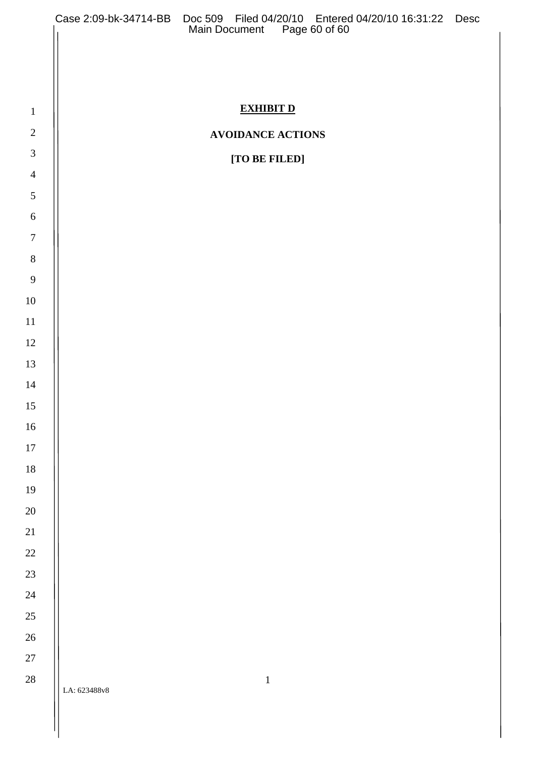|                          |              | Case 2:09-bk-34714-BB Doc 509 Filed 04/20/10 Entered 04/20/10 16:31:22 Desc<br>Main Document Page 60 of 60 |  |
|--------------------------|--------------|------------------------------------------------------------------------------------------------------------|--|
|                          |              |                                                                                                            |  |
|                          |              |                                                                                                            |  |
|                          |              |                                                                                                            |  |
| $\mathbf{1}$             |              | <b>EXHIBIT D</b>                                                                                           |  |
| $\sqrt{2}$               |              | <b>AVOIDANCE ACTIONS</b>                                                                                   |  |
| $\mathfrak{Z}$           |              | [TO BE FILED]                                                                                              |  |
| $\overline{4}$           |              |                                                                                                            |  |
| $\mathfrak{S}$           |              |                                                                                                            |  |
| $\sqrt{6}$               |              |                                                                                                            |  |
| $\overline{7}$           |              |                                                                                                            |  |
| $\, 8$<br>$\overline{9}$ |              |                                                                                                            |  |
| $10\,$                   |              |                                                                                                            |  |
| $11\,$                   |              |                                                                                                            |  |
| 12                       |              |                                                                                                            |  |
| 13                       |              |                                                                                                            |  |
| 14                       |              |                                                                                                            |  |
| 15                       |              |                                                                                                            |  |
| $16\,$                   |              |                                                                                                            |  |
| $17\,$                   |              |                                                                                                            |  |
| $18\,$                   |              |                                                                                                            |  |
| 19                       |              |                                                                                                            |  |
| 20                       |              |                                                                                                            |  |
| 21                       |              |                                                                                                            |  |
| 22                       |              |                                                                                                            |  |
| 23                       |              |                                                                                                            |  |
| 24                       |              |                                                                                                            |  |
| 25                       |              |                                                                                                            |  |
| 26                       |              |                                                                                                            |  |
| 27                       |              |                                                                                                            |  |
| 28                       | LA: 623488v8 | $\,1\,$                                                                                                    |  |
|                          |              |                                                                                                            |  |
|                          |              |                                                                                                            |  |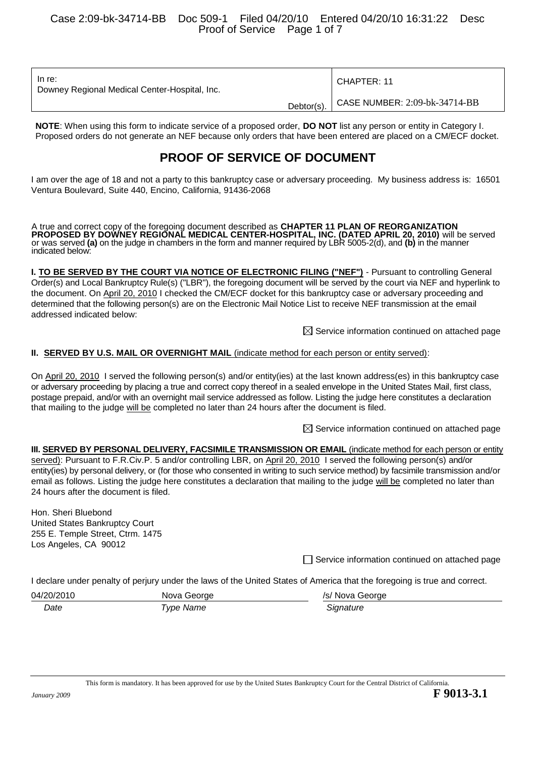Case 2:09-bk-34714-BB Doc 509-1 Filed 04/20/10 Entered 04/20/10 16:31:22 Desc Proof of Service Page 1 of 7

| In re:<br>Downey Regional Medical Center-Hospital, Inc. | l CHAPTER: 11                            |
|---------------------------------------------------------|------------------------------------------|
|                                                         | Debtor(s). CASE NUMBER: 2:09-bk-34714-BB |

**NOTE**: When using this form to indicate service of a proposed order, **DO NOT** list any person or entity in Category I. Proposed orders do not generate an NEF because only orders that have been entered are placed on a CM/ECF docket.

# **PROOF OF SERVICE OF DOCUMENT**

I am over the age of 18 and not a party to this bankruptcy case or adversary proceeding. My business address is: 16501 Ventura Boulevard, Suite 440, Encino, California, 91436-2068

A true and correct copy of the foregoing document described as **CHAPTER 11 PLAN OF REORGANIZATION PROPOSED BY DOWNEY REGIONAL MEDICAL CENTER-HOSPITAL, INC. (DATED APRIL 20, 2010)** will be served or was served **(a)** on the judge in chambers in the form and manner required by LBR 5005-2(d), and **(b)** in the manner indicated below:

**I. TO BE SERVED BY THE COURT VIA NOTICE OF ELECTRONIC FILING ("NEF")** - Pursuant to controlling General Order(s) and Local Bankruptcy Rule(s) ("LBR"), the foregoing document will be served by the court via NEF and hyperlink to the document. On April 20, 2010 I checked the CM/ECF docket for this bankruptcy case or adversary proceeding and determined that the following person(s) are on the Electronic Mail Notice List to receive NEF transmission at the email addressed indicated below:

 $\boxtimes$  Service information continued on attached page

#### **II. SERVED BY U.S. MAIL OR OVERNIGHT MAIL** (indicate method for each person or entity served):

On April 20, 2010 I served the following person(s) and/or entity(ies) at the last known address(es) in this bankruptcy case or adversary proceeding by placing a true and correct copy thereof in a sealed envelope in the United States Mail, first class, postage prepaid, and/or with an overnight mail service addressed as follow. Listing the judge here constitutes a declaration that mailing to the judge will be completed no later than 24 hours after the document is filed.

 $\boxtimes$  Service information continued on attached page

#### **III. SERVED BY PERSONAL DELIVERY, FACSIMILE TRANSMISSION OR EMAIL (indicate method for each person or entity** served): Pursuant to F.R.Civ.P. 5 and/or controlling LBR, on April 20, 2010 I served the following person(s) and/or entity(ies) by personal delivery, or (for those who consented in writing to such service method) by facsimile transmission and/or email as follows. Listing the judge here constitutes a declaration that mailing to the judge will be completed no later than 24 hours after the document is filed.

Hon. Sheri Bluebond United States Bankruptcy Court 255 E. Temple Street, Ctrm. 1475 Los Angeles, CA 90012

 $\Box$  Service information continued on attached page

I declare under penalty of perjury under the laws of the United States of America that the foregoing is true and correct.

| 04/20/2010 | Nova George | /s/ Nova George |
|------------|-------------|-----------------|
| Date       | Type Name   | Signature       |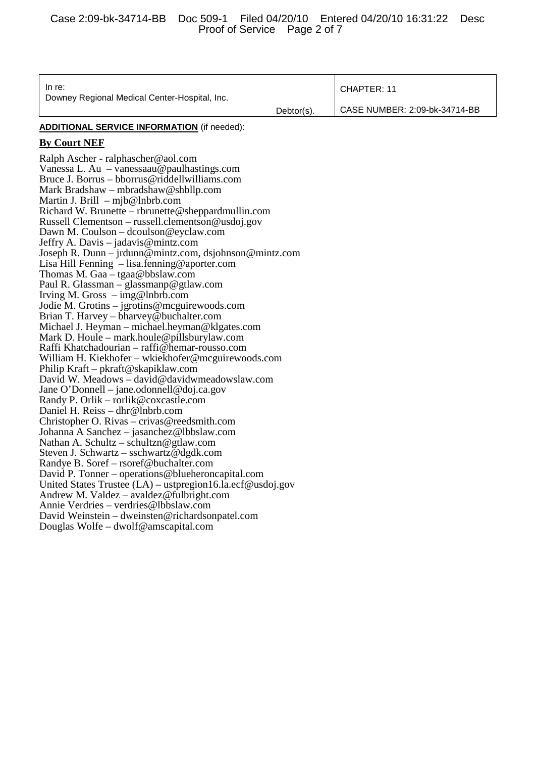| In re:<br>Downey Regional Medical Center-Hospital, Inc.                                                                                                                                                                                                                                                                                                                                                                                                                                                                                                                                                                                                                                                                                                                                                                                                                                                                                                                                                                                                                                                                                                                                                                                                                                                                                                                                                                                                                                                                                                                                                                                                                                                | Debtor(s). | <b>CHAPTER: 11</b><br>CASE NUMBER: 2:09-bk-34714-BB |
|--------------------------------------------------------------------------------------------------------------------------------------------------------------------------------------------------------------------------------------------------------------------------------------------------------------------------------------------------------------------------------------------------------------------------------------------------------------------------------------------------------------------------------------------------------------------------------------------------------------------------------------------------------------------------------------------------------------------------------------------------------------------------------------------------------------------------------------------------------------------------------------------------------------------------------------------------------------------------------------------------------------------------------------------------------------------------------------------------------------------------------------------------------------------------------------------------------------------------------------------------------------------------------------------------------------------------------------------------------------------------------------------------------------------------------------------------------------------------------------------------------------------------------------------------------------------------------------------------------------------------------------------------------------------------------------------------------|------------|-----------------------------------------------------|
|                                                                                                                                                                                                                                                                                                                                                                                                                                                                                                                                                                                                                                                                                                                                                                                                                                                                                                                                                                                                                                                                                                                                                                                                                                                                                                                                                                                                                                                                                                                                                                                                                                                                                                        |            |                                                     |
| <b>ADDITIONAL SERVICE INFORMATION</b> (if needed):                                                                                                                                                                                                                                                                                                                                                                                                                                                                                                                                                                                                                                                                                                                                                                                                                                                                                                                                                                                                                                                                                                                                                                                                                                                                                                                                                                                                                                                                                                                                                                                                                                                     |            |                                                     |
| <b>By Court NEF</b>                                                                                                                                                                                                                                                                                                                                                                                                                                                                                                                                                                                                                                                                                                                                                                                                                                                                                                                                                                                                                                                                                                                                                                                                                                                                                                                                                                                                                                                                                                                                                                                                                                                                                    |            |                                                     |
| Ralph Ascher - ralphascher@aol.com<br>Vanessa L. Au $-$ vanessaau@paulhastings.com<br>Bruce J. Borrus – bborrus@riddellwilliams.com<br>Mark Bradshaw – mbradshaw@shbllp.com<br>Martin J. Brill $-$ mjb@lnbrb.com<br>Richard W. Brunette – rbrunette@sheppardmullin.com<br>Russell Clementson – russell.clementson@usdoj.gov<br>Dawn M. Coulson - dcoulson@eyclaw.com<br>Jeffry A. Davis – jadavis@mintz.com<br>Joseph R. Dunn – jrdunn@mintz.com, dsjohnson@mintz.com<br>Lisa Hill Fenning $-$ lisa. fenning @ aporter.com<br>Thomas M. Gaa – tgaa@bbslaw.com<br>Paul R. Glassman – glassmanp@gtlaw.com<br>Irving M. Gross $-\text{img@lnbrb.com}$<br>Jodie M. Grotins – jgrotins@mcguirewoods.com<br>Brian T. Harvey – bharvey@buchalter.com<br>Michael J. Heyman – michael.heyman@klgates.com<br>Mark D. Houle – mark.houle@pillsburylaw.com<br>Raffi Khatchadourian – raffi@hemar-rousso.com<br>William H. Kiekhofer – wkiekhofer@mcguirewoods.com<br>Philip Kraft – pkraft@skapiklaw.com<br>David W. Meadows - david@davidwmeadowslaw.com<br>Jane O'Donnell – jane.odonnell@doj.ca.gov<br>Randy P. Orlik – rorlik@coxcastle.com<br>Daniel H. Reiss - dhr@lnbrb.com<br>Christopher O. Rivas – crivas@reedsmith.com<br>Johanna A Sanchez – jasanchez@lbbslaw.com<br>Nathan A. Schultz – schultzn@gtlaw.com<br>Steven J. Schwartz – sschwartz@dgdk.com<br>Randye B. Soref – rsoref@buchalter.com<br>David P. Tonner – operations@blueheroncapital.com<br>United States Trustee $(LA)$ – ustpregion16.la.ecf@usdoj.gov<br>Andrew M. Valdez – avaldez@fulbright.com<br>Annie Verdries - verdries@lbbslaw.com<br>David Weinstein - dweinsten@richardsonpatel.com<br>Douglas Wolfe – dwolf@amscapital.com |            |                                                     |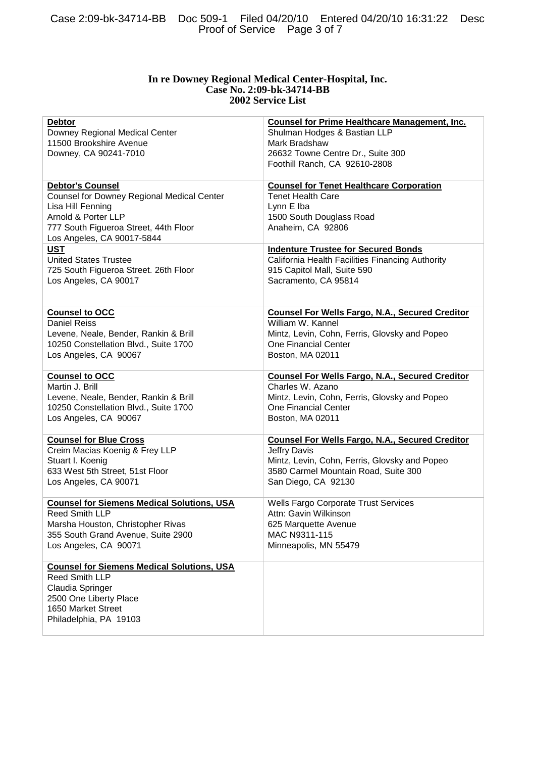#### **In re Downey Regional Medical Center-Hospital, Inc. Case No. 2:09-bk-34714-BB 2002 Service List**

| <b>Debtor</b><br>Downey Regional Medical Center<br>11500 Brookshire Avenue<br>Downey, CA 90241-7010                                                                                      | <b>Counsel for Prime Healthcare Management, Inc.</b><br>Shulman Hodges & Bastian LLP<br>Mark Bradshaw<br>26632 Towne Centre Dr., Suite 300<br>Foothill Ranch, CA 92610-2808 |
|------------------------------------------------------------------------------------------------------------------------------------------------------------------------------------------|-----------------------------------------------------------------------------------------------------------------------------------------------------------------------------|
| <b>Debtor's Counsel</b><br>Counsel for Downey Regional Medical Center<br>Lisa Hill Fenning<br>Arnold & Porter LLP<br>777 South Figueroa Street, 44th Floor<br>Los Angeles, CA 90017-5844 | <b>Counsel for Tenet Healthcare Corporation</b><br><b>Tenet Health Care</b><br>Lynn E Iba<br>1500 South Douglass Road<br>Anaheim, CA 92806                                  |
| <b>UST</b>                                                                                                                                                                               | <b>Indenture Trustee for Secured Bonds</b>                                                                                                                                  |
| <b>United States Trustee</b>                                                                                                                                                             | California Health Facilities Financing Authority                                                                                                                            |
| 725 South Figueroa Street. 26th Floor                                                                                                                                                    | 915 Capitol Mall, Suite 590                                                                                                                                                 |
| Los Angeles, CA 90017                                                                                                                                                                    | Sacramento, CA 95814                                                                                                                                                        |
| <b>Counsel to OCC</b>                                                                                                                                                                    | <b>Counsel For Wells Fargo, N.A., Secured Creditor</b>                                                                                                                      |
| <b>Daniel Reiss</b>                                                                                                                                                                      | William W. Kannel                                                                                                                                                           |
| Levene, Neale, Bender, Rankin & Brill                                                                                                                                                    | Mintz, Levin, Cohn, Ferris, Glovsky and Popeo                                                                                                                               |
| 10250 Constellation Blvd., Suite 1700                                                                                                                                                    | <b>One Financial Center</b>                                                                                                                                                 |
| Los Angeles, CA 90067                                                                                                                                                                    | Boston, MA 02011                                                                                                                                                            |
| <b>Counsel to OCC</b>                                                                                                                                                                    | <b>Counsel For Wells Fargo, N.A., Secured Creditor</b>                                                                                                                      |
| Martin J. Brill                                                                                                                                                                          | Charles W. Azano                                                                                                                                                            |
| Levene, Neale, Bender, Rankin & Brill                                                                                                                                                    | Mintz, Levin, Cohn, Ferris, Glovsky and Popeo                                                                                                                               |
| 10250 Constellation Blvd., Suite 1700                                                                                                                                                    | One Financial Center                                                                                                                                                        |
| Los Angeles, CA 90067                                                                                                                                                                    | Boston, MA 02011                                                                                                                                                            |
| <b>Counsel for Blue Cross</b>                                                                                                                                                            | <b>Counsel For Wells Fargo, N.A., Secured Creditor</b>                                                                                                                      |
| Creim Macias Koenig & Frey LLP                                                                                                                                                           | Jeffry Davis                                                                                                                                                                |
| Stuart I. Koenig                                                                                                                                                                         | Mintz, Levin, Cohn, Ferris, Glovsky and Popeo                                                                                                                               |
| 633 West 5th Street, 51st Floor                                                                                                                                                          | 3580 Carmel Mountain Road, Suite 300                                                                                                                                        |
| Los Angeles, CA 90071                                                                                                                                                                    | San Diego, CA 92130                                                                                                                                                         |
| <b>Counsel for Siemens Medical Solutions, USA</b>                                                                                                                                        | Wells Fargo Corporate Trust Services                                                                                                                                        |
| <b>Reed Smith LLP</b>                                                                                                                                                                    | Attn: Gavin Wilkinson                                                                                                                                                       |
| Marsha Houston, Christopher Rivas                                                                                                                                                        | 625 Marquette Avenue                                                                                                                                                        |
| 355 South Grand Avenue, Suite 2900                                                                                                                                                       | MAC N9311-115                                                                                                                                                               |
| Los Angeles, CA 90071                                                                                                                                                                    | Minneapolis, MN 55479                                                                                                                                                       |
| <b>Counsel for Siemens Medical Solutions, USA</b><br><b>Reed Smith LLP</b><br>Claudia Springer<br>2500 One Liberty Place<br>1650 Market Street<br>Philadelphia, PA 19103                 |                                                                                                                                                                             |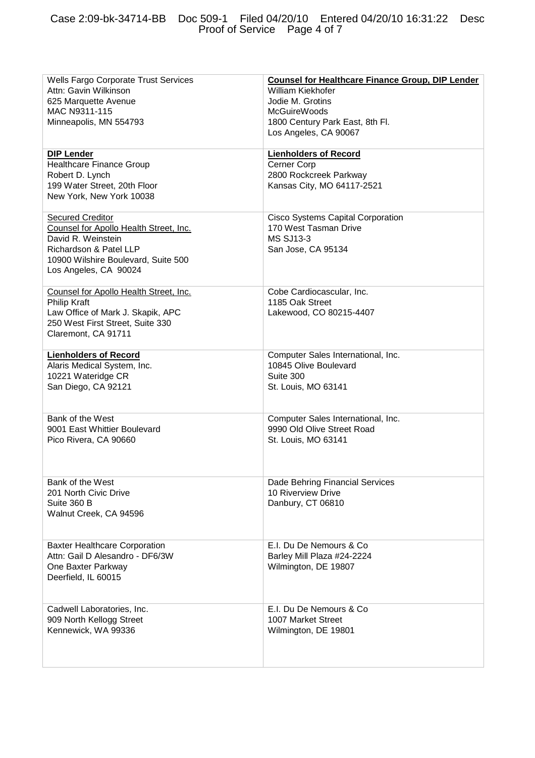| Wells Fargo Corporate Trust Services<br>Attn: Gavin Wilkinson<br>625 Marquette Avenue<br>MAC N9311-115<br>Minneapolis, MN 554793                                                  | <b>Counsel for Healthcare Finance Group, DIP Lender</b><br><b>William Kiekhofer</b><br>Jodie M. Grotins<br><b>McGuireWoods</b><br>1800 Century Park East, 8th Fl.<br>Los Angeles, CA 90067 |
|-----------------------------------------------------------------------------------------------------------------------------------------------------------------------------------|--------------------------------------------------------------------------------------------------------------------------------------------------------------------------------------------|
| <b>DIP Lender</b><br><b>Healthcare Finance Group</b><br>Robert D. Lynch<br>199 Water Street, 20th Floor<br>New York, New York 10038                                               | <b>Lienholders of Record</b><br>Cerner Corp<br>2800 Rockcreek Parkway<br>Kansas City, MO 64117-2521                                                                                        |
| <b>Secured Creditor</b><br>Counsel for Apollo Health Street, Inc.<br>David R. Weinstein<br>Richardson & Patel LLP<br>10900 Wilshire Boulevard, Suite 500<br>Los Angeles, CA 90024 | Cisco Systems Capital Corporation<br>170 West Tasman Drive<br><b>MS SJ13-3</b><br>San Jose, CA 95134                                                                                       |
| Counsel for Apollo Health Street, Inc.<br>Philip Kraft<br>Law Office of Mark J. Skapik, APC<br>250 West First Street, Suite 330<br>Claremont, CA 91711                            | Cobe Cardiocascular, Inc.<br>1185 Oak Street<br>Lakewood, CO 80215-4407                                                                                                                    |
| <b>Lienholders of Record</b><br>Alaris Medical System, Inc.<br>10221 Wateridge CR<br>San Diego, CA 92121                                                                          | Computer Sales International, Inc.<br>10845 Olive Boulevard<br>Suite 300<br>St. Louis, MO 63141                                                                                            |
| Bank of the West<br>9001 East Whittier Boulevard<br>Pico Rivera, CA 90660                                                                                                         | Computer Sales International, Inc.<br>9990 Old Olive Street Road<br>St. Louis, MO 63141                                                                                                    |
| Bank of the West<br>201 North Civic Drive<br>Suite 360 B<br>Walnut Creek, CA 94596                                                                                                | Dade Behring Financial Services<br>10 Riverview Drive<br>Danbury, CT 06810                                                                                                                 |
| <b>Baxter Healthcare Corporation</b><br>Attn: Gail D Alesandro - DF6/3W<br>One Baxter Parkway<br>Deerfield, IL 60015                                                              | E.I. Du De Nemours & Co<br>Barley Mill Plaza #24-2224<br>Wilmington, DE 19807                                                                                                              |
| Cadwell Laboratories, Inc.<br>909 North Kellogg Street<br>Kennewick, WA 99336                                                                                                     | E.I. Du De Nemours & Co<br>1007 Market Street<br>Wilmington, DE 19801                                                                                                                      |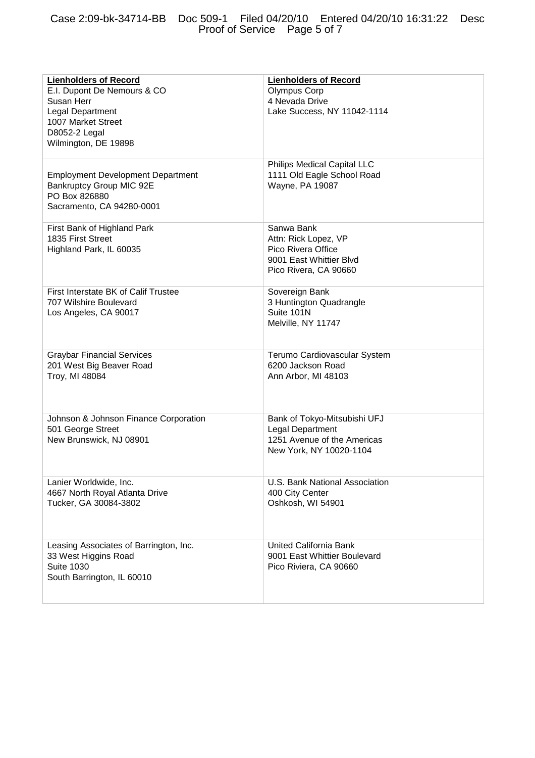| <b>Lienholders of Record</b><br>E.I. Dupont De Nemours & CO<br>Susan Herr<br>Legal Department<br>1007 Market Street<br>D8052-2 Legal<br>Wilmington, DE 19898 | <b>Lienholders of Record</b><br><b>Olympus Corp</b><br>4 Nevada Drive<br>Lake Success, NY 11042-1114         |
|--------------------------------------------------------------------------------------------------------------------------------------------------------------|--------------------------------------------------------------------------------------------------------------|
| <b>Employment Development Department</b><br>Bankruptcy Group MIC 92E<br>PO Box 826880<br>Sacramento, CA 94280-0001                                           | Philips Medical Capital LLC<br>1111 Old Eagle School Road<br>Wayne, PA 19087                                 |
| First Bank of Highland Park<br>1835 First Street<br>Highland Park, IL 60035                                                                                  | Sanwa Bank<br>Attn: Rick Lopez, VP<br>Pico Rivera Office<br>9001 East Whittier Blvd<br>Pico Rivera, CA 90660 |
| First Interstate BK of Calif Trustee<br>707 Wilshire Boulevard<br>Los Angeles, CA 90017                                                                      | Sovereign Bank<br>3 Huntington Quadrangle<br>Suite 101N<br>Melville, NY 11747                                |
| <b>Graybar Financial Services</b><br>201 West Big Beaver Road<br>Troy, MI 48084                                                                              | Terumo Cardiovascular System<br>6200 Jackson Road<br>Ann Arbor, MI 48103                                     |
| Johnson & Johnson Finance Corporation<br>501 George Street<br>New Brunswick, NJ 08901                                                                        | Bank of Tokyo-Mitsubishi UFJ<br>Legal Department<br>1251 Avenue of the Americas<br>New York, NY 10020-1104   |
| Lanier Worldwide, Inc.<br>4667 North Royal Atlanta Drive<br>Tucker, GA 30084-3802                                                                            | U.S. Bank National Association<br>400 City Center<br>Oshkosh, WI 54901                                       |
| Leasing Associates of Barrington, Inc.<br>33 West Higgins Road<br><b>Suite 1030</b><br>South Barrington, IL 60010                                            | United California Bank<br>9001 East Whittier Boulevard<br>Pico Riviera, CA 90660                             |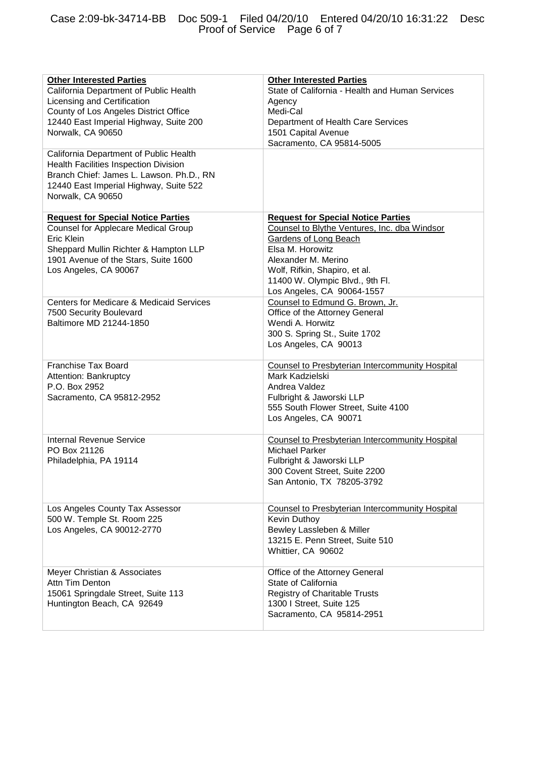#### Case 2:09-bk-34714-BB Doc 509-1 Filed 04/20/10 Entered 04/20/10 16:31:22 Desc Proof of Service Page 6 of 7

| <b>Other Interested Parties</b>           | <b>Other Interested Parties</b>                        |
|-------------------------------------------|--------------------------------------------------------|
| California Department of Public Health    | State of California - Health and Human Services        |
| Licensing and Certification               | Agency                                                 |
| County of Los Angeles District Office     | Medi-Cal                                               |
| 12440 East Imperial Highway, Suite 200    | Department of Health Care Services                     |
|                                           |                                                        |
| Norwalk, CA 90650                         | 1501 Capital Avenue                                    |
|                                           | Sacramento, CA 95814-5005                              |
| California Department of Public Health    |                                                        |
| Health Facilities Inspection Division     |                                                        |
| Branch Chief: James L. Lawson. Ph.D., RN  |                                                        |
| 12440 East Imperial Highway, Suite 522    |                                                        |
|                                           |                                                        |
| Norwalk, CA 90650                         |                                                        |
|                                           |                                                        |
| <b>Request for Special Notice Parties</b> | <b>Request for Special Notice Parties</b>              |
| Counsel for Applecare Medical Group       | Counsel to Blythe Ventures, Inc. dba Windsor           |
| Eric Klein                                | Gardens of Long Beach                                  |
| Sheppard Mullin Richter & Hampton LLP     | Elsa M. Horowitz                                       |
| 1901 Avenue of the Stars, Suite 1600      | Alexander M. Merino                                    |
|                                           |                                                        |
| Los Angeles, CA 90067                     | Wolf, Rifkin, Shapiro, et al.                          |
|                                           | 11400 W. Olympic Blvd., 9th Fl.                        |
|                                           | Los Angeles, CA 90064-1557                             |
| Centers for Medicare & Medicaid Services  | Counsel to Edmund G. Brown, Jr.                        |
| 7500 Security Boulevard                   | Office of the Attorney General                         |
| Baltimore MD 21244-1850                   | Wendi A. Horwitz                                       |
|                                           |                                                        |
|                                           | 300 S. Spring St., Suite 1702                          |
|                                           | Los Angeles, CA 90013                                  |
|                                           |                                                        |
| Franchise Tax Board                       | Counsel to Presbyterian Intercommunity Hospital        |
| Attention: Bankruptcy                     | Mark Kadzielski                                        |
| P.O. Box 2952                             | Andrea Valdez                                          |
| Sacramento, CA 95812-2952                 | Fulbright & Jaworski LLP                               |
|                                           | 555 South Flower Street, Suite 4100                    |
|                                           | Los Angeles, CA 90071                                  |
|                                           |                                                        |
|                                           |                                                        |
| <b>Internal Revenue Service</b>           | <b>Counsel to Presbyterian Intercommunity Hospital</b> |
| PO Box 21126                              | <b>Michael Parker</b>                                  |
| Philadelphia, PA 19114                    | Fulbright & Jaworski LLP                               |
|                                           | 300 Covent Street, Suite 2200                          |
|                                           | San Antonio, TX 78205-3792                             |
|                                           |                                                        |
|                                           |                                                        |
| Los Angeles County Tax Assessor           | <b>Counsel to Presbyterian Intercommunity Hospital</b> |
| 500 W. Temple St. Room 225                | Kevin Duthoy                                           |
| Los Angeles, CA 90012-2770                | Bewley Lassleben & Miller                              |
|                                           | 13215 E. Penn Street, Suite 510                        |
|                                           |                                                        |
|                                           | Whittier, CA 90602                                     |
|                                           |                                                        |
| Meyer Christian & Associates              | Office of the Attorney General                         |
| Attn Tim Denton                           | State of California                                    |
| 15061 Springdale Street, Suite 113        | Registry of Charitable Trusts                          |
| Huntington Beach, CA 92649                | 1300   Street, Suite 125                               |
|                                           | Sacramento, CA 95814-2951                              |
|                                           |                                                        |